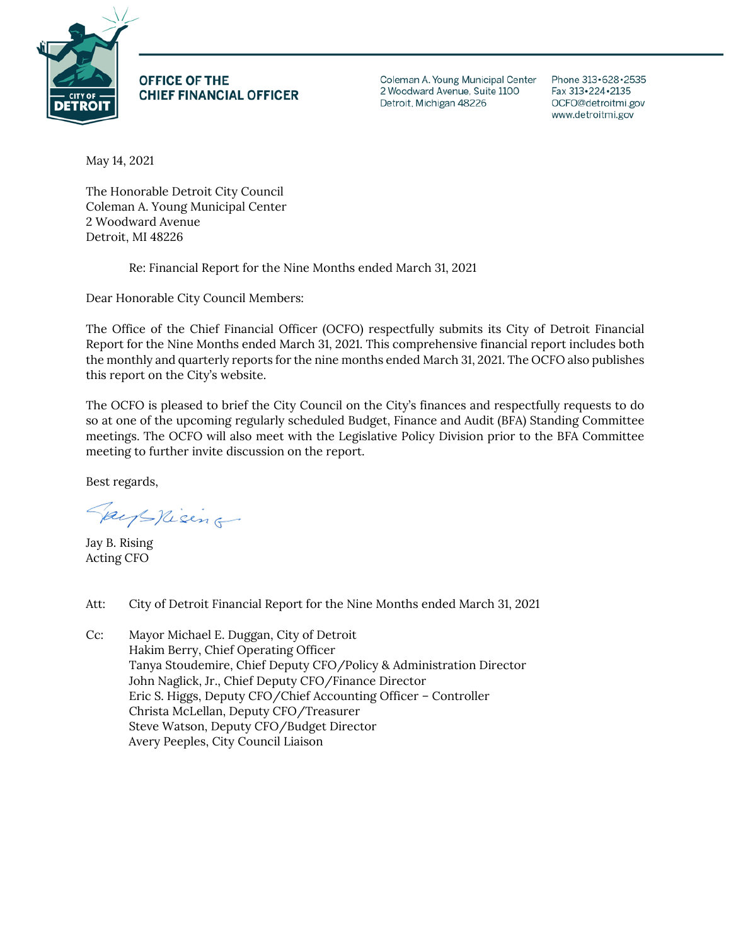

**OFFICE OF THE CHIEF FINANCIAL OFFICER**  Coleman A. Young Municipal Center 2 Woodward Avenue, Suite 1100 Detroit, Michigan 48226

Phone 313 · 628 · 2535 Fax 313 · 224 · 2135 OCFO@detroitmi.gov www.detroitmi.gov

May 14, 2021

The Honorable Detroit City Council Coleman A. Young Municipal Center 2 Woodward Avenue Detroit, MI 48226

Re: Financial Report for the Nine Months ended March 31, 2021

Dear Honorable City Council Members:

The Office of the Chief Financial Officer (OCFO) respectfully submits its City of Detroit Financial Report for the Nine Months ended March 31, 2021. This comprehensive financial report includes both the monthly and quarterly reports for the nine months ended March 31, 2021. The OCFO also publishes this report on the City's website.

The OCFO is pleased to brief the City Council on the City's finances and respectfully requests to do so at one of the upcoming regularly scheduled Budget, Finance and Audit (BFA) Standing Committee meetings. The OCFO will also meet with the Legislative Policy Division prior to the BFA Committee meeting to further invite discussion on the report.

Best regards,

Pays nising

Jay B. Rising Acting CFO

Att: City of Detroit Financial Report for the Nine Months ended March 31, 2021

Cc: Mayor Michael E. Duggan, City of Detroit Hakim Berry, Chief Operating Officer Tanya Stoudemire, Chief Deputy CFO/Policy & Administration Director John Naglick, Jr., Chief Deputy CFO/Finance Director Eric S. Higgs, Deputy CFO/Chief Accounting Officer – Controller Christa McLellan, Deputy CFO/Treasurer Steve Watson, Deputy CFO/Budget Director Avery Peeples, City Council Liaison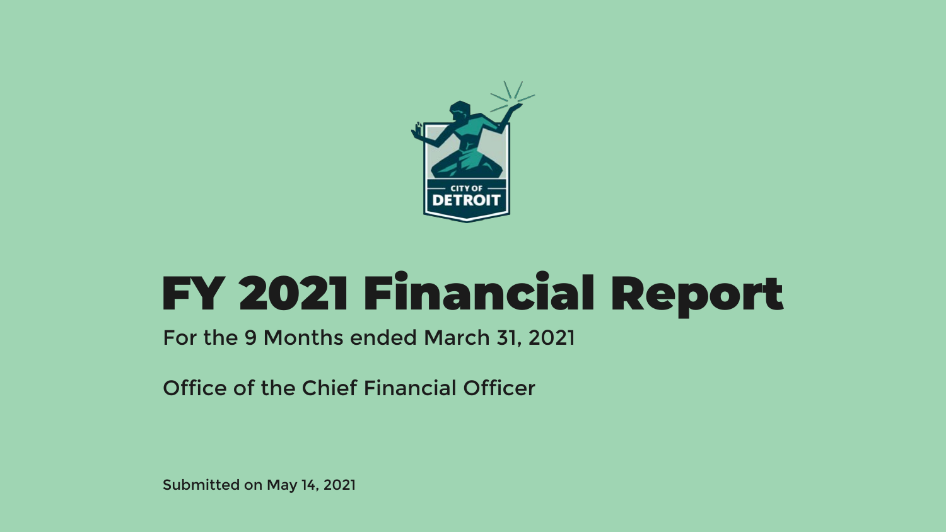

# FY 2021 Financial Report

For the 9 Months ended March 31, 2021

Office of the Chief Financial Officer

Submitted on May 14, 2021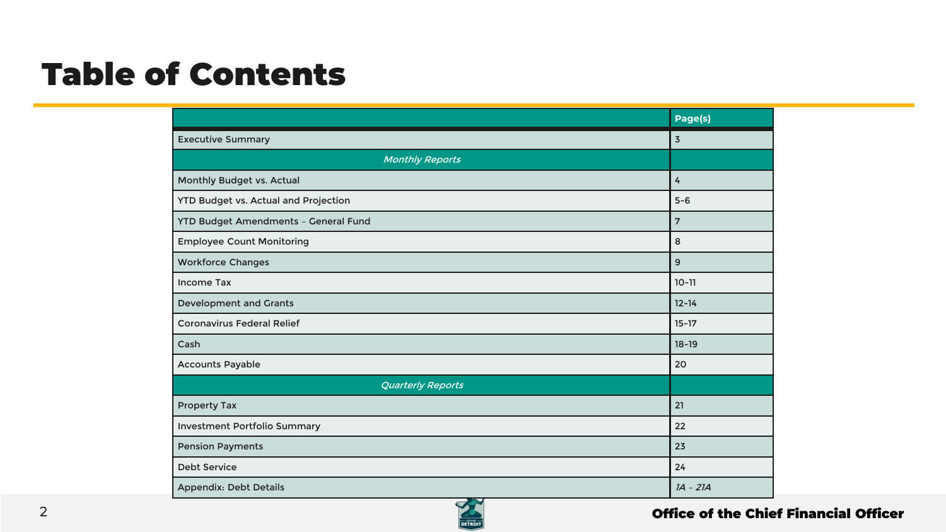## Table of Contents

|                                             | Page(s)    |
|---------------------------------------------|------------|
| <b>Executive Summary</b>                    | 3          |
| <b>Monthly Reports</b>                      |            |
| Monthly Budget vs. Actual                   | 4          |
| <b>YTD Budget vs. Actual and Projection</b> | $5-6$      |
| YTD Budget Amendments - General Fund        | 7          |
| <b>Employee Count Monitoring</b>            | 8          |
| <b>Workforce Changes</b>                    | 9          |
| Income Tax                                  | $10 - 11$  |
| <b>Development and Grants</b>               | $12 - 14$  |
| <b>Coronavirus Federal Relief</b>           | $15 - 17$  |
| Cash                                        | $18 - 19$  |
| <b>Accounts Payable</b>                     | 20         |
| <b>Quarterly Reports</b>                    |            |
| <b>Property Tax</b>                         | 21         |
| <b>Investment Portfolio Summary</b>         | 22         |
| <b>Pension Payments</b>                     | 23         |
| <b>Debt Service</b>                         | 24         |
| <b>Appendix: Debt Details</b>               | $IA - 2IA$ |

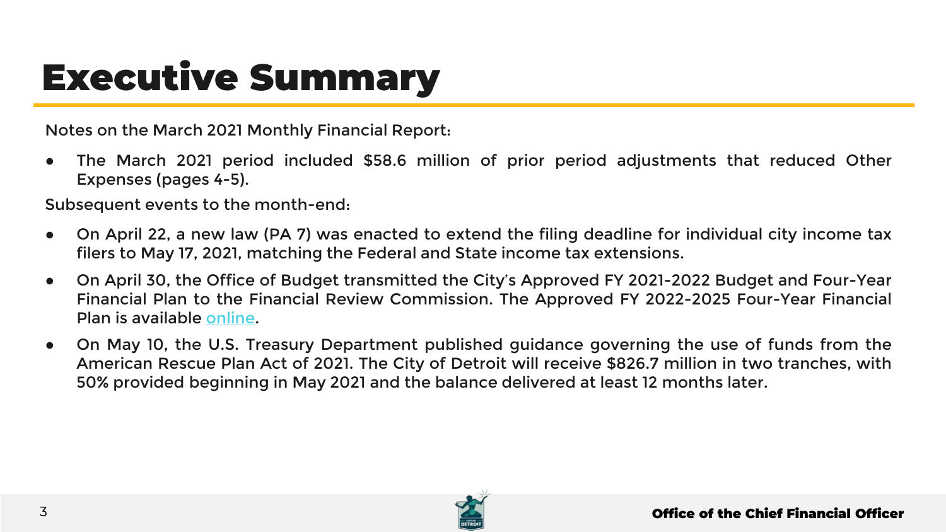# Executive Summary

Notes on the March 2021 Monthly Financial Report:

● The March 2021 period included \$58.6 million of prior period adjustments that reduced Other Expenses (pages 4-5).

Subsequent events to the month-end:

- On April 22, a new law (PA 7) was enacted to extend the filing deadline for individual city income tax filers to May 17, 2021, matching the Federal and State income tax extensions.
- On April 30, the Office of Budget transmitted the City's Approved FY 2021-2022 Budget and Four-Year Financial Plan to the Financial Review Commission. The Approved FY 2022-2025 Four-Year Financial Plan is available [online](https://detroitmi.gov/departments/office-chief-financial-officer/financial-reports).
- On May 10, the U.S. Treasury Department published guidance governing the use of funds from the American Rescue Plan Act of 2021. The City of Detroit will receive \$826.7 million in two tranches, with 50% provided beginning in May 2021 and the balance delivered at least 12 months later.

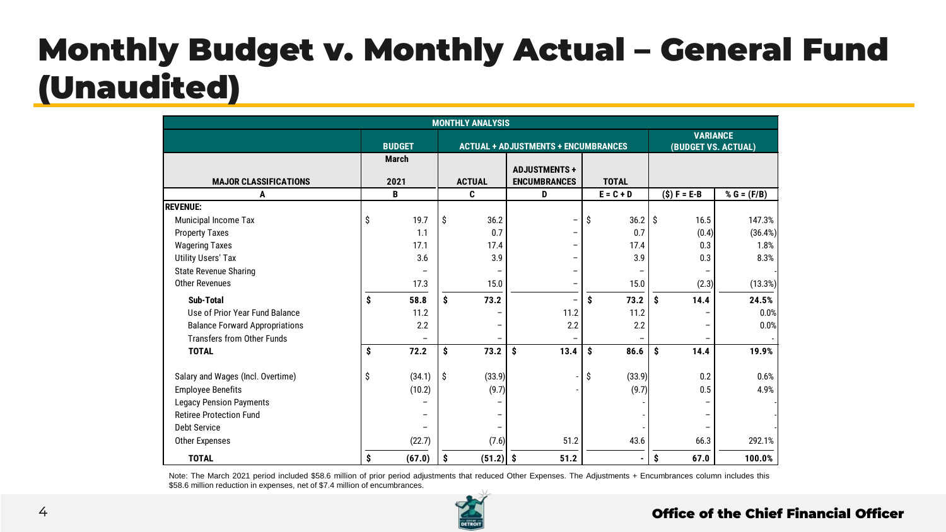## Monthly Budget v. Monthly Actual – General Fund (Unaudited)

| <b>MONTHLY ANALYSIS</b>               |    |                      |    |                          |                                             |                                        |                 |                          |               |  |
|---------------------------------------|----|----------------------|----|--------------------------|---------------------------------------------|----------------------------------------|-----------------|--------------------------|---------------|--|
|                                       |    | <b>BUDGET</b>        |    |                          | <b>ACTUAL + ADJUSTMENTS + ENCUMBRANCES</b>  | <b>VARIANCE</b><br>(BUDGET VS. ACTUAL) |                 |                          |               |  |
| <b>MAJOR CLASSIFICATIONS</b>          |    | <b>March</b><br>2021 |    | <b>ACTUAL</b>            | <b>ADJUSTMENTS +</b><br><b>ENCUMBRANCES</b> | <b>TOTAL</b>                           |                 |                          |               |  |
| A                                     |    | B                    |    | C                        | D                                           | $E = C + D$                            | $(S) F = E - B$ |                          | % $G = (F/B)$ |  |
| <b>REVENUE:</b>                       |    |                      |    |                          |                                             |                                        |                 |                          |               |  |
| <b>Municipal Income Tax</b>           | \$ | 19.7                 | \$ | 36.2                     | $\overline{\phantom{a}}$                    | Ŝ<br>$36.2$ \$                         |                 | 16.5                     | 147.3%        |  |
| <b>Property Taxes</b>                 |    | 1.1                  |    | 0.7                      | $\qquad \qquad -$                           | 0.7                                    |                 | (0.4)                    | (36.4%)       |  |
| <b>Wagering Taxes</b>                 |    | 17.1                 |    | 17.4                     |                                             | 17.4                                   |                 | 0.3                      | 1.8%          |  |
| <b>Utility Users' Tax</b>             |    | 3.6                  |    | 3.9                      | -                                           | 3.9                                    |                 | 0.3                      | 8.3%          |  |
| <b>State Revenue Sharing</b>          |    |                      |    |                          | -                                           |                                        |                 |                          |               |  |
| <b>Other Revenues</b>                 |    | 17.3                 |    | 15.0                     | -                                           | 15.0                                   |                 | (2.3)                    | (13.3%)       |  |
| Sub-Total                             | Ś  | 58.8                 | \$ | 73.2                     | $\overline{\phantom{a}}$                    | \$<br>73.2                             | \$              | 14.4                     | 24.5%         |  |
| Use of Prior Year Fund Balance        |    | 11.2                 |    |                          | 11.2                                        | 11.2                                   |                 |                          | 0.0%          |  |
| <b>Balance Forward Appropriations</b> |    | 2.2                  |    | $\overline{\phantom{a}}$ | 2.2                                         | 2.2                                    |                 | $\overline{\phantom{m}}$ | 0.0%          |  |
| <b>Transfers from Other Funds</b>     |    |                      |    |                          |                                             |                                        |                 | $\overline{\phantom{a}}$ |               |  |
| <b>TOTAL</b>                          | \$ | 72.2                 | Ś  | 73.2                     | 13.4<br>Ŝ                                   | Ŝ<br>86.6                              | \$.             | 14.4                     | 19.9%         |  |
| Salary and Wages (Incl. Overtime)     | Ŝ  | (34.1)               | \$ | (33.9)                   |                                             | (33.9)<br>S                            |                 | 0.2                      | 0.6%          |  |
| <b>Employee Benefits</b>              |    | (10.2)               |    | (9.7)                    |                                             | (9.7)                                  |                 | 0.5                      | 4.9%          |  |
| <b>Legacy Pension Payments</b>        |    |                      |    |                          |                                             |                                        |                 | $\overline{\phantom{a}}$ |               |  |
| <b>Retiree Protection Fund</b>        |    |                      |    | $\overline{\phantom{0}}$ |                                             |                                        |                 | $\overline{\phantom{a}}$ |               |  |
| Debt Service                          |    |                      |    |                          |                                             |                                        |                 |                          |               |  |
| <b>Other Expenses</b>                 |    | (22.7)               |    | (7.6)                    | 51.2                                        | 43.6                                   |                 | 66.3                     | 292.1%        |  |
| <b>TOTAL</b>                          | \$ | (67.0)               | \$ | $(51.2)$ \$              | 51.2                                        |                                        | \$              | 67.0                     | 100.0%        |  |

Note: The March 2021 period included \$58.6 million of prior period adjustments that reduced Other Expenses. The Adjustments + Encumbrances column includes this \$58.6 million reduction in expenses, net of \$7.4 million of encumbrances.

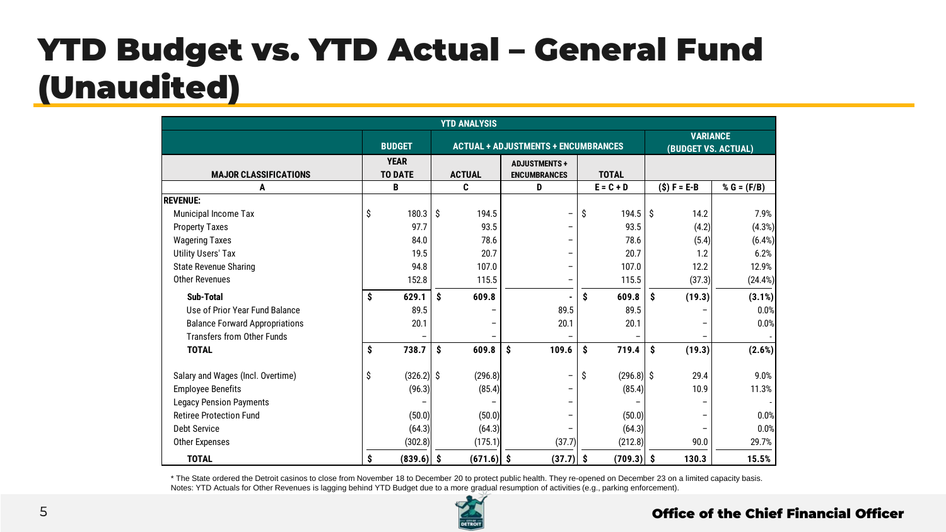## YTD Budget vs. YTD Actual – General Fund (Unaudited)

| <b>YTD ANALYSIS</b>                   |    |                                                |                                            |              |                |                                                            |                                        |    |               |               |
|---------------------------------------|----|------------------------------------------------|--------------------------------------------|--------------|----------------|------------------------------------------------------------|----------------------------------------|----|---------------|---------------|
|                                       |    | <b>BUDGET</b>                                  | <b>ACTUAL + ADJUSTMENTS + ENCUMBRANCES</b> |              |                |                                                            | <b>VARIANCE</b><br>(BUDGET VS. ACTUAL) |    |               |               |
| <b>MAJOR CLASSIFICATIONS</b>          |    | <b>YEAR</b><br><b>TO DATE</b><br><b>ACTUAL</b> |                                            |              |                | <b>ADJUSTMENTS+</b><br><b>TOTAL</b><br><b>ENCUMBRANCES</b> |                                        |    |               |               |
| A                                     |    | B                                              |                                            | C            | D              |                                                            | $E = C + D$                            |    | $(S) F = E-B$ | % $G = (F/B)$ |
| <b>REVENUE:</b>                       |    |                                                |                                            |              |                |                                                            |                                        |    |               |               |
| Municipal Income Tax                  | \$ | 180.3                                          | Ŝ                                          | 194.5        | $\overline{a}$ | \$                                                         | 194.5                                  | -Ŝ | 14.2          | 7.9%          |
| <b>Property Taxes</b>                 |    | 97.7                                           |                                            | 93.5         |                |                                                            | 93.5                                   |    | (4.2)         | (4.3%)        |
| <b>Wagering Taxes</b>                 |    | 84.0                                           |                                            | 78.6         |                |                                                            | 78.6                                   |    | (5.4)         | (6.4%)        |
| <b>Utility Users' Tax</b>             |    | 19.5                                           |                                            | 20.7         |                |                                                            | 20.7                                   |    | 1.2           | 6.2%          |
| <b>State Revenue Sharing</b>          |    | 94.8                                           |                                            | 107.0        |                |                                                            | 107.0                                  |    | 12.2          | 12.9%         |
| <b>Other Revenues</b>                 |    | 152.8                                          |                                            | 115.5        |                |                                                            | 115.5                                  |    | (37.3)        | (24.4%)       |
| Sub-Total                             | \$ | 629.1                                          | Ŝ                                          | 609.8        |                | \$                                                         | 609.8                                  | \$ | (19.3)        | (3.1%)        |
| Use of Prior Year Fund Balance        |    | 89.5                                           |                                            |              | 89.5           |                                                            | 89.5                                   |    |               | 0.0%          |
| <b>Balance Forward Appropriations</b> |    | 20.1                                           |                                            |              | 20.1           |                                                            | 20.1                                   |    |               | 0.0%          |
| <b>Transfers from Other Funds</b>     |    |                                                |                                            |              |                |                                                            |                                        |    |               |               |
| <b>TOTAL</b>                          | \$ | 738.7                                          | Ŝ                                          | 609.8        | \$<br>109.6    | \$                                                         | 719.4                                  | \$ | (19.3)        | (2.6%)        |
| Salary and Wages (Incl. Overtime)     | \$ | $(326.2)$ \$                                   |                                            | (296.8)      | $\overline{a}$ | \$                                                         | $(296.8)$ \$                           |    | 29.4          | 9.0%          |
| <b>Employee Benefits</b>              |    | (96.3)                                         |                                            | (85.4)       |                |                                                            | (85.4)                                 |    | 10.9          | 11.3%         |
| <b>Legacy Pension Payments</b>        |    |                                                |                                            |              |                |                                                            |                                        |    |               |               |
| <b>Retiree Protection Fund</b>        |    | (50.0)                                         |                                            | (50.0)       |                |                                                            | (50.0)                                 |    |               | 0.0%          |
| <b>Debt Service</b>                   |    | (64.3)                                         |                                            | (64.3)       |                |                                                            | (64.3)                                 |    |               | 0.0%          |
| Other Expenses                        |    | (302.8)                                        |                                            | (175.1)      | (37.7)         |                                                            | (212.8)                                |    | 90.0          | 29.7%         |
| <b>TOTAL</b>                          | Ŝ  | $(839.6)$ \$                                   |                                            | $(671.6)$ \$ | $(37.7)$ \$    |                                                            | $(709.3)$ \$                           |    | 130.3         | 15.5%         |

\* The State ordered the Detroit casinos to close from November 18 to December 20 to protect public health. They re-opened on December 23 on a limited capacity basis. Notes: YTD Actuals for Other Revenues is lagging behind YTD Budget due to a more gradual resumption of activities (e.g., parking enforcement).

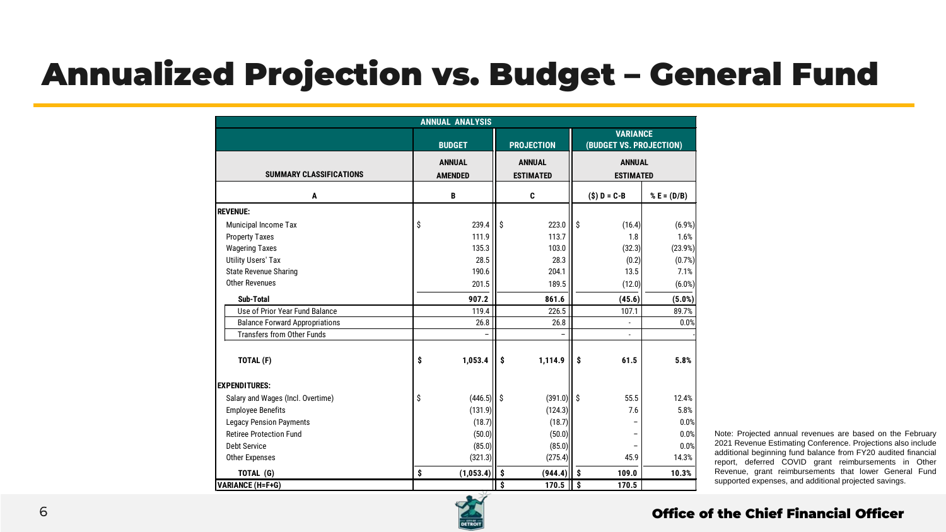## Annualized Projection vs. Budget – General Fund

|                                       |    | <b>ANNUAL ANALYSIS</b>          |      |                                   |      |                                            |               |  |  |
|---------------------------------------|----|---------------------------------|------|-----------------------------------|------|--------------------------------------------|---------------|--|--|
|                                       |    | <b>BUDGET</b>                   |      | <b>PROJECTION</b>                 |      | <b>VARIANCE</b><br>(BUDGET VS. PROJECTION) |               |  |  |
| <b>SUMMARY CLASSIFICATIONS</b>        |    | <b>ANNUAL</b><br><b>AMENDED</b> |      | <b>ANNUAL</b><br><b>ESTIMATED</b> |      | <b>ANNUAL</b><br><b>ESTIMATED</b>          |               |  |  |
| A                                     |    | B                               |      | C                                 |      | $(S) D = C - B$                            | % $E = (D/B)$ |  |  |
| <b>REVENUE:</b>                       |    |                                 |      |                                   |      |                                            |               |  |  |
| Municipal Income Tax                  | \$ | 239.4                           | ۱s   | 223.0                             | Ŝ    | (16.4)                                     | (6.9%)        |  |  |
| <b>Property Taxes</b>                 |    | 111.9                           |      | 113.7                             |      | 1.8                                        | 1.6%          |  |  |
| <b>Wagering Taxes</b>                 |    | 135.3                           |      | 103.0                             |      | (32.3)                                     | (23.9%)       |  |  |
| <b>Utility Users' Tax</b>             |    | 28.5                            |      | 28.3                              |      | (0.2)                                      | (0.7%)        |  |  |
| <b>State Revenue Sharing</b>          |    | 190.6                           |      | 204.1                             |      | 13.5                                       | 7.1%          |  |  |
| Other Revenues                        |    | 201.5                           |      | 189.5                             |      | (12.0)                                     | $(6.0\%)$     |  |  |
| Sub-Total                             |    | 907.2                           |      | 861.6                             |      | (45.6)                                     | (5.0%)        |  |  |
| Use of Prior Year Fund Balance        |    | 119.4                           |      | 226.5                             |      | 107.1                                      | 89.7%         |  |  |
| <b>Balance Forward Appropriations</b> |    | 26.8                            |      | 26.8                              |      | ä,                                         | 0.0%          |  |  |
| <b>Transfers from Other Funds</b>     |    |                                 |      | ۰                                 |      | ٠                                          |               |  |  |
| TOTAL (F)                             | \$ | 1,053.4                         | - Ŝ  | 1,114.9                           | Ŝ    | 61.5                                       | 5.8%          |  |  |
| <b>EXPENDITURES:</b>                  |    |                                 |      |                                   |      |                                            |               |  |  |
| Salary and Wages (Incl. Overtime)     | Ŝ  | $(446.5)$ \$                    |      | $(391.0)$ \$                      |      | 55.5                                       | 12.4%         |  |  |
| <b>Employee Benefits</b>              |    | (131.9)                         |      | (124.3)                           |      | 7.6                                        | 5.8%          |  |  |
| <b>Legacy Pension Payments</b>        |    | (18.7)                          |      | (18.7)                            |      |                                            | 0.0%          |  |  |
| <b>Retiree Protection Fund</b>        |    | (50.0)                          |      | (50.0)                            |      |                                            | 0.0%          |  |  |
| <b>Debt Service</b>                   |    | (85.0)                          |      | (85.0)                            |      |                                            | 0.0%          |  |  |
| Other Expenses                        |    | (321.3)                         |      | (275.4)                           |      | 45.9                                       | 14.3%         |  |  |
| TOTAL (G)                             | \$ | (1,053.4)                       | l \$ | (944.4)                           | - \$ | 109.0                                      | 10.3%         |  |  |
| <b>VARIANCE (H=F+G)</b>               |    |                                 | Ś    | 170.5                             | Ŝ    | 170.5                                      |               |  |  |

Note: Projected annual revenues are based on the February 2021 Revenue Estimating Conference. Projections also include additional beginning fund balance from FY20 audited financial report, deferred COVID grant reimbursements in Other Revenue, grant reimbursements that lower General Fund supported expenses, and additional projected savings.

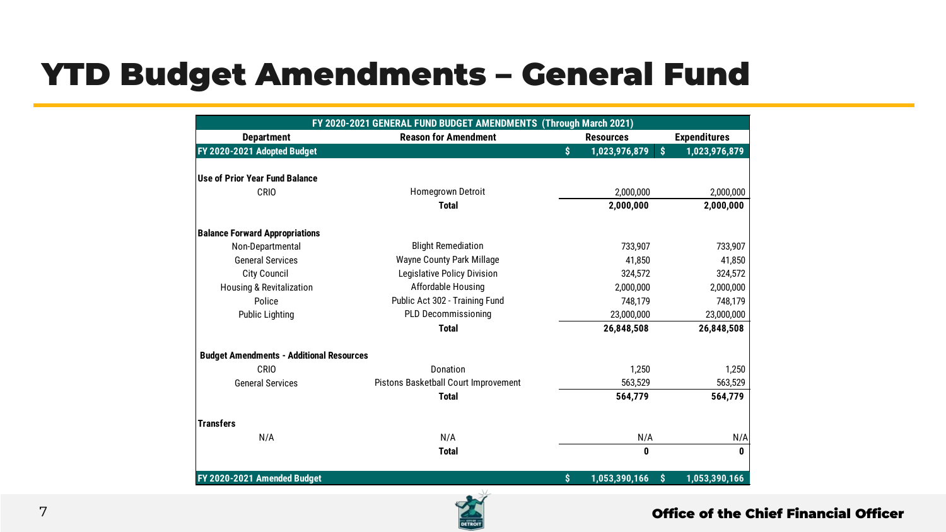## YTD Budget Amendments – General Fund

| FY 2020-2021 GENERAL FUND BUDGET AMENDMENTS (Through March 2021) |                                      |    |                  |    |                     |  |  |  |  |
|------------------------------------------------------------------|--------------------------------------|----|------------------|----|---------------------|--|--|--|--|
| <b>Department</b>                                                | <b>Reason for Amendment</b>          |    | <b>Resources</b> |    | <b>Expenditures</b> |  |  |  |  |
| FY 2020-2021 Adopted Budget                                      |                                      | Ś. | 1,023,976,879    | Ś. | 1,023,976,879       |  |  |  |  |
|                                                                  |                                      |    |                  |    |                     |  |  |  |  |
| Use of Prior Year Fund Balance                                   |                                      |    |                  |    |                     |  |  |  |  |
| CRIO                                                             | <b>Homegrown Detroit</b>             |    | 2,000,000        |    | 2,000,000           |  |  |  |  |
|                                                                  | <b>Total</b>                         |    | 2,000,000        |    | 2,000,000           |  |  |  |  |
| <b>Balance Forward Appropriations</b>                            |                                      |    |                  |    |                     |  |  |  |  |
| Non-Departmental                                                 | <b>Blight Remediation</b>            |    | 733,907          |    | 733,907             |  |  |  |  |
| <b>General Services</b>                                          | <b>Wayne County Park Millage</b>     |    | 41.850           |    | 41,850              |  |  |  |  |
| <b>City Council</b>                                              | Legislative Policy Division          |    | 324.572          |    | 324,572             |  |  |  |  |
| <b>Housing &amp; Revitalization</b>                              | Affordable Housing                   |    | 2,000,000        |    | 2,000,000           |  |  |  |  |
| Police                                                           | Public Act 302 - Training Fund       |    | 748,179          |    | 748,179             |  |  |  |  |
| <b>Public Lighting</b>                                           | <b>PLD Decommissioning</b>           |    | 23,000,000       |    | 23,000,000          |  |  |  |  |
|                                                                  | <b>Total</b>                         |    | 26,848,508       |    | 26,848,508          |  |  |  |  |
| <b>Budget Amendments - Additional Resources</b>                  |                                      |    |                  |    |                     |  |  |  |  |
| CRIO                                                             | Donation                             |    | 1.250            |    | 1,250               |  |  |  |  |
| <b>General Services</b>                                          | Pistons Basketball Court Improvement |    | 563,529          |    | 563,529             |  |  |  |  |
|                                                                  | <b>Total</b>                         |    | 564,779          |    | 564,779             |  |  |  |  |
| <b>Transfers</b>                                                 |                                      |    |                  |    |                     |  |  |  |  |
| N/A                                                              | N/A                                  |    | N/A              |    | N/A                 |  |  |  |  |
|                                                                  | <b>Total</b>                         |    | 0                |    | 0                   |  |  |  |  |
| FY 2020-2021 Amended Budget                                      |                                      | \$ | 1,053,390,166    | S  | 1,053,390,166       |  |  |  |  |

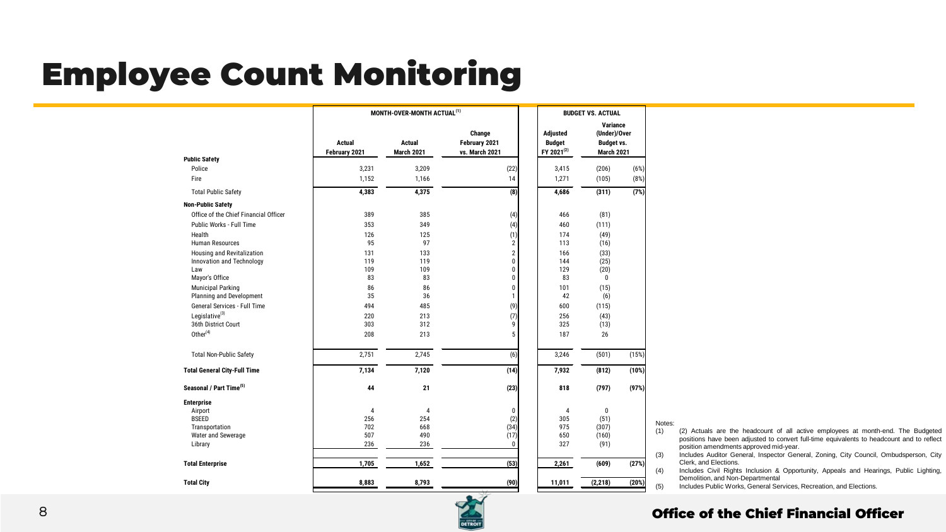## Employee Count Monitoring

|                                                   | MONTH-OVER-MONTH ACTUAL <sup>(1)</sup> | <b>BUDGET VS. ACTUAL</b> |                                           |                                                     |                                                             |       |
|---------------------------------------------------|----------------------------------------|--------------------------|-------------------------------------------|-----------------------------------------------------|-------------------------------------------------------------|-------|
|                                                   | <b>Actual</b><br>February 2021         | Actual<br>March 2021     | Change<br>February 2021<br>vs. March 2021 | Adjusted<br><b>Budget</b><br>FY 2021 <sup>(2)</sup> | Variance<br>(Under)/Over<br><b>Budget vs.</b><br>March 2021 |       |
| <b>Public Safety</b><br>Police                    | 3,231                                  | 3,209                    | (22)                                      | 3,415                                               | (206)                                                       | (6%)  |
| Fire                                              | 1,152                                  | 1,166                    | 14                                        | 1,271                                               | (105)                                                       | (8%)  |
| <b>Total Public Safety</b>                        | 4,383                                  | 4,375                    | (8)                                       | 4,686                                               | (311)                                                       | (7%)  |
| <b>Non-Public Safety</b>                          |                                        |                          |                                           |                                                     |                                                             |       |
| Office of the Chief Financial Officer             | 389                                    | 385                      | (4)                                       | 466                                                 | (81)                                                        |       |
| Public Works - Full Time                          | 353                                    | 349                      | (4)                                       | 460                                                 | (111)                                                       |       |
| Health                                            | 126                                    | 125                      | (1)                                       | 174                                                 | (49)                                                        |       |
| <b>Human Resources</b>                            | 95                                     | 97                       | 2                                         | 113                                                 | (16)                                                        |       |
| Housing and Revitalization                        | 131                                    | 133                      | $\overline{c}$                            | 166                                                 | (33)                                                        |       |
| Innovation and Technology                         | 119                                    | 119                      | Ó                                         | 144                                                 | (25)                                                        |       |
| Law                                               | 109                                    | 109                      | 0                                         | 129                                                 | (20)                                                        |       |
| Mayor's Office                                    | 83                                     | 83                       | 0                                         | 83                                                  | 0                                                           |       |
| <b>Municipal Parking</b>                          | 86                                     | 86                       | Ó                                         | 101                                                 | (15)                                                        |       |
| Planning and Development                          | 35                                     | 36                       | 1                                         | 42                                                  | (6)                                                         |       |
| General Services - Full Time                      | 494                                    | 485                      | (9)                                       | 600                                                 | (115)                                                       |       |
| Legislative <sup>(3)</sup><br>36th District Court | 220<br>303                             | 213<br>312               | (7)                                       | 256<br>325                                          | (43)                                                        |       |
|                                                   |                                        |                          | 9                                         |                                                     | (13)                                                        |       |
| Other <sup>(4)</sup>                              | 208                                    | 213                      | 5                                         | 187                                                 | 26                                                          |       |
| <b>Total Non-Public Safety</b>                    | 2,751                                  | 2,745                    | (6)                                       | 3,246                                               | (501)                                                       | (15%) |
| <b>Total General City-Full Time</b>               | 7,134                                  | 7,120                    | (14)                                      | 7,932                                               | (812)                                                       | (10%) |
| Seasonal / Part Time <sup>(5)</sup>               | 44                                     | 21                       | (23)                                      | 818                                                 | (797)                                                       | (97%) |
| <b>Enterprise</b>                                 |                                        |                          |                                           |                                                     |                                                             |       |
| Airport                                           | 4                                      | $\overline{4}$           | 0                                         | 4                                                   | 0                                                           |       |
| <b>BSEED</b>                                      | 256                                    | 254                      | (2)                                       | 305                                                 | (51)                                                        |       |
| Transportation                                    | 702                                    | 668                      | (34)                                      | 975                                                 | (307)                                                       |       |
| Water and Sewerage                                | 507                                    | 490                      | (17)                                      | 650                                                 | (160)                                                       |       |
| Library                                           | 236                                    | 236                      | 0                                         | 327                                                 | (91)                                                        |       |
| <b>Total Enterprise</b>                           | 1,705                                  | 1,652                    | (53)                                      | 2,261                                               | (609)                                                       | (27%) |
| <b>Total City</b>                                 | 8,883                                  | 8,793                    | (90)                                      | 11,011                                              | (2, 218)                                                    | (20%) |

Notes:

(1) (2) Actuals are the headcount of all active employees at month-end. The Budgeted positions have been adjusted to convert full-time equivalents to headcount and to reflect position amendments approved mid-year.

(3) Includes Auditor General, Inspector General, Zoning, City Council, Ombudsperson, City Clerk, and Elections.

(4) Includes Civil Rights Inclusion & Opportunity, Appeals and Hearings, Public Lighting, Demolition, and Non-Departmental

(5) Includes Public Works, General Services, Recreation, and Elections.

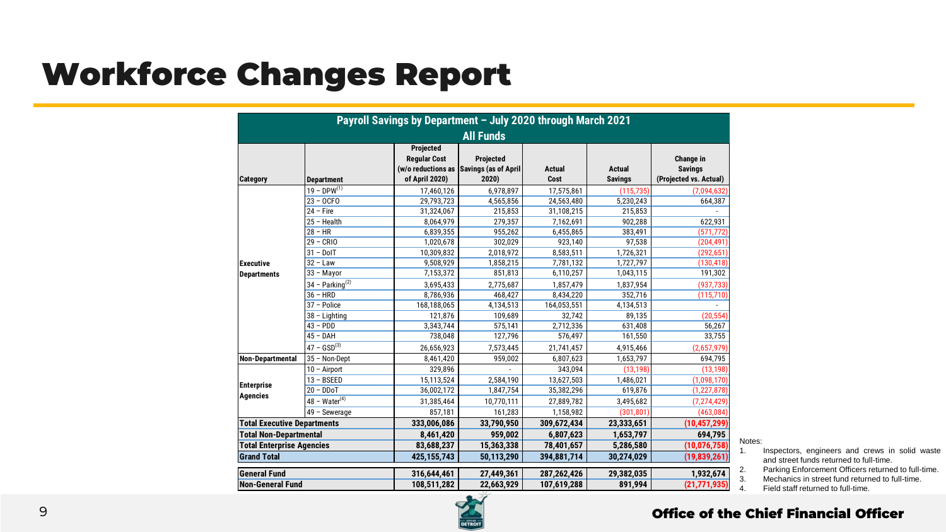## Workforce Changes Report

| Payroll Savings by Department - July 2020 through March 2021<br><b>All Funds</b> |                    |                                                    |                                                                      |                       |                                 |                                                       |  |  |  |
|----------------------------------------------------------------------------------|--------------------|----------------------------------------------------|----------------------------------------------------------------------|-----------------------|---------------------------------|-------------------------------------------------------|--|--|--|
| Category                                                                         | <b>Department</b>  | Projected<br><b>Regular Cost</b><br>of April 2020) | <b>Projected</b><br>(w/o reductions as Savings (as of April<br>2020) | <b>Actual</b><br>Cost | <b>Actual</b><br><b>Savings</b> | Change in<br><b>Savings</b><br>(Projected vs. Actual) |  |  |  |
|                                                                                  | $19 - DPW^{(1)}$   | 17,460,126                                         | 6,978,897                                                            | 17,575,861            | (115, 735)                      | (7.094.632)                                           |  |  |  |
|                                                                                  | $23 - OCFO$        | 29,793,723                                         | 4,565,856                                                            | 24,563,480            | 5,230,243                       | 664,387                                               |  |  |  |
|                                                                                  | $24$ – Fire        | 31,324,067                                         | 215,853                                                              | 31,108,215            | 215,853                         |                                                       |  |  |  |
|                                                                                  | $25 - Health$      | 8,064,979                                          | 279,357                                                              | 7,162,691             | 902,288                         | 622,931                                               |  |  |  |
|                                                                                  | $28 - HR$          | 6,839,355                                          | 955,262                                                              | 6,455,865             | 383,491                         | (571, 772)                                            |  |  |  |
|                                                                                  | $29 - CRIO$        | 1,020,678                                          | 302,029                                                              | 923,140               | 97,538                          | (204, 491)                                            |  |  |  |
|                                                                                  | $31 - DolT$        | 10,309,832                                         | 2,018,972                                                            | 8,583,511             | 1,726,321                       | (292, 651)                                            |  |  |  |
| <b>Executive</b>                                                                 | $32 - Law$         | 9,508,929                                          | 1,858,215                                                            | 7,781,132             | 1,727,797                       | (130, 418)                                            |  |  |  |
| <b>Departments</b>                                                               | 33 - Mayor         | 7,153,372                                          | 851,813                                                              | 6,110,257             | 1,043,115                       | 191,302                                               |  |  |  |
|                                                                                  | $34 - Parking(2)$  | 3,695,433                                          | 2,775,687                                                            | 1,857,479             | 1,837,954                       | (937, 733)                                            |  |  |  |
|                                                                                  | $36 - HRD$         | 8,786,936                                          | 468,427                                                              | 8,434,220             | 352,716                         | (115, 710)                                            |  |  |  |
|                                                                                  | 37 - Police        | 168,188,065                                        | 4,134,513                                                            | 164,053,551           | 4,134,513                       |                                                       |  |  |  |
|                                                                                  | 38 - Lighting      | 121,876                                            | 109,689                                                              | 32,742                | 89,135                          | (20, 554)                                             |  |  |  |
|                                                                                  | $43 - PDD$         | 3,343,744                                          | 575,141                                                              | 2,712,336             | 631,408                         | 56,267                                                |  |  |  |
|                                                                                  | $45 - DAH$         | 738,048                                            | 127,796                                                              | 576,497               | 161,550                         | 33,755                                                |  |  |  |
|                                                                                  | $47 - GSD^{(3)}$   | 26,656,923                                         | 7,573,445                                                            | 21,741,457            | 4,915,466                       | (2,657,979)                                           |  |  |  |
| Non-Departmental                                                                 | 35 - Non-Dept      | 8,461,420                                          | 959,002                                                              | 6,807,623             | 1,653,797                       | 694,795                                               |  |  |  |
|                                                                                  | 10 - Airport       | 329,896                                            |                                                                      | 343,094               | (13, 198)                       | (13, 198)                                             |  |  |  |
|                                                                                  | $13 - BSEED$       | 15,113,524                                         | 2,584,190                                                            | 13,627,503            | 1,486,021                       | (1,098,170)                                           |  |  |  |
| <b>Enterprise</b>                                                                | $20 - DDoT$        | 36,002,172                                         | 1,847,754                                                            | 35,382,296            | 619,876                         | (1, 227, 878)                                         |  |  |  |
| <b>Agencies</b>                                                                  | $48 - Water^{(4)}$ | 31,385,464                                         | 10,770,111                                                           | 27,889,782            | 3,495,682                       | (7, 274, 429)                                         |  |  |  |
|                                                                                  | 49 - Sewerage      | 857,181                                            | 161,283                                                              | 1,158,982             | (301, 801)                      | (463, 084)                                            |  |  |  |
| <b>Total Executive Departments</b>                                               |                    | 333,006,086                                        | 33,790,950                                                           | 309,672,434           | 23,333,651                      | (10, 457, 299)                                        |  |  |  |
| <b>Total Non-Departmental</b>                                                    |                    | 8,461,420                                          | 959.002                                                              | 6,807,623             | 1,653,797                       | 694,795                                               |  |  |  |
| <b>Total Enterprise Agencies</b>                                                 |                    | 83,688,237                                         | 15,363,338                                                           | 78,401,657            | 5,286,580                       | (10,076,758)                                          |  |  |  |
| <b>Grand Total</b>                                                               |                    | 425.155.743                                        | 50,113,290                                                           | 394.881.714           | 30,274,029                      | (19, 839, 261)                                        |  |  |  |
| <b>General Fund</b>                                                              |                    | 316,644,461                                        | 27,449,361                                                           | 287,262,426           | 29,382,035                      | 1,932,674                                             |  |  |  |
| <b>Non-General Fund</b>                                                          |                    | 108.511.282                                        | 22.663.929                                                           | 107.619.288           | 891.994                         | (21, 771, 935)                                        |  |  |  |

Notes:

- 1. Inspectors, engineers and crews in solid waste and street funds returned to full-time.
- 2. Parking Enforcement Officers returned to full-time.

3. Mechanics in street fund returned to full-time.<br>4. Field staff returned to full-time.



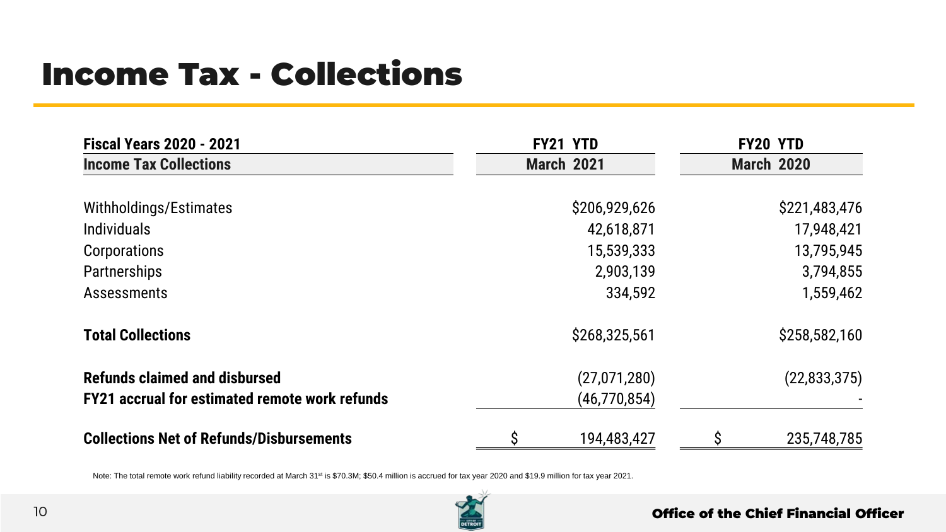## Income Tax - Collections

| <b>Fiscal Years 2020 - 2021</b>                       | FY21 YTD          | FY20 YTD          |                |
|-------------------------------------------------------|-------------------|-------------------|----------------|
| <b>Income Tax Collections</b>                         | <b>March 2021</b> | <b>March 2020</b> |                |
| Withholdings/Estimates                                | \$206,929,626     |                   | \$221,483,476  |
| <b>Individuals</b>                                    | 42,618,871        |                   | 17,948,421     |
| Corporations                                          | 15,539,333        |                   | 13,795,945     |
| Partnerships                                          | 2,903,139         |                   | 3,794,855      |
| Assessments                                           | 334,592           |                   | 1,559,462      |
| <b>Total Collections</b>                              | \$268,325,561     |                   | \$258,582,160  |
| <b>Refunds claimed and disbursed</b>                  | (27,071,280)      |                   | (22, 833, 375) |
| <b>FY21 accrual for estimated remote work refunds</b> | (46, 770, 854)    |                   |                |
| <b>Collections Net of Refunds/Disbursements</b>       | 194,483,427       |                   | 235,748,785    |

Note: The total remote work refund liability recorded at March 31<sup>st</sup> is \$70.3M; \$50.4 million is accrued for tax year 2020 and \$19.9 million for tax year 2021.

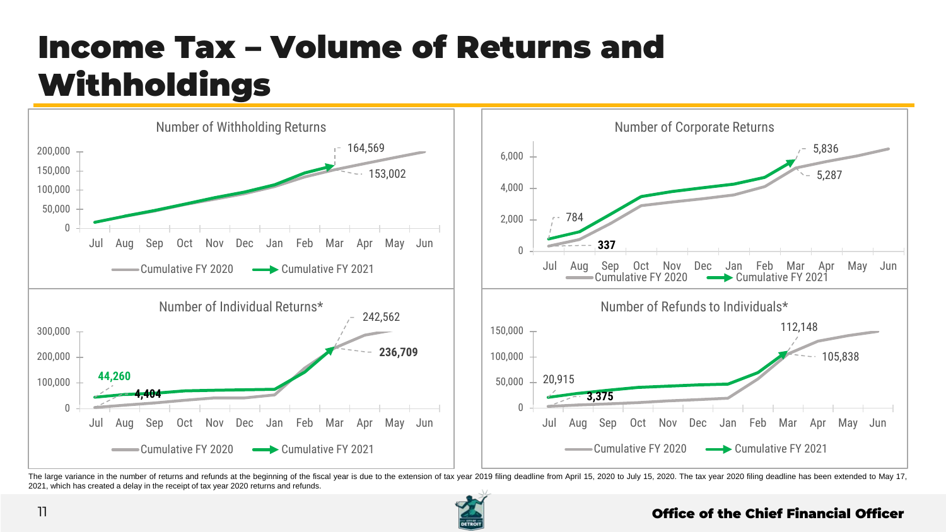## Income Tax – Volume of Returns and Withholdings



The large variance in the number of returns and refunds at the beginning of the fiscal year is due to the extension of tax year 2019 filing deadline from April 15, 2020 to July 15, 2020. The tax year 2020 filing deadline h 2021, which has created a delay in the receipt of tax year 2020 returns and refunds.

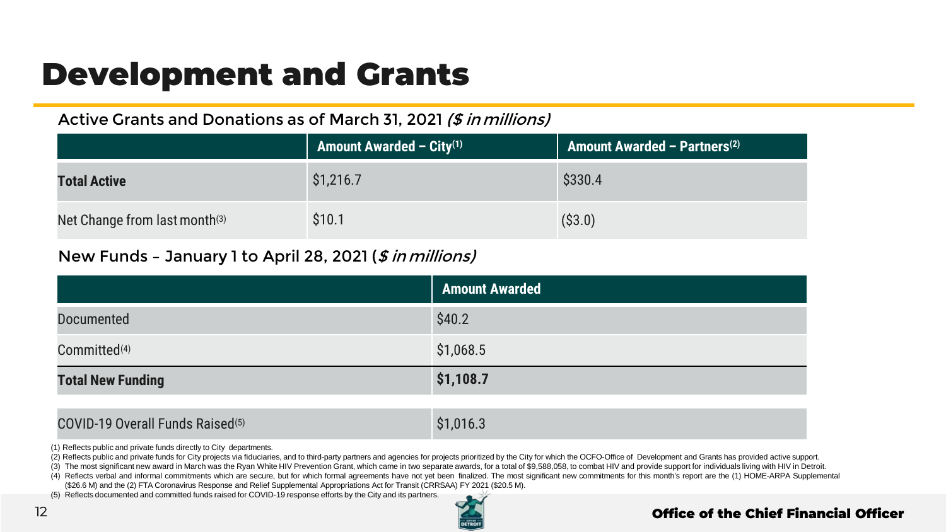## Development and Grants

## Active Grants and Donations as of March 31, 2021 (\$ in millions)

|                                           | <b>Amount Awarded – City</b> <sup>(1)</sup> | Amount Awarded - Partners <sup>(2)</sup> |
|-------------------------------------------|---------------------------------------------|------------------------------------------|
| <b>Total Active</b>                       | \$1,216.7                                   | \$330.4                                  |
| Net Change from last month <sup>(3)</sup> | \$10.1                                      | ( \$3.0)                                 |

## New Funds - January 1 to April 28, 2021 (\$ in millions)

|                          | <b>Amount Awarded</b> |
|--------------------------|-----------------------|
| Documented               | \$40.2                |
| Committed <sup>(4)</sup> | \$1,068.5             |
| <b>Total New Funding</b> | \$1,108.7             |

### $COVID-19$  Overall Funds Raised<sup>(5)</sup>  $$1,016.3$

(1) Reflects public and private funds directly to City departments.

(2) Reflects public and private funds for City projects via fiduciaries, and to third-party partners and agencies for projects prioritized by the City for which the OCFO-Office of Development and Grants has provided active

(3) The most significant new award in March was the Ryan White HIV Prevention Grant, which came in two separate awards, for a total of \$9,588,058, to combat HIV and provide support for individuals living with HIV in Detroit.

(4) Reflects verbal and informal commitments which are secure, but for which formal agreements have not yet been finalized. The most significant new commitments for this month's report are the (1) HOME-ARPA Supplemental

(\$26.6 M) and the (2) FTA Coronavirus Response and Relief Supplemental Appropriations Act for Transit (CRRSAA) FY 2021 (\$20.5 M).

(5) Reflects documented and committed funds raised for COVID-19 response efforts by the City and its partners.

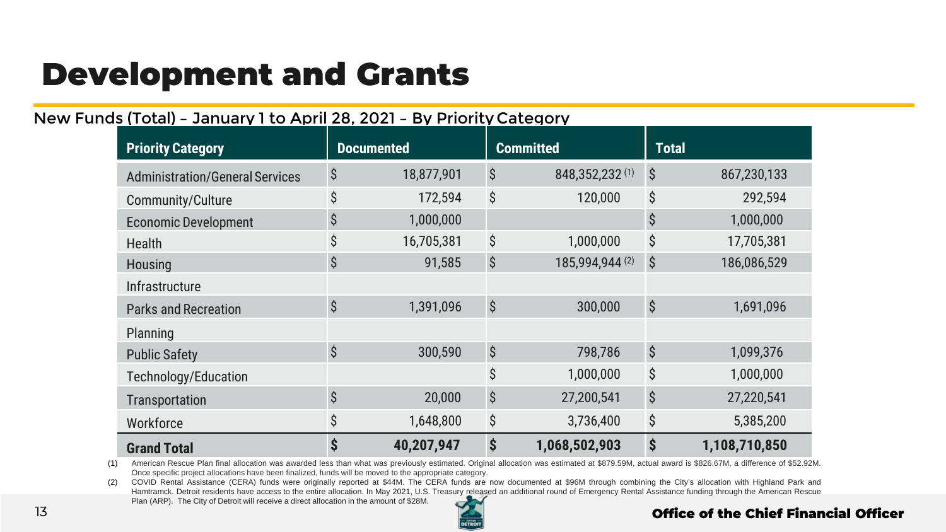## Development and Grants

## New Funds (Total) – January 1 to April 28, 2021 – By Priority Category

| <b>Priority Category</b>               | <b>Documented</b> |            |                           | <b>Committed</b> | <b>Total</b>              |               |
|----------------------------------------|-------------------|------------|---------------------------|------------------|---------------------------|---------------|
| <b>Administration/General Services</b> | \$                | 18,877,901 | \$                        | 848,352,232(1)   | $\boldsymbol{\mathsf{S}}$ | 867,230,133   |
| Community/Culture                      | \$                | 172,594    | \$                        | 120,000          | \$                        | 292,594       |
| <b>Economic Development</b>            | \$                | 1,000,000  |                           |                  | \$                        | 1,000,000     |
| Health                                 | \$                | 16,705,381 | \$                        | 1,000,000        | \$                        | 17,705,381    |
| Housing                                | \$                | 91,585     | \$                        | 185,994,944 (2)  | \$                        | 186,086,529   |
| <b>Infrastructure</b>                  |                   |            |                           |                  |                           |               |
| <b>Parks and Recreation</b>            | \$                | 1,391,096  | $\hat{\mathcal{S}}$       | 300,000          | \$                        | 1,691,096     |
| Planning                               |                   |            |                           |                  |                           |               |
| <b>Public Safety</b>                   | \$                | 300,590    | \$                        | 798,786          | $\hat{\mathcal{S}}$       | 1,099,376     |
| Technology/Education                   |                   |            | \$                        | 1,000,000        | \$                        | 1,000,000     |
| Transportation                         | \$                | 20,000     | \$                        | 27,200,541       | \$                        | 27,220,541    |
| Workforce                              | \$                | 1,648,800  | \$                        | 3,736,400        | \$                        | 5,385,200     |
| <b>Grand Total</b>                     | \$                | 40,207,947 | $\boldsymbol{\mathsf{S}}$ | 1,068,502,903    | \$                        | 1,108,710,850 |

(1) American Rescue Plan final allocation was awarded less than what was previously estimated. Original allocation was estimated at \$879.59M, actual award is \$826.67M, a difference of \$52.92M. Once specific project allocations have been finalized, funds will be moved to the appropriate category.

(2) COVID Rental Assistance (CERA) funds were originally reported at \$44M. The CERA funds are now documented at \$96M through combining the City's allocation with Highland Park and Hamtramck. Detroit residents have access to the entire allocation. In May 2021, U.S. Treasury released an additional round of Emergency Rental Assistance funding through the American Rescue Plan (ARP). The City of Detroit will receive a direct allocation in the amount of \$28M.

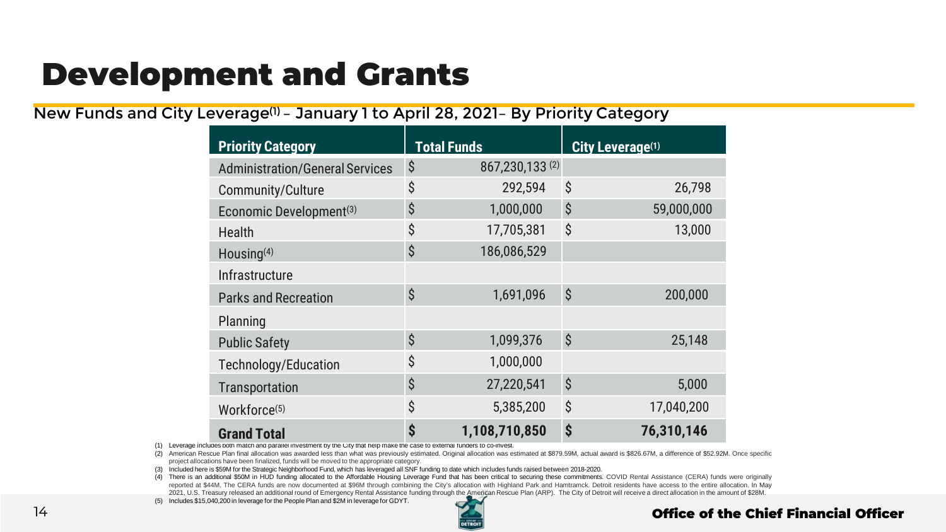## Development and Grants

New Funds and City Leverage(1) – January 1 to April 28, 2021– By Priority Category

| <b>Priority Category</b>               | <b>Total Funds</b>  |                |                     | City Leverage(1) |
|----------------------------------------|---------------------|----------------|---------------------|------------------|
| <b>Administration/General Services</b> | \$                  | 867,230,133(2) |                     |                  |
| Community/Culture                      | \$                  | 292,594        | \$                  | 26,798           |
| Economic Development <sup>(3)</sup>    | \$                  | 1,000,000      | \$                  | 59,000,000       |
| Health                                 | \$                  | 17,705,381     | \$                  | 13,000           |
| Housing <sup>(4)</sup>                 | \$                  | 186,086,529    |                     |                  |
| Infrastructure                         |                     |                |                     |                  |
| <b>Parks and Recreation</b>            | $\dot{\mathcal{S}}$ | 1,691,096      | \$                  | 200,000          |
| Planning                               |                     |                |                     |                  |
| <b>Public Safety</b>                   | $\hat{\mathcal{S}}$ | 1,099,376      | $\dot{\mathcal{S}}$ | 25,148           |
| Technology/Education                   | \$                  | 1,000,000      |                     |                  |
| Transportation                         | \$                  | 27,220,541     | \$                  | 5,000            |
| Workforce <sup>(5)</sup>               | \$                  | 5,385,200      | \$                  | 17,040,200       |
| <b>Grand Total</b>                     | \$                  | 1,108,710,850  | \$                  | 76,310,146       |

(1) Leverage includes both match and parallel investment by the City that help make the case to external funders to co-invest.

(2) American Rescue Plan final allocation was awarded less than what was previously estimated. Original allocation was estimated at \$879.59M, actual award is \$826.67M, a difference of \$52.92M. Once specific project allocations have been finalized, funds will be moved to the appropriate category.

(3) Included here is \$59M for the Strategic Neighborhood Fund, which has leveraged all SNF funding to date which includes funds raised between 2018-2020.

(4) There is an additional \$50M in HUD funding allocated to the Affordable Housing Leverage Fund that has been critical to securing these commitments. COVID Rental Assistance (CERA) funds were originally reported at \$44M. The CERA funds are now documented at \$96M through combining the City's allocation with Highland Park and Hamtramck. Detroit residents have access to the entire allocation. In May 2021, U.S. Treasury released an additional round of Emergency Rental Assistance funding through the American Rescue Plan (ARP). The City of Detroit will receive a direct allocation in the amount of \$28M.

(5) Includes \$15,040,200 in leverage for the People Plan and \$2M in leverage for GDYT.

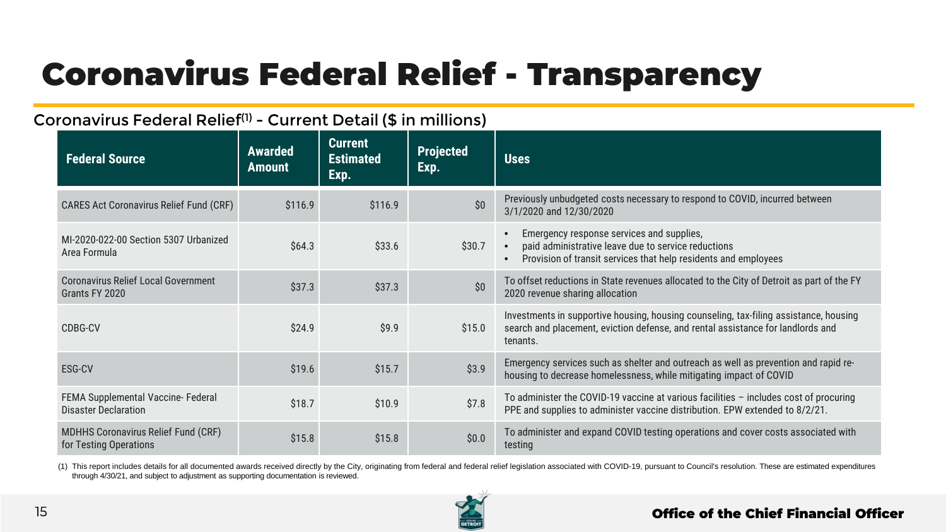## Coronavirus Federal Relief - Transparency

## Coronavirus Federal Relief(1) - Current Detail (\$ in millions)

| <b>Federal Source</b>                                                | <b>Awarded</b><br><b>Amount</b> | <b>Current</b><br><b>Estimated</b><br>Exp. | <b>Projected</b><br>Exp. | <b>Uses</b>                                                                                                                                                                                                |
|----------------------------------------------------------------------|---------------------------------|--------------------------------------------|--------------------------|------------------------------------------------------------------------------------------------------------------------------------------------------------------------------------------------------------|
| <b>CARES Act Coronavirus Relief Fund (CRF)</b>                       | \$116.9                         | \$116.9                                    | \$0                      | Previously unbudgeted costs necessary to respond to COVID, incurred between<br>3/1/2020 and 12/30/2020                                                                                                     |
| MI-2020-022-00 Section 5307 Urbanized<br>Area Formula                | \$64.3                          | \$33.6                                     | \$30.7                   | Emergency response services and supplies,<br>$\bullet$<br>paid administrative leave due to service reductions<br>$\bullet$<br>Provision of transit services that help residents and employees<br>$\bullet$ |
| Coronavirus Relief Local Government<br>Grants FY 2020                | \$37.3                          | \$37.3                                     | \$0                      | To offset reductions in State revenues allocated to the City of Detroit as part of the FY<br>2020 revenue sharing allocation                                                                               |
| CDBG-CV                                                              | \$24.9                          | \$9.9                                      | \$15.0                   | Investments in supportive housing, housing counseling, tax-filing assistance, housing<br>search and placement, eviction defense, and rental assistance for landlords and<br>tenants.                       |
| ESG-CV                                                               | \$19.6                          | \$15.7                                     | \$3.9                    | Emergency services such as shelter and outreach as well as prevention and rapid re-<br>housing to decrease homelessness, while mitigating impact of COVID                                                  |
| FEMA Supplemental Vaccine- Federal<br><b>Disaster Declaration</b>    | \$18.7                          | \$10.9                                     | \$7.8                    | To administer the COVID-19 vaccine at various facilities - includes cost of procuring<br>PPE and supplies to administer vaccine distribution. EPW extended to 8/2/21.                                      |
| <b>MDHHS Coronavirus Relief Fund (CRF)</b><br>for Testing Operations | \$15.8                          | \$15.8                                     | \$0.0\$                  | To administer and expand COVID testing operations and cover costs associated with<br>testing                                                                                                               |

(1) This report includes details for all documented awards received directly by the City, originating from federal and federal relief legislation associated with COVID-19, pursuant to Council's resolution. These are estima through 4/30/21, and subject to adjustment as supporting documentation is reviewed.

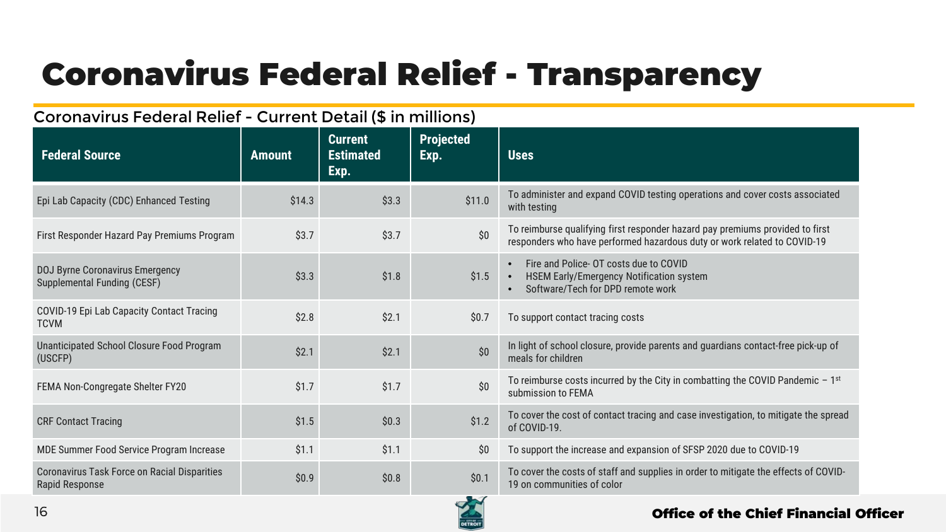## Coronavirus Federal Relief - Transparency

## Coronavirus Federal Relief - Current Detail (\$ in millions)

| <b>Federal Source</b>                                                 | <b>Amount</b> | <b>Current</b><br><b>Estimated</b><br>Exp. | <b>Projected</b><br>Exp. | <b>Uses</b>                                                                                                                                               |
|-----------------------------------------------------------------------|---------------|--------------------------------------------|--------------------------|-----------------------------------------------------------------------------------------------------------------------------------------------------------|
| Epi Lab Capacity (CDC) Enhanced Testing                               | \$14.3        | \$3.3                                      | \$11.0                   | To administer and expand COVID testing operations and cover costs associated<br>with testing                                                              |
| First Responder Hazard Pay Premiums Program                           | \$3.7         | \$3.7                                      | \$0                      | To reimburse qualifying first responder hazard pay premiums provided to first<br>responders who have performed hazardous duty or work related to COVID-19 |
| DOJ Byrne Coronavirus Emergency<br>Supplemental Funding (CESF)        | \$3.3         | \$1.8                                      | \$1.5                    | Fire and Police- OT costs due to COVID<br>$\bullet$<br>HSEM Early/Emergency Notification system<br>Software/Tech for DPD remote work                      |
| COVID-19 Epi Lab Capacity Contact Tracing<br><b>TCVM</b>              | \$2.8         | \$2.1                                      | \$0.7                    | To support contact tracing costs                                                                                                                          |
| Unanticipated School Closure Food Program<br>(USCFP)                  | \$2.1         | \$2.1                                      | \$0                      | In light of school closure, provide parents and guardians contact-free pick-up of<br>meals for children                                                   |
| FEMA Non-Congregate Shelter FY20                                      | \$1.7         | \$1.7                                      | \$0                      | To reimburse costs incurred by the City in combatting the COVID Pandemic $-1^{st}$<br>submission to FEMA                                                  |
| <b>CRF Contact Tracing</b>                                            | \$1.5         | \$0.3\$                                    | \$1.2                    | To cover the cost of contact tracing and case investigation, to mitigate the spread<br>of COVID-19.                                                       |
| MDE Summer Food Service Program Increase                              | \$1.1         | \$1.1                                      | \$0                      | To support the increase and expansion of SFSP 2020 due to COVID-19                                                                                        |
| <b>Coronavirus Task Force on Racial Disparities</b><br>Rapid Response | \$0.9         | \$0.8                                      | \$0.1                    | To cover the costs of staff and supplies in order to mitigate the effects of COVID-<br>19 on communities of color                                         |

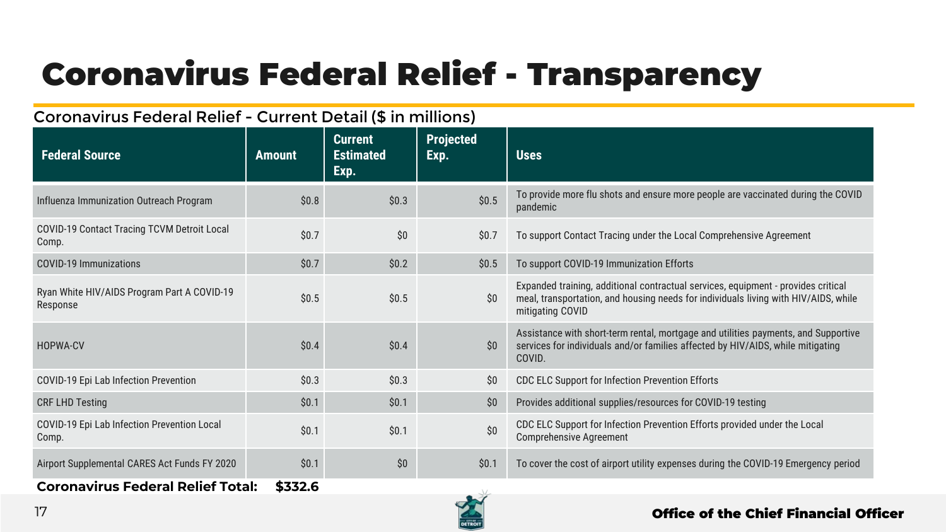## Coronavirus Federal Relief - Transparency

## Coronavirus Federal Relief - Current Detail (\$ in millions)

| <b>Federal Source</b>                                   | <b>Amount</b> | <b>Current</b><br><b>Estimated</b><br>Exp. | <b>Projected</b><br>Exp. | <b>Uses</b>                                                                                                                                                                                  |
|---------------------------------------------------------|---------------|--------------------------------------------|--------------------------|----------------------------------------------------------------------------------------------------------------------------------------------------------------------------------------------|
| Influenza Immunization Outreach Program                 | \$0.8         | \$0.3                                      | \$0.5                    | To provide more flu shots and ensure more people are vaccinated during the COVID<br>pandemic                                                                                                 |
| COVID-19 Contact Tracing TCVM Detroit Local<br>Comp.    | \$0.7         | \$0                                        | \$0.7                    | To support Contact Tracing under the Local Comprehensive Agreement                                                                                                                           |
| COVID-19 Immunizations                                  | \$0.7         | \$0.2\$                                    | \$0.5                    | To support COVID-19 Immunization Efforts                                                                                                                                                     |
| Ryan White HIV/AIDS Program Part A COVID-19<br>Response | \$0.5         | \$0.5                                      | \$0                      | Expanded training, additional contractual services, equipment - provides critical<br>meal, transportation, and housing needs for individuals living with HIV/AIDS, while<br>mitigating COVID |
| HOPWA-CV                                                | \$0.4         | \$0.4\$                                    | \$0                      | Assistance with short-term rental, mortgage and utilities payments, and Supportive<br>services for individuals and/or families affected by HIV/AIDS, while mitigating<br>COVID.              |
| COVID-19 Epi Lab Infection Prevention                   | \$0.3         | \$0.3\$                                    | \$0                      | <b>CDC ELC Support for Infection Prevention Efforts</b>                                                                                                                                      |
| <b>CRF LHD Testing</b>                                  | \$0.1         | \$0.1                                      | \$0                      | Provides additional supplies/resources for COVID-19 testing                                                                                                                                  |
| COVID-19 Epi Lab Infection Prevention Local<br>Comp.    | \$0.1         | \$0.1                                      | \$0\$                    | CDC ELC Support for Infection Prevention Efforts provided under the Local<br><b>Comprehensive Agreement</b>                                                                                  |
| Airport Supplemental CARES Act Funds FY 2020            | \$0.1         | \$0                                        | \$0.1                    | To cover the cost of airport utility expenses during the COVID-19 Emergency period                                                                                                           |
| <b>Coronavirus Federal Relief Total:</b>                | \$332.6       |                                            |                          |                                                                                                                                                                                              |

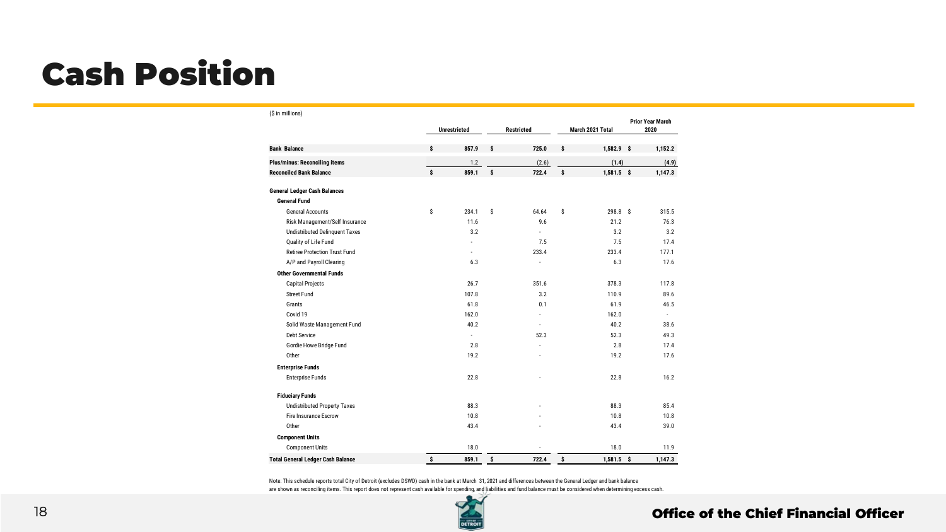## Cash Position

#### (\$ in millions) **Unrestricted Restricted March 2021 Total Prior Year March 2020 \$ 857.9 \$ 725.0 \$ 1,582.9 \$ 1,152.2 Plus/minus: Reconciling items** 1.2 (2.6) **(1.4) (4.9) Reconciled Bank Balance \$ 859.1 \$ 722.4 \$ 1,581.5 \$ 1,147.3 General Fund** General Accounts \$ 234.1 \$ 64.64 \$ 298.8 \$ 315.5 Risk Management/Self Insurance 11.6 9.6 21.2 76.3 Undistributed Delinquent Taxes 3.2 3.2 3.2 3.2 3.2 Quality of Life Fund 17.4 17.4 17.4 17.5 17.5 17.4 Retiree Protection Trust Fund **Canadian Control 2006** 233.4 233.4 233.4 233.4 233.4 233.4 233.4 233.4 233.4 233.4 A/P and Payroll Clearing 17.6 is a contract to the contract of the contract of the contract of the contract of the contract of the contract of the contract of the contract of the contract of the contract of the contract of **Other Governmental Funds** Capital Projects 26.7 351.6 378.3 117.8 Street Fund 107.8 3.2 110.9 89.6 Grants 61.8 0.1 61.9 46.5 **61.8 0.1 61.9** 61.9 46.5 Covid 19 162.0 - 162.0 - Solid Waste Management Fund 40.2 - 40.2 38.6 Debt Service - 52.3 52.3 49.3 Gordie Howe Bridge Fund 2.8 - 2.8 17.4 Other 19.2 17.6 19.2 17.6 **Enterprise Funds** Enterprise Funds 22.8 - 22.8 16.2 **Fiduciary Funds** Undistributed Property Taxes 68.4 88.3 85.4 88.3 85.4 Fire Insurance Escrow 10.8 - 10.8 10.8 Other 43.4 - 43.4 39.0 **Component Units** Component Units 18.0 11.9 **Total General Ledger Cash Balance \$ 859.1 \$ 722.4 \$ 1,581.5 \$ 1,147.3 General Ledger Cash Balances Bank Balance**

Note: This schedule reports total City of Detroit (excludes DSWD) cash in the bank at March 31, 2021 and differences between the General Ledger and bank balance are shown as reconciling items. This report does not represent cash available for spending, and liabilities and fund balance must be considered when determining excess cash.

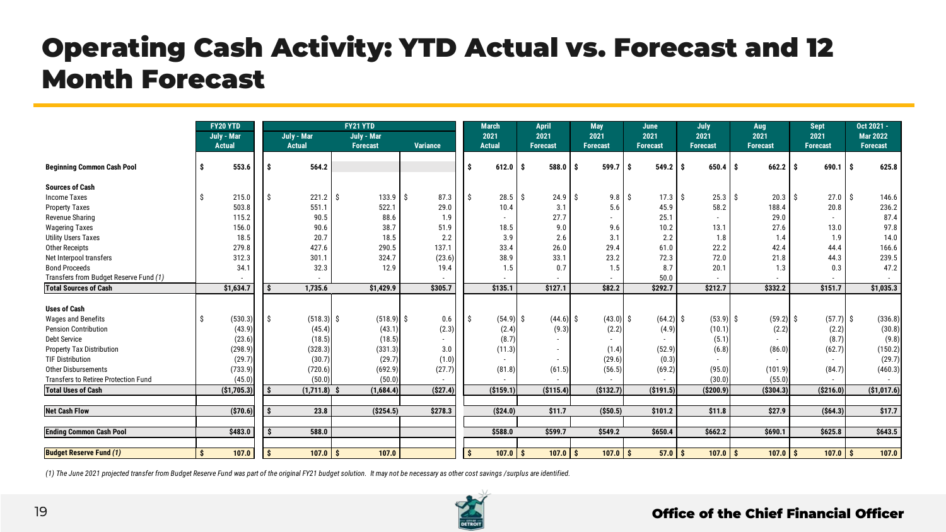## Operating Cash Activity: YTD Actual vs. Forecast and 12 Month Forecast

|                                        |     | FY20 YTD<br>July - Mar<br><b>Actual</b> |     | July - Mar<br><b>Actual</b> | FY21 YTD<br>July - Mar<br>Forecast | Variance |    | <b>March</b><br>2021<br><b>Actual</b> | <b>April</b><br>2021<br><b>Forecast</b> |             | <b>May</b><br>2021<br><b>Forecast</b> | June<br>2021<br><b>Forecast</b> |                   | July<br>2021<br><b>Forecast</b> | Aug<br>2021<br><b>Forecast</b> |             | <b>Sept</b><br>2021<br><b>Forecast</b> | Oct 2021 -<br><b>Mar 2022</b><br>Forecast |
|----------------------------------------|-----|-----------------------------------------|-----|-----------------------------|------------------------------------|----------|----|---------------------------------------|-----------------------------------------|-------------|---------------------------------------|---------------------------------|-------------------|---------------------------------|--------------------------------|-------------|----------------------------------------|-------------------------------------------|
|                                        |     |                                         |     |                             |                                    |          |    |                                       |                                         |             |                                       |                                 |                   |                                 |                                |             |                                        |                                           |
| <b>Beginning Common Cash Pool</b>      | Ŝ   | 553.6                                   | - S | 564.2                       |                                    |          | .s | 612.0                                 | 588.0<br>l S                            |             | 599.7                                 | ۱s                              | 549.2             | $650.4$ \$<br>۱s                |                                | 662.2       | $690.1$ S<br>. <b>\$</b>               | 625.8                                     |
| <b>Sources of Cash</b>                 |     |                                         |     |                             |                                    |          |    |                                       |                                         |             |                                       |                                 |                   |                                 |                                |             |                                        |                                           |
| <b>Income Taxes</b>                    | \$. | 215.0                                   |     | $221.2$ \$                  | $133.9$ \$                         | 87.3     | Ŝ. | 28.5                                  | ΙŚ                                      | 24.9        | - Š<br>9.8                            | Ŝ.                              | 17.3 <sup>5</sup> | 25.3                            | -S                             | $20.3$ \$   | 27.0 <sup>5</sup>                      | 146.6                                     |
| <b>Property Taxes</b>                  |     | 503.8                                   |     | 551.1                       | 522.1                              | 29.0     |    | 10.4                                  |                                         | 3.1         | 5.6                                   |                                 | 45.9              | 58.2                            |                                | 188.4       | 20.8                                   | 236.2                                     |
| Revenue Sharing                        |     | 115.2                                   |     | 90.5                        | 88.6                               | 1.9      |    | ٠                                     |                                         | 27.7        |                                       |                                 | 25.1              |                                 |                                | 29.0        |                                        | 87.4                                      |
| <b>Wagering Taxes</b>                  |     | 156.0                                   |     | 90.6                        | 38.7                               | 51.9     |    | 18.5                                  |                                         | 9.0         | 9.6                                   |                                 | 10.2              | 13.1                            |                                | 27.6        | 13.0                                   | 97.8                                      |
| <b>Utility Users Taxes</b>             |     | 18.5                                    |     | 20.7                        | 18.5                               | 2.2      |    | 3.9                                   |                                         | 2.6         | 3.1                                   |                                 | 2.2               | 1.8                             |                                | 1.4         | 1.9                                    | 14.0                                      |
| <b>Other Receipts</b>                  |     | 279.8                                   |     | 427.6                       | 290.5                              | 137.1    |    | 33.4                                  |                                         | 26.0        | 29.4                                  |                                 | 61.0              | 22.2                            |                                | 42.4        | 44.4                                   | 166.6                                     |
| Net Interpool transfers                |     | 312.3                                   |     | 301.1                       | 324.7                              | (23.6)   |    | 38.9                                  |                                         | 33.1        | 23.2                                  |                                 | 72.3              | 72.0                            |                                | 21.8        | 44.3                                   | 239.5                                     |
| <b>Bond Proceeds</b>                   |     | 34.1                                    |     | 32.3                        | 12.9                               | 19.4     |    | 1.5                                   |                                         | 0.7         | 1.5                                   |                                 | 8.7               | 20.1                            |                                | 1.3         | 0.3                                    | 47.2                                      |
| Transfers from Budget Reserve Fund (1) |     |                                         |     |                             |                                    |          |    |                                       |                                         |             |                                       |                                 | 50.0              |                                 |                                |             |                                        |                                           |
| <b>Total Sources of Cash</b>           |     | \$1,634.7                               |     | 1,735.6                     | \$1,429.9                          | \$305.7  |    | \$135.1                               | \$127.1                                 |             | \$82.2                                | \$292.7                         |                   | \$212.7                         |                                | \$332.2     | \$151.7                                | \$1,035.3                                 |
|                                        |     |                                         |     |                             |                                    |          |    |                                       |                                         |             |                                       |                                 |                   |                                 |                                |             |                                        |                                           |
| <b>Uses of Cash</b>                    |     |                                         |     |                             |                                    |          |    |                                       |                                         |             |                                       |                                 |                   |                                 |                                |             |                                        |                                           |
| <b>Wages and Benefits</b>              |     | (530.3)                                 | ۱s  | $(518.3)$ \$                | $(518.9)$ \$                       | 0.6      | Ŝ. | $(54.9)$ \$                           |                                         | $(44.6)$ \$ | $(43.0)$ \$                           |                                 | $(64.2)$ \$       | (53.9)                          | -S                             | $(59.2)$ \$ | $(57.7)$ \$                            | (336.8)                                   |
| <b>Pension Contribution</b>            |     | (43.9)                                  |     | (45.4)                      | (43.1)                             | (2.3)    |    | (2.4)                                 |                                         | (9.3)       | (2.2)                                 |                                 | (4.9)             | (10.1)                          |                                | (2.2)       | (2.2)                                  | (30.8)                                    |
| Debt Service                           |     | (23.6)                                  |     | (18.5)                      | (18.5)                             |          |    | (8.7)                                 |                                         |             |                                       |                                 |                   | (5.1)                           |                                |             | (8.7)                                  | (9.8)                                     |
| <b>Property Tax Distribution</b>       |     | (298.9)                                 |     | (328.3)                     | (331.3)                            | 3.0      |    | (11.3)                                |                                         |             | (1.4)                                 |                                 | (52.9)            | (6.8)                           |                                | (86.0)      | (62.7)                                 | (150.2)                                   |
| <b>TIF Distribution</b>                |     | (29.7)                                  |     | (30.7)                      | (29.7)                             | (1.0)    |    |                                       |                                         |             | (29.6)                                |                                 | (0.3)             |                                 |                                |             |                                        | (29.7)                                    |
| Other Disbursements                    |     | (733.9)                                 |     | (720.6)                     | (692.9)                            | (27.7)   |    | (81.8)                                |                                         | (61.5)      | (56.5)                                |                                 | (69.2)            | (95.0)                          |                                | (101.9)     | (84.7)                                 | (460.3)                                   |
| Transfers to Retiree Protection Fund   |     | (45.0)                                  |     | (50.0)                      | (50.0)                             |          |    |                                       |                                         |             |                                       |                                 |                   | (30.0)                          |                                | (55.0)      |                                        |                                           |
| <b>Total Uses of Cash</b>              |     | (\$1,705.3)                             |     | $(1,711.8)$ \$              | (1,684.4)                          | (S27.4)  |    | (S159.1)                              | (S115.4)                                |             | (S132.7)                              | ( \$191.5)                      |                   | (S200.9)                        |                                | ( \$304.3)  | ( \$216.0)                             | (\$1,017.6)                               |
|                                        |     |                                         |     |                             |                                    |          |    |                                       |                                         |             |                                       |                                 |                   |                                 |                                |             |                                        |                                           |
| <b>Net Cash Flow</b>                   |     | ( \$70.6)                               |     | 23.8                        | (S254.5)                           | \$278.3  |    | (S24.0)                               | \$11.7                                  |             | ( \$50.5)                             | \$101.2                         |                   | \$11.8                          |                                | \$27.9      | ( \$64.3)                              | \$17.7                                    |
|                                        |     |                                         |     |                             |                                    |          |    |                                       |                                         |             |                                       |                                 |                   |                                 |                                |             |                                        |                                           |
| <b>Ending Common Cash Pool</b>         |     | \$483.0                                 | -S  | 588.0                       |                                    |          |    | \$588.0                               | \$599.7                                 |             | \$549.2                               | \$650.4                         |                   | \$662.2                         |                                | \$690.1     | \$625.8                                | \$643.5                                   |
| <b>Budget Reserve Fund (1)</b>         | \$  | 107.0                                   | -Ŝ  | 107.0                       | 107.0                              |          | Ŝ. | 107.0                                 |                                         | $107.0$ \$  | 107.0                                 |                                 | $57.0$ \$         | $107.0$ S                       |                                |             |                                        | 107.0                                     |
|                                        |     |                                         |     |                             | l \$                               |          |    |                                       | l s                                     |             |                                       | $\mathsf{s}$                    |                   |                                 |                                | $107.0$ \$  | $107.0$ \$                             |                                           |

*(1) The June 2021 projected transfer from Budget Reserve Fund was part of the original FY21 budget solution. It may not be necessary as other cost savings /surplus are identified.* 

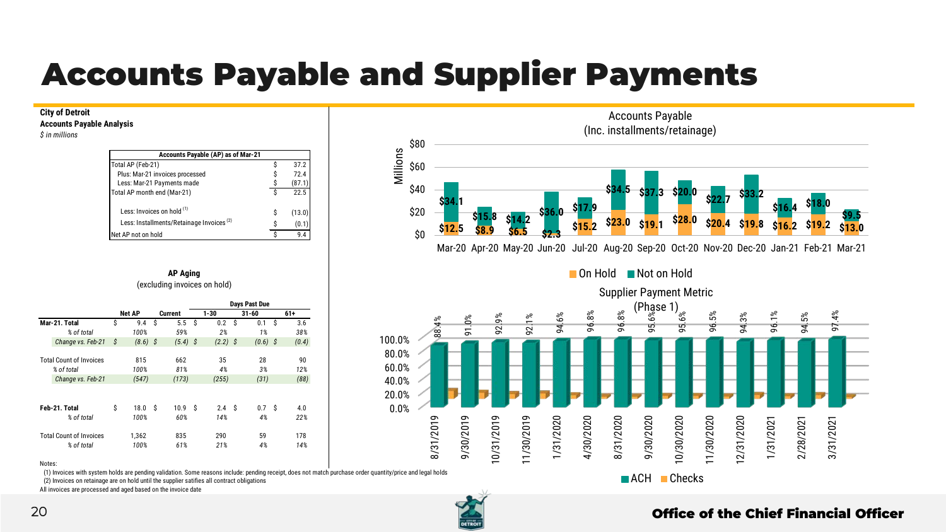## Accounts Payable and Supplier Payments

#### **City of Detroit**

**Accounts Payable Analysis**

*\$ in millions*

| Accounts Payable (AP) as of Mar-21                   |   |        |
|------------------------------------------------------|---|--------|
| Total AP (Feb-21)                                    | ς | 37.2   |
| Plus: Mar-21 invoices processed                      |   | 72.4   |
| Less: Mar-21 Payments made                           |   | (87.1  |
| Total AP month end (Mar-21)                          | S | 22.5   |
| Less: Invoices on hold (1)                           | Ŝ | (13.0) |
| Less: Installments/Retainage Invoices <sup>(2)</sup> | ¢ | (0.1)  |
| Net AP not on hold                                   |   | 9.4    |





■ On Hold ■ Not on Hold

Mar-20 Apr-20 May-20 Jun-20 Jul-20 Aug-20 Sep-20 Oct-20 Nov-20 Dec-20 Jan-21 Feb-21 Mar-21



#### Notes:

(1) Invoices with system holds are pending validation. Some reasons include: pending receipt, does not match purchase order quantity/price and legal holds

(2) Invoices on retainage are on hold until the supplier satifies all contract obligations

All invoices are processed and aged based on the invoice date

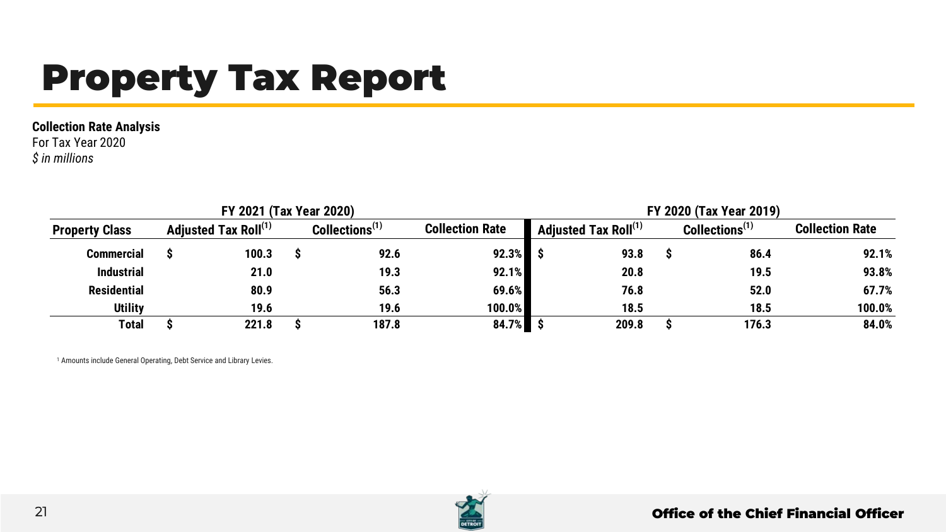# Property Tax Report

#### **Collection Rate Analysis**

For Tax Year 2020 *\$ in millions*

|                                                           |  | FY 2021 (Tax Year 2020) |                            |                        | FY 2020 (Tax Year 2019)                            |       |  |                            |                        |  |  |  |
|-----------------------------------------------------------|--|-------------------------|----------------------------|------------------------|----------------------------------------------------|-------|--|----------------------------|------------------------|--|--|--|
| Adjusted Tax Roll <sup>(1)</sup><br><b>Property Class</b> |  |                         | Collections <sup>(1)</sup> | <b>Collection Rate</b> | $^{\blacktriangledown}$ Adjusted Tax Roll $^{(1)}$ |       |  | Collections <sup>(1)</sup> | <b>Collection Rate</b> |  |  |  |
| <b>Commercial</b>                                         |  | 100.3                   | 92.6                       | $92.3%$ \$             |                                                    | 93.8  |  | 86.4                       | 92.1%                  |  |  |  |
| <b>Industrial</b>                                         |  | 21.0                    | 19.3                       | 92.1%                  |                                                    | 20.8  |  | 19.5                       | 93.8%                  |  |  |  |
| <b>Residential</b>                                        |  | 80.9                    | 56.3                       | 69.6%                  |                                                    | 76.8  |  | 52.0                       | 67.7%                  |  |  |  |
| <b>Utility</b>                                            |  | 19.6                    | 19.6                       | 100.0%                 |                                                    | 18.5  |  | 18.5                       | 100.0%                 |  |  |  |
| Total                                                     |  | 221.8                   | 187.8                      | $84.7\%$ \$            |                                                    | 209.8 |  | 176.3                      | 84.0%                  |  |  |  |

<sup>1</sup> Amounts include General Operating, Debt Service and Library Levies.

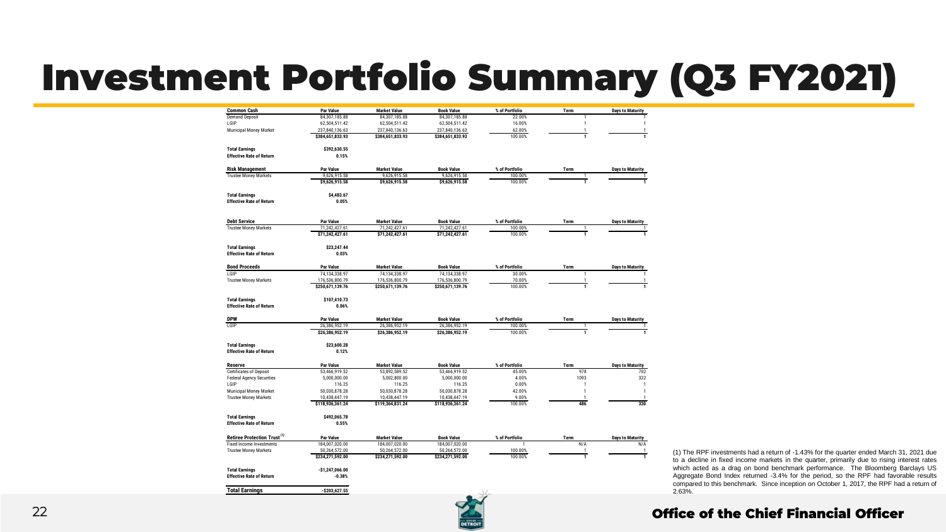# Investment Portfolio Summary (Q3 FY2021)

| <b>Common Cash</b>                                                 | <b>Par Value</b>           | <b>Market Value</b>                  | <b>Book Value</b>                  | % of Portfolio           | Term           | <b>Days to Maturity</b>        |
|--------------------------------------------------------------------|----------------------------|--------------------------------------|------------------------------------|--------------------------|----------------|--------------------------------|
| <b>Demand Deposit</b>                                              | 84,307,185.88              | 84,307,185.88                        | 84,307,185.88                      | 22.00%                   | 1              | 1                              |
| LGIP                                                               | 62,504,511.42              | 62,504,511.42                        | 62,504,511.42                      | 16.00%                   | $\mathbf{1}$   | 1                              |
| Municipal Money Market                                             | 237,840,136.63             | 237,840,136.63                       | 237,840,136.63                     | 62.00%                   | $\mathbf{1}$   | $\mathbf{1}$                   |
|                                                                    | \$384,651,833.93           | \$384,651,833.93                     | \$384,651,833.93                   | 100.00%                  | $\mathbf{1}$   | $\mathbf{1}$                   |
| <b>Total Earnings</b>                                              | \$392,630,55               |                                      |                                    |                          |                |                                |
| <b>Effective Rate of Return</b>                                    | 0.15%                      |                                      |                                    |                          |                |                                |
| <b>Risk Management</b>                                             | Par Value                  | <b>Market Value</b>                  | <b>Book Value</b>                  | % of Portfolio           | Term           | <b>Days to Maturity</b>        |
| <b>Trustee Money Markets</b>                                       | 9,626,915.58               | 9,626,915.58                         | 9,626,915.58                       | 100.00%                  | 1              | 1                              |
|                                                                    | \$9,626,915.58             | \$9,626,915.58                       | \$9,626,915.58                     | 100.00%                  | $\overline{1}$ | 1                              |
| <b>Total Earnings</b>                                              | \$4,483.67                 |                                      |                                    |                          |                |                                |
| <b>Effective Rate of Return</b>                                    | 0.05%                      |                                      |                                    |                          |                |                                |
| <b>Debt Service</b>                                                | <b>Par Value</b>           | <b>Market Value</b>                  | <b>Book Value</b>                  | % of Portfolio           | Term           | <b>Days to Maturity</b>        |
| <b>Trustee Money Markets</b>                                       | 71.242.427.61              | 71.242.427.61                        | 71,242,427.61                      | 100.00%                  | 1              | 1                              |
|                                                                    | \$71,242,427.61            | \$71,242,427.61                      | \$71,242,427.61                    | 100.00%                  | $\overline{1}$ | $\mathbf{1}$                   |
| <b>Total Earnings</b>                                              | \$23.247.44                |                                      |                                    |                          |                |                                |
| <b>Effective Rate of Return</b>                                    | 0.03%                      |                                      |                                    |                          |                |                                |
| <b>Bond Proceeds</b>                                               | <b>Par Value</b>           | <b>Market Value</b>                  | <b>Book Value</b>                  | % of Portfolio           | Term           | <b>Days to Maturity</b>        |
| LGIP                                                               | 74.134.338.97              | 74.134.338.97                        | 74.134.338.97                      | 30.00%                   | $\mathbf{1}$   |                                |
| <b>Trustee Money Markets</b>                                       | 176,536,800.79             | 176,536,800.79                       | 176,536,800.79                     | 70.00%                   | 1              | $\mathbf{1}$                   |
|                                                                    | \$250,671,139.76           | \$250,671,139.76                     | \$250,671,139.76                   | 100.00%                  | $\mathbf{1}$   | $\mathbf{1}$                   |
| <b>Total Earnings</b>                                              | \$107.410.73               |                                      |                                    |                          |                |                                |
| <b>Effective Rate of Return</b>                                    | 0.06%                      |                                      |                                    |                          |                |                                |
| <b>DPW</b>                                                         | <b>Par Value</b>           | <b>Market Value</b>                  | <b>Book Value</b>                  | % of Portfolio           | Term           | <b>Days to Maturity</b>        |
| <b>TGIP</b>                                                        | 26.386.952.19              | 26.386.952.19                        | 26.386.952.19                      | 100.00%                  | $\mathbf{1}$   | 1                              |
|                                                                    | \$26.386.952.19            | \$26,386,952.19                      | \$26,386,952.19                    | 100.00%                  | $\overline{1}$ | 1                              |
| <b>Total Earnings</b>                                              | \$23,600.28                |                                      |                                    |                          |                |                                |
| <b>Effective Rate of Return</b>                                    | 0.12%                      |                                      |                                    |                          |                |                                |
|                                                                    |                            |                                      |                                    |                          |                |                                |
| <b>Reserve</b>                                                     | Par Value<br>53.466.919.52 | <b>Market Value</b><br>53.892.589.52 | <b>Book Value</b><br>53,466,919.52 | % of Portfolio<br>45.00% | Term<br>978    | <b>Days to Maturity</b><br>702 |
| <b>Certificates of Deposit</b><br><b>Federal Agency Securities</b> | 5,000,000.00               | 5,002,800.00                         | 5,000,000.00                       | 4.00%                    | 1093           | 322                            |
| LGIP                                                               | 116.25                     | 116.25                               | 116.25                             | 0.00%                    | $\overline{1}$ | $\overline{1}$                 |
| Municipal Money Market                                             | 50.030.878.28              | 50.030.878.28                        | 50.030.878.28                      | 42.00%                   | 1              | 1                              |
| <b>Trustee Money Markets</b>                                       | 10.438.447.19              | 10.438.447.19                        | 10.438.447.19                      | 9.00%                    | $\mathbf{1}$   | $\mathbf{1}$                   |
|                                                                    | \$118,936,361.24           | \$119,364,831.24                     | \$118,936,361.24                   | 100.00%                  | 486            | 330                            |
| <b>Total Earnings</b>                                              | \$492.065.78               |                                      |                                    |                          |                |                                |
| <b>Effective Rate of Return</b>                                    | 0.55%                      |                                      |                                    |                          |                |                                |
| Retiree Protection Trust <sup>(1)</sup>                            | <b>Par Value</b>           | <b>Market Value</b>                  | <b>Book Value</b>                  | % of Portfolio           | Term           | <b>Days to Maturity</b>        |
| <b>Fixed Income Investments</b>                                    | 184.007.020.00             | 184.007.020.00                       | 184.007.020.00                     |                          | N/A            | N/A                            |
| <b>Trustee Money Markets</b>                                       | 50,264,572.00              | 50,264,572.00                        | 50,264,572.00                      | 100.00%                  | $\mathbf{1}$   | $\mathbf{1}$                   |
|                                                                    | \$234,271,592.00           | \$234,271,592.00                     | \$234,271,592.00                   | 100.00%                  | ī              | T                              |
| <b>Total Earnings</b>                                              | $-$1,247,066.00$           |                                      |                                    |                          |                |                                |
| <b>Effective Rate of Return</b>                                    | $-0.38%$                   |                                      |                                    |                          |                |                                |
| <b>Total Earnings</b>                                              | $-5203627.55$              |                                      |                                    |                          |                |                                |



(1) The RPF investments had a return of -1.43% for the quarter ended March 31, 2021 due to a decline in fixed income markets in the quarter, primarily due to rising interest rates which acted as a drag on bond benchmark performance. The Bloomberg Barclays US Aggregate Bond Index returned -3.4% for the period, so the RPF had favorable results compared to this benchmark. Since inception on October 1, 2017, the RPF had a return of 2.63%.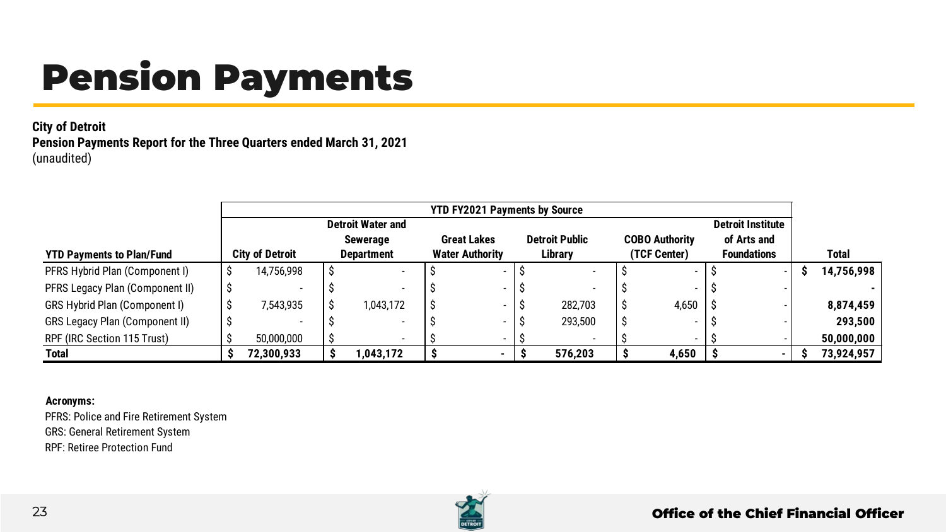# Pension Payments

#### **City of Detroit Pension Payments Report for the Three Quarters ended March 31, 2021** (unaudited)

|                                       | <b>YTD FY2021 Payments by Source</b> |  |                          |  |                        |  |                       |  |                          |  |                          |  |            |
|---------------------------------------|--------------------------------------|--|--------------------------|--|------------------------|--|-----------------------|--|--------------------------|--|--------------------------|--|------------|
|                                       |                                      |  | <b>Detroit Water and</b> |  |                        |  |                       |  |                          |  | <b>Detroit Institute</b> |  |            |
|                                       |                                      |  | <b>Sewerage</b>          |  | <b>Great Lakes</b>     |  | <b>Detroit Public</b> |  | <b>COBO Authority</b>    |  | of Arts and              |  |            |
| <b>YTD Payments to Plan/Fund</b>      | <b>City of Detroit</b>               |  | <b>Department</b>        |  | <b>Water Authority</b> |  | Librarv               |  | (TCF Center)             |  | <b>Foundations</b>       |  | Total      |
| PFRS Hybrid Plan (Component I)        | 14,756,998                           |  |                          |  |                        |  |                       |  |                          |  |                          |  | 14,756,998 |
| PFRS Legacy Plan (Component II)       |                                      |  |                          |  |                        |  |                       |  |                          |  |                          |  |            |
| GRS Hybrid Plan (Component I)         | 7.543.935                            |  | 1.043.172                |  |                        |  | 282,703               |  | 4,650                    |  |                          |  | 8,874,459  |
| <b>GRS Legacy Plan (Component II)</b> |                                      |  |                          |  |                        |  | 293,500               |  |                          |  |                          |  | 293.500    |
| RPF (IRC Section 115 Trust)           | 50,000,000                           |  | $\overline{\phantom{a}}$ |  |                        |  |                       |  | $\overline{\phantom{0}}$ |  |                          |  | 50,000,000 |
| Total                                 | 72,300,933                           |  | ,043,172                 |  |                        |  | 576,203               |  | 4,650                    |  |                          |  | 73,924,957 |

#### **Acronyms:**

PFRS: Police and Fire Retirement System GRS: General Retirement System RPF: Retiree Protection Fund

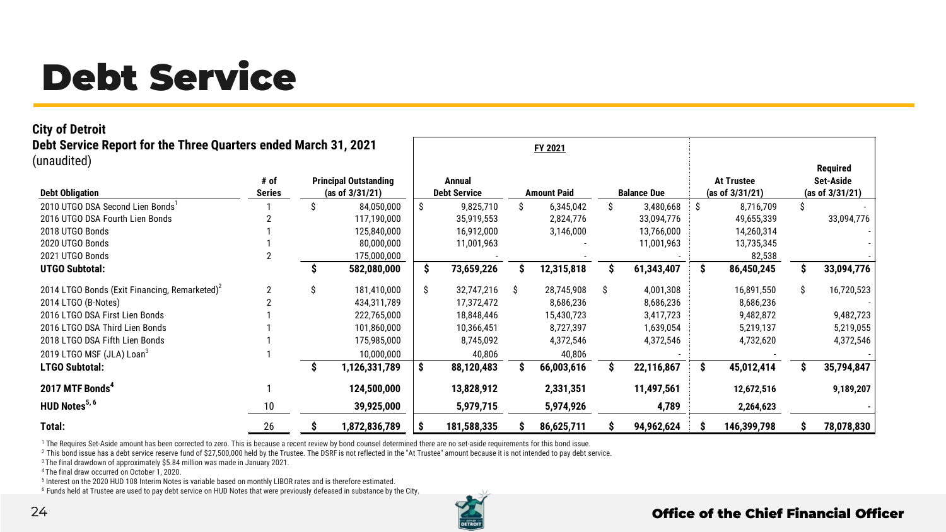# Debt Service

#### **City of Detroit**

**Debt Service Report for the Three Quarters ended March 31, 2021** (unaudited)

|                                                           |                 |   |                              |    |                     |    | .                  |    |                    |     |                   |    |                 |
|-----------------------------------------------------------|-----------------|---|------------------------------|----|---------------------|----|--------------------|----|--------------------|-----|-------------------|----|-----------------|
| unaudited)                                                |                 |   |                              |    |                     |    |                    |    |                    |     |                   |    | Required        |
|                                                           | # of            |   | <b>Principal Outstanding</b> |    | Annual              |    |                    |    |                    |     | <b>At Trustee</b> |    | Set-Aside       |
| <b>Debt Obligation</b>                                    | Series          |   | (as of $3/31/21$ )           |    | <b>Debt Service</b> |    | <b>Amount Paid</b> |    | <b>Balance Due</b> |     | (as of 3/31/21)   |    | (as of 3/31/21) |
| 2010 UTGO DSA Second Lien Bonds'                          |                 | S | 84,050,000                   | Ŝ. | 9,825,710           |    | 6,345,042          |    | 3,480,668          | S   | 8,716,709         | Ŝ  |                 |
| 2016 UTGO DSA Fourth Lien Bonds                           |                 |   | 117,190,000                  |    | 35,919,553          |    | 2,824,776          |    | 33,094,776         |     | 49,655,339        |    | 33,094,776      |
| 2018 UTGO Bonds                                           |                 |   | 125,840,000                  |    | 16,912,000          |    | 3,146,000          |    | 13,766,000         |     | 14,260,314        |    |                 |
| 2020 UTGO Bonds                                           |                 |   | 80,000,000                   |    | 11,001,963          |    |                    |    | 11,001,963         |     | 13,735,345        |    |                 |
| 2021 UTGO Bonds                                           |                 |   | 175,000,000                  |    |                     |    |                    |    |                    |     | 82,538            |    |                 |
| <b>UTGO Subtotal:</b>                                     |                 |   | 582,080,000                  | s  | 73,659,226          |    | 12,315,818         |    | 61,343,407         | \$. | 86,450,245        |    | 33,094,776      |
| 2014 LTGO Bonds (Exit Financing, Remarketed) <sup>2</sup> |                 | S | 181,410,000                  | Ŝ  | 32,747,216          | -Ŝ | 28,745,908         | -Ŝ | 4,001,308          |     | 16,891,550        | Ŝ. | 16,720,523      |
| 2014 LTGO (B-Notes)                                       |                 |   | 434,311,789                  |    | 17,372,472          |    | 8,686,236          |    | 8,686,236          |     | 8,686,236         |    |                 |
| 2016 LTGO DSA First Lien Bonds                            |                 |   | 222,765,000                  |    | 18,848,446          |    | 15,430,723         |    | 3,417,723          |     | 9,482,872         |    | 9,482,723       |
| 2016 LTGO DSA Third Lien Bonds                            |                 |   | 101,860,000                  |    | 10,366,451          |    | 8,727,397          |    | 1,639,054          |     | 5,219,137         |    | 5,219,055       |
| 2018 LTGO DSA Fifth Lien Bonds                            |                 |   | 175,985,000                  |    | 8,745,092           |    | 4,372,546          |    | 4,372,546          |     | 4,732,620         |    | 4,372,546       |
| 2019 LTGO MSF (JLA) Loan <sup>3</sup>                     |                 |   | 10,000,000                   |    | 40,806              |    | 40,806             |    |                    |     |                   |    |                 |
| <b>LTGO Subtotal:</b>                                     |                 |   | 1,126,331,789                | s  | 88,120,483          |    | 66,003,616         |    | 22,116,867         | Ŝ.  | 45,012,414        |    | 35,794,847      |
| 2017 MTF Bonds <sup>4</sup>                               |                 |   | 124,500,000                  |    | 13,828,912          |    | 2,331,351          |    | 11,497,561         |     | 12,672,516        |    | 9,189,207       |
| HUD Notes <sup>5, 6</sup>                                 | 10 <sup>°</sup> |   | 39,925,000                   |    | 5,979,715           |    | 5,974,926          |    | 4,789              |     | 2,264,623         |    |                 |
| Total:                                                    | 26              |   | 1,872,836,789                |    | 181,588,335         |    | 86,625,711         |    | 94,962,624         |     | 146,399,798       |    | 78,078,830      |

**FY 2021**

<sup>1</sup> The Requires Set-Aside amount has been corrected to zero. This is because a recent review by bond counsel determined there are no set-aside requirements for this bond issue.

<sup>2</sup> This bond issue has a debt service reserve fund of \$27,500,000 held by the Trustee. The DSRF is not reflected in the "At Trustee" amount because it is not intended to pay debt service.

<sup>3</sup> The final drawdown of approximately \$5.84 million was made in January 2021.

<sup>4</sup> The final draw occurred on October 1, 2020.

<sup>5</sup> Interest on the 2020 HUD 108 Interim Notes is variable based on monthly LIBOR rates and is therefore estimated.

<sup>6</sup> Funds held at Trustee are used to pay debt service on HUD Notes that were previously defeased in substance by the City.

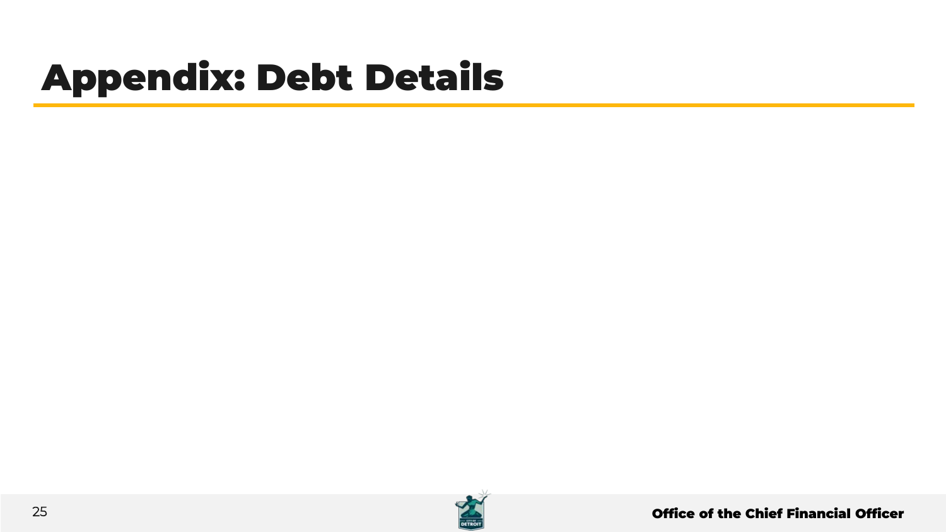# Appendix: Debt Details

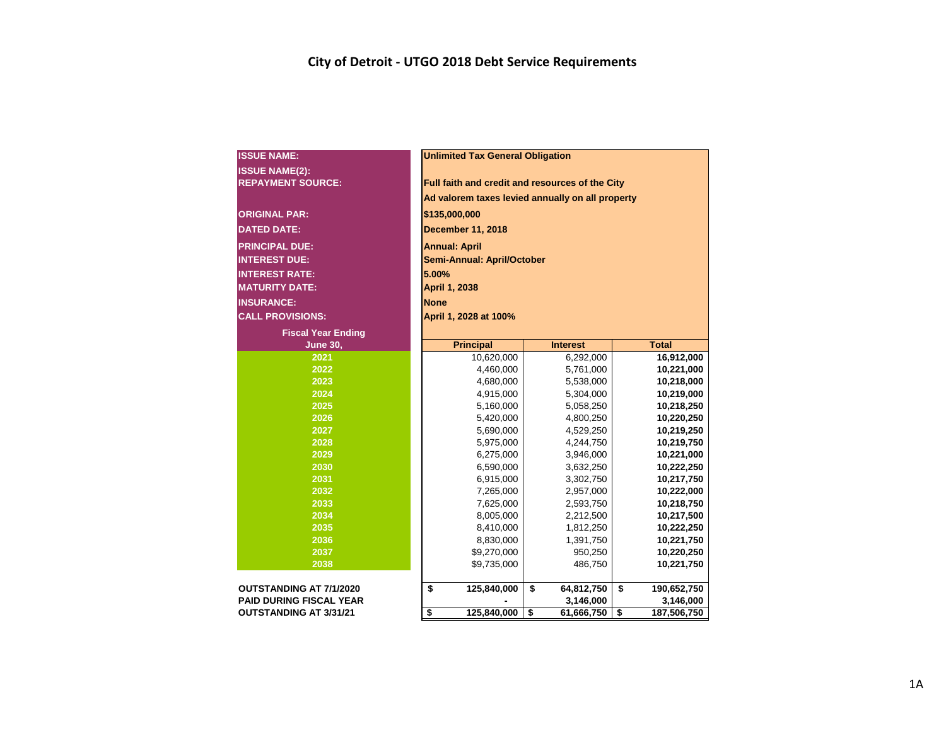| <b>ISSUE NAME:</b>                                | <b>Unlimited Tax General Obligation</b> |                                                                                                     |                   |  |  |  |  |  |  |  |  |  |
|---------------------------------------------------|-----------------------------------------|-----------------------------------------------------------------------------------------------------|-------------------|--|--|--|--|--|--|--|--|--|
|                                                   |                                         |                                                                                                     |                   |  |  |  |  |  |  |  |  |  |
| <b>ISSUE NAME(2):</b><br><b>REPAYMENT SOURCE:</b> |                                         |                                                                                                     |                   |  |  |  |  |  |  |  |  |  |
|                                                   |                                         | Full faith and credit and resources of the City<br>Ad valorem taxes levied annually on all property |                   |  |  |  |  |  |  |  |  |  |
|                                                   |                                         |                                                                                                     |                   |  |  |  |  |  |  |  |  |  |
| <b>ORIGINAL PAR:</b>                              | \$135,000,000                           |                                                                                                     |                   |  |  |  |  |  |  |  |  |  |
| <b>DATED DATE:</b>                                | <b>December 11, 2018</b>                |                                                                                                     |                   |  |  |  |  |  |  |  |  |  |
| <b>PRINCIPAL DUE:</b>                             | <b>Annual: April</b>                    |                                                                                                     |                   |  |  |  |  |  |  |  |  |  |
| <b>INTEREST DUE:</b>                              | Semi-Annual: April/October              |                                                                                                     |                   |  |  |  |  |  |  |  |  |  |
| <b>INTEREST RATE:</b>                             | 5.00%                                   |                                                                                                     |                   |  |  |  |  |  |  |  |  |  |
| <b>MATURITY DATE:</b>                             | April 1, 2038                           |                                                                                                     |                   |  |  |  |  |  |  |  |  |  |
| <b>INSURANCE:</b>                                 | <b>None</b>                             |                                                                                                     |                   |  |  |  |  |  |  |  |  |  |
| <b>CALL PROVISIONS:</b>                           | April 1, 2028 at 100%                   |                                                                                                     |                   |  |  |  |  |  |  |  |  |  |
| <b>Fiscal Year Ending</b>                         |                                         |                                                                                                     |                   |  |  |  |  |  |  |  |  |  |
| <b>June 30,</b>                                   | <b>Principal</b>                        | <b>Interest</b>                                                                                     | <b>Total</b>      |  |  |  |  |  |  |  |  |  |
| 2021                                              | 10,620,000                              | 6,292,000                                                                                           | 16,912,000        |  |  |  |  |  |  |  |  |  |
| 2022                                              | 4,460,000                               | 5,761,000                                                                                           | 10,221,000        |  |  |  |  |  |  |  |  |  |
| 2023                                              | 4,680,000                               | 5,538,000                                                                                           | 10,218,000        |  |  |  |  |  |  |  |  |  |
| 2024                                              | 4,915,000                               | 5,304,000                                                                                           | 10,219,000        |  |  |  |  |  |  |  |  |  |
| 2025                                              | 5,160,000                               | 5,058,250                                                                                           | 10,218,250        |  |  |  |  |  |  |  |  |  |
| 2026                                              | 5,420,000                               | 4,800,250                                                                                           | 10,220,250        |  |  |  |  |  |  |  |  |  |
| 2027                                              | 5,690,000                               | 4,529,250                                                                                           | 10,219,250        |  |  |  |  |  |  |  |  |  |
| 2028                                              | 5,975,000                               | 4,244,750                                                                                           | 10,219,750        |  |  |  |  |  |  |  |  |  |
| 2029                                              | 6,275,000                               | 3,946,000                                                                                           | 10,221,000        |  |  |  |  |  |  |  |  |  |
| 2030                                              | 6,590,000                               | 3,632,250                                                                                           | 10,222,250        |  |  |  |  |  |  |  |  |  |
| 2031                                              | 6,915,000                               | 3,302,750                                                                                           | 10,217,750        |  |  |  |  |  |  |  |  |  |
| 2032                                              | 7,265,000                               | 2,957,000                                                                                           | 10,222,000        |  |  |  |  |  |  |  |  |  |
| 2033                                              | 7,625,000                               | 2,593,750                                                                                           | 10,218,750        |  |  |  |  |  |  |  |  |  |
| 2034                                              | 8,005,000                               | 2,212,500                                                                                           | 10,217,500        |  |  |  |  |  |  |  |  |  |
| 2035                                              | 8,410,000                               | 1,812,250                                                                                           | 10,222,250        |  |  |  |  |  |  |  |  |  |
| 2036                                              | 8,830,000                               | 1,391,750                                                                                           | 10,221,750        |  |  |  |  |  |  |  |  |  |
| 2037                                              | \$9,270,000                             | 950,250                                                                                             | 10,220,250        |  |  |  |  |  |  |  |  |  |
| 2038                                              | \$9,735,000                             | 486,750                                                                                             | 10,221,750        |  |  |  |  |  |  |  |  |  |
| <b>OUTSTANDING AT 7/1/2020</b>                    | \$<br>125,840,000                       | \$<br>64,812,750                                                                                    | \$<br>190,652,750 |  |  |  |  |  |  |  |  |  |
| <b>PAID DURING FISCAL YEAR</b>                    |                                         | 3,146,000                                                                                           | 3,146,000         |  |  |  |  |  |  |  |  |  |
| <b>OUTSTANDING AT 3/31/21</b>                     | \$<br>125,840,000                       | \$<br>61,666,750                                                                                    | \$<br>187,506,750 |  |  |  |  |  |  |  |  |  |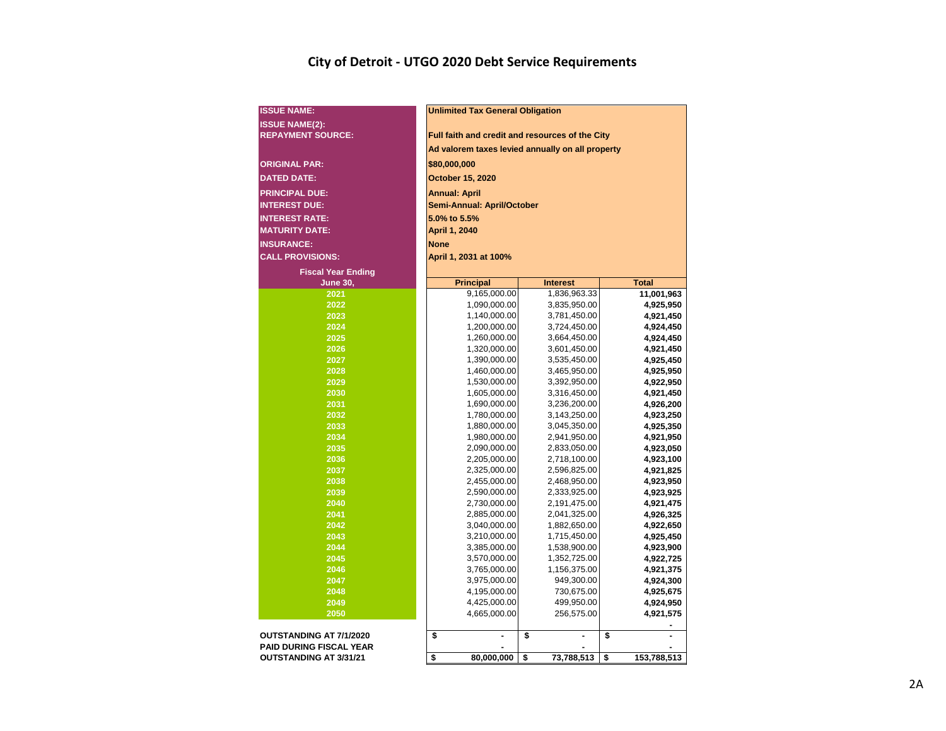## **City of Detroit - UTGO 2020 Debt Service Requirements**

| <b>ISSUE NAME:</b>             | <b>Unlimited Tax General Obligation</b>          |                              |                        |  |  |  |  |  |  |  |  |  |
|--------------------------------|--------------------------------------------------|------------------------------|------------------------|--|--|--|--|--|--|--|--|--|
| <b>ISSUE NAME(2):</b>          |                                                  |                              |                        |  |  |  |  |  |  |  |  |  |
| <b>REPAYMENT SOURCE:</b>       | Full faith and credit and resources of the City  |                              |                        |  |  |  |  |  |  |  |  |  |
|                                | Ad valorem taxes levied annually on all property |                              |                        |  |  |  |  |  |  |  |  |  |
| <b>ORIGINAL PAR:</b>           | \$80,000,000                                     |                              |                        |  |  |  |  |  |  |  |  |  |
|                                |                                                  |                              |                        |  |  |  |  |  |  |  |  |  |
| <b>DATED DATE:</b>             | October 15, 2020                                 |                              |                        |  |  |  |  |  |  |  |  |  |
| <b>PRINCIPAL DUE:</b>          | <b>Annual: April</b>                             |                              |                        |  |  |  |  |  |  |  |  |  |
| <b>INTEREST DUE:</b>           | <b>Semi-Annual: April/October</b>                |                              |                        |  |  |  |  |  |  |  |  |  |
| <b>INTEREST RATE:</b>          | 5.0% to 5.5%                                     |                              |                        |  |  |  |  |  |  |  |  |  |
| <b>MATURITY DATE:</b>          | April 1, 2040                                    |                              |                        |  |  |  |  |  |  |  |  |  |
| <b>INSURANCE:</b>              | <b>None</b>                                      |                              |                        |  |  |  |  |  |  |  |  |  |
| <b>CALL PROVISIONS:</b>        | April 1, 2031 at 100%                            |                              |                        |  |  |  |  |  |  |  |  |  |
| <b>Fiscal Year Ending</b>      |                                                  |                              |                        |  |  |  |  |  |  |  |  |  |
| <b>June 30,</b>                | <b>Principal</b>                                 | <b>Interest</b>              | <b>Total</b>           |  |  |  |  |  |  |  |  |  |
| 2021                           | 9,165,000.00                                     | 1,836,963.33                 | 11,001,963             |  |  |  |  |  |  |  |  |  |
| 2022                           | 1,090,000.00                                     | 3,835,950.00                 | 4,925,950              |  |  |  |  |  |  |  |  |  |
| 2023                           | 1,140,000.00                                     | 3,781,450.00                 | 4,921,450              |  |  |  |  |  |  |  |  |  |
| 2024                           | 1,200,000.00                                     | 3,724,450.00                 | 4,924,450              |  |  |  |  |  |  |  |  |  |
| 2025                           | 1,260,000.00                                     | 3,664,450.00                 | 4,924,450              |  |  |  |  |  |  |  |  |  |
| 2026                           | 1,320,000.00                                     | 3,601,450.00                 | 4,921,450              |  |  |  |  |  |  |  |  |  |
| 2027                           | 1,390,000.00                                     | 3,535,450.00                 | 4,925,450              |  |  |  |  |  |  |  |  |  |
| 2028                           | 1,460,000.00                                     | 3,465,950.00                 | 4,925,950              |  |  |  |  |  |  |  |  |  |
| 2029                           | 1,530,000.00                                     | 3,392,950.00                 | 4,922,950              |  |  |  |  |  |  |  |  |  |
| 2030                           | 1,605,000.00                                     | 3,316,450.00                 | 4,921,450              |  |  |  |  |  |  |  |  |  |
| 2031                           | 1,690,000.00                                     | 3,236,200.00                 | 4,926,200              |  |  |  |  |  |  |  |  |  |
| 2032                           | 1,780,000.00                                     | 3,143,250.00                 | 4,923,250              |  |  |  |  |  |  |  |  |  |
| 2033                           | 1,880,000.00                                     | 3,045,350.00                 | 4,925,350              |  |  |  |  |  |  |  |  |  |
| 2034                           | 1,980,000.00                                     | 2,941,950.00                 | 4,921,950              |  |  |  |  |  |  |  |  |  |
| 2035                           | 2,090,000.00                                     | 2,833,050.00                 | 4,923,050              |  |  |  |  |  |  |  |  |  |
| 2036                           | 2,205,000.00                                     | 2,718,100.00                 | 4,923,100              |  |  |  |  |  |  |  |  |  |
| 2037                           | 2,325,000.00                                     | 2,596,825.00                 | 4,921,825              |  |  |  |  |  |  |  |  |  |
| 2038<br>2039                   | 2,455,000.00                                     | 2,468,950.00                 | 4,923,950              |  |  |  |  |  |  |  |  |  |
| 2040                           | 2,590,000.00<br>2,730,000.00                     | 2,333,925.00<br>2,191,475.00 | 4,923,925<br>4,921,475 |  |  |  |  |  |  |  |  |  |
| 2041                           | 2,885,000.00                                     | 2,041,325.00                 | 4,926,325              |  |  |  |  |  |  |  |  |  |
| 2042                           | 3,040,000.00                                     | 1,882,650.00                 | 4,922,650              |  |  |  |  |  |  |  |  |  |
| 2043                           | 3,210,000.00                                     | 1,715,450.00                 | 4,925,450              |  |  |  |  |  |  |  |  |  |
| 2044                           | 3,385,000.00                                     | 1,538,900.00                 | 4,923,900              |  |  |  |  |  |  |  |  |  |
| 2045                           | 3,570,000.00                                     | 1,352,725.00                 | 4,922,725              |  |  |  |  |  |  |  |  |  |
| 2046                           | 3,765,000.00                                     | 1,156,375.00                 | 4,921,375              |  |  |  |  |  |  |  |  |  |
| 2047                           | 3,975,000.00                                     | 949,300.00                   | 4,924,300              |  |  |  |  |  |  |  |  |  |
| 2048                           | 4,195,000.00                                     | 730,675.00                   | 4,925,675              |  |  |  |  |  |  |  |  |  |
| 2049                           | 4,425,000.00                                     | 499,950.00                   | 4,924,950              |  |  |  |  |  |  |  |  |  |
| 2050                           | 4,665,000.00                                     | 256,575.00                   | 4,921,575              |  |  |  |  |  |  |  |  |  |
|                                |                                                  |                              |                        |  |  |  |  |  |  |  |  |  |
| OUTSTANDING AT 7/1/2020        | \$<br>ä,                                         | \$<br>ä,                     | \$<br>$\overline{a}$   |  |  |  |  |  |  |  |  |  |
| <b>PAID DURING FISCAL YEAR</b> |                                                  |                              |                        |  |  |  |  |  |  |  |  |  |
| <b>OUTSTANDING AT 3/31/21</b>  | \$<br>80,000,000                                 | \$<br>73,788,513             | \$<br>153,788,513      |  |  |  |  |  |  |  |  |  |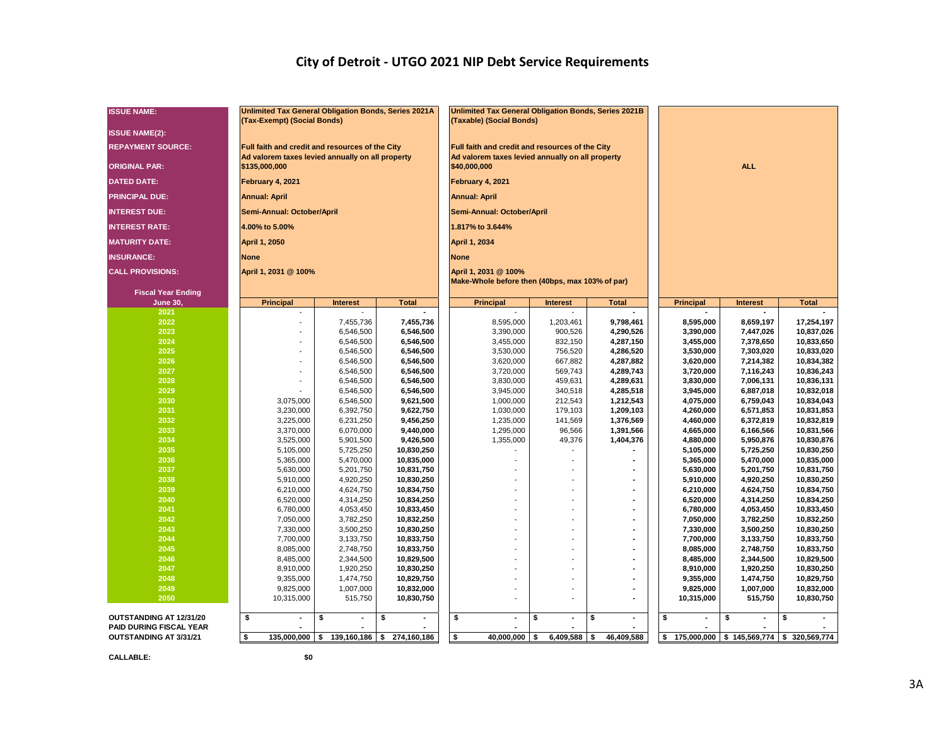## **City of Detroit - UTGO 2021 NIP Debt Service Requirements**

| <b>ISSUE NAME:</b>             | <b>Unlimited Tax General Obligation Bonds, Series 2021A</b><br>(Tax-Exempt) (Social Bonds) |                                 |                          | Unlimited Tax General Obligation Bonds, Series 2021B<br>(Taxable) (Social Bonds) |                      |                        |                        |                        |                                           |
|--------------------------------|--------------------------------------------------------------------------------------------|---------------------------------|--------------------------|----------------------------------------------------------------------------------|----------------------|------------------------|------------------------|------------------------|-------------------------------------------|
| <b>ISSUE NAME(2):</b>          |                                                                                            |                                 |                          |                                                                                  |                      |                        |                        |                        |                                           |
| <b>REPAYMENT SOURCE:</b>       | Full faith and credit and resources of the City                                            |                                 |                          | Full faith and credit and resources of the City                                  |                      |                        |                        |                        |                                           |
| <b>ORIGINAL PAR:</b>           | Ad valorem taxes levied annually on all property<br>\$135,000,000                          |                                 |                          | Ad valorem taxes levied annually on all property<br>\$40,000,000                 |                      |                        |                        | <b>ALL</b>             |                                           |
| <b>DATED DATE:</b>             | February 4, 2021                                                                           |                                 |                          | February 4, 2021                                                                 |                      |                        |                        |                        |                                           |
| <b>PRINCIPAL DUE:</b>          | <b>Annual: April</b>                                                                       |                                 |                          | <b>Annual: April</b>                                                             |                      |                        |                        |                        |                                           |
| <b>INTEREST DUE:</b>           | Semi-Annual: October/April                                                                 |                                 |                          | Semi-Annual: October/April                                                       |                      |                        |                        |                        |                                           |
| <b>INTEREST RATE:</b>          | 4.00% to 5.00%                                                                             |                                 |                          | 1.817% to 3.644%                                                                 |                      |                        |                        |                        |                                           |
| <b>MATURITY DATE:</b>          | April 1, 2050                                                                              |                                 |                          | April 1, 2034                                                                    |                      |                        |                        |                        |                                           |
| <b>INSURANCE:</b>              | <b>None</b>                                                                                |                                 |                          | <b>None</b>                                                                      |                      |                        |                        |                        |                                           |
| <b>CALL PROVISIONS:</b>        | April 1, 2031 @ 100%                                                                       |                                 |                          | April 1, 2031 @ 100%<br>Make-Whole before then (40bps, max 103% of par)          |                      |                        |                        |                        |                                           |
| <b>Fiscal Year Ending</b>      |                                                                                            |                                 |                          |                                                                                  |                      |                        |                        |                        |                                           |
| <b>June 30,</b><br>2021        | <b>Principal</b>                                                                           | <b>Interest</b>                 | <b>Total</b>             | <b>Principal</b>                                                                 | <b>Interest</b>      | <b>Total</b>           | <b>Principal</b>       | <b>Interest</b>        | <b>Total</b>                              |
| 2022                           |                                                                                            | 7,455,736                       | 7,455,736                | 8,595,000                                                                        | 1,203,461            | 9,798,461              | 8,595,000              | 8,659,197              | 17,254,197                                |
| 2023                           |                                                                                            | 6,546,500                       | 6,546,500                | 3,390,000                                                                        | 900,526              | 4,290,526              | 3,390,000              | 7,447,026              | 10,837,026                                |
| 2024                           |                                                                                            | 6,546,500                       | 6,546,500                | 3,455,000                                                                        | 832,150              | 4,287,150              | 3,455,000              | 7,378,650              | 10,833,650                                |
| 2025                           |                                                                                            | 6,546,500                       | 6,546,500                | 3,530,000                                                                        | 756,520              | 4,286,520              | 3,530,000              | 7,303,020              | 10,833,020                                |
| 2026                           |                                                                                            | 6,546,500                       | 6,546,500                | 3,620,000                                                                        | 667,882              | 4,287,882              | 3,620,000              | 7,214,382              | 10,834,382                                |
| 2027                           |                                                                                            | 6,546,500                       | 6,546,500                | 3,720,000                                                                        | 569,743              | 4,289,743              | 3,720,000              | 7,116,243              | 10,836,243                                |
| 2028                           |                                                                                            | 6,546,500                       | 6,546,500                | 3,830,000                                                                        | 459,631              | 4,289,631              | 3,830,000              | 7,006,131              | 10,836,131                                |
| 2029                           |                                                                                            | 6,546,500                       | 6,546,500                | 3,945,000                                                                        | 340,518              | 4,285,518              | 3,945,000              | 6,887,018              | 10,832,018                                |
| 2030                           | 3,075,000                                                                                  | 6,546,500                       | 9,621,500                | 1,000,000                                                                        | 212,543              | 1,212,543              | 4,075,000              | 6,759,043              | 10,834,043                                |
| 2031<br>2032                   | 3,230,000                                                                                  | 6,392,750                       | 9,622,750<br>9,456,250   | 1,030,000                                                                        | 179,103              | 1,209,103              | 4,260,000              | 6,571,853              | 10,831,853<br>10,832,819                  |
| 2033                           | 3,225,000<br>3,370,000                                                                     | 6,231,250<br>6,070,000          | 9,440,000                | 1,235,000<br>1,295,000                                                           | 141,569<br>96,566    | 1,376,569<br>1,391,566 | 4,460,000<br>4,665,000 | 6,372,819<br>6,166,566 | 10,831,566                                |
| 2034                           | 3,525,000                                                                                  | 5,901,500                       | 9,426,500                | 1,355,000                                                                        | 49,376               | 1,404,376              | 4,880,000              | 5,950,876              | 10,830,876                                |
| 2035                           | 5,105,000                                                                                  | 5,725,250                       | 10,830,250               |                                                                                  | $\overline{a}$       |                        | 5,105,000              | 5,725,250              | 10,830,250                                |
| 2036                           | 5,365,000                                                                                  | 5,470,000                       | 10,835,000               |                                                                                  |                      |                        | 5,365,000              | 5,470,000              | 10,835,000                                |
| 2037                           | 5,630,000                                                                                  | 5,201,750                       | 10,831,750               |                                                                                  | $\overline{a}$       |                        | 5,630,000              | 5,201,750              | 10,831,750                                |
| 2038                           | 5,910,000                                                                                  | 4,920,250                       | 10,830,250               |                                                                                  |                      |                        | 5,910,000              | 4,920,250              | 10,830,250                                |
| 2039                           | 6,210,000                                                                                  | 4,624,750                       | 10,834,750               |                                                                                  |                      |                        | 6,210,000              | 4,624,750              | 10,834,750                                |
| 2040                           | 6,520,000                                                                                  | 4,314,250                       | 10,834,250               |                                                                                  |                      |                        | 6,520,000              | 4,314,250              | 10,834,250                                |
| 2041                           | 6,780,000                                                                                  | 4,053,450                       | 10,833,450               |                                                                                  |                      |                        | 6,780,000              | 4,053,450              | 10,833,450                                |
| 2042                           | 7,050,000                                                                                  | 3,782,250                       | 10,832,250               |                                                                                  |                      |                        | 7,050,000              | 3,782,250              | 10,832,250                                |
| 2043                           | 7,330,000                                                                                  | 3,500,250                       | 10,830,250               |                                                                                  |                      |                        | 7,330,000              | 3,500,250              | 10,830,250                                |
| 2044                           | 7,700,000                                                                                  | 3,133,750                       | 10,833,750               |                                                                                  | $\overline{a}$       |                        | 7,700,000              | 3,133,750              | 10,833,750                                |
| 2045                           | 8,085,000                                                                                  | 2,748,750                       | 10,833,750               |                                                                                  |                      |                        | 8,085,000              | 2,748,750              | 10,833,750                                |
| 2046<br>2047                   | 8,485,000<br>8,910,000                                                                     | 2,344,500<br>1,920,250          | 10,829,500<br>10,830,250 |                                                                                  |                      |                        | 8,485,000<br>8,910,000 | 2,344,500<br>1,920,250 | 10,829,500<br>10,830,250                  |
| 2048                           | 9,355,000                                                                                  | 1,474,750                       | 10,829,750               |                                                                                  |                      |                        | 9,355,000              | 1,474,750              | 10,829,750                                |
| 2049                           | 9,825,000                                                                                  | 1,007,000                       | 10,832,000               |                                                                                  |                      |                        | 9,825,000              | 1,007,000              | 10,832,000                                |
| 2050                           | 10,315,000                                                                                 | 515,750                         | 10,830,750               |                                                                                  |                      |                        | 10,315,000             | 515,750                | 10,830,750                                |
| OUTSTANDING AT 12/31/20        | \$                                                                                         | \$                              | \$                       | \$                                                                               | \$<br>$\blacksquare$ | \$<br>$\blacksquare$   | \$                     | \$                     | \$                                        |
| <b>PAID DURING FISCAL YEAR</b> |                                                                                            |                                 |                          |                                                                                  |                      |                        |                        |                        |                                           |
| OUTSTANDING AT 3/31/21         | $\overline{\mathbf{s}}$                                                                    | $135,000,000$ \$ 139,160,186 \$ | 274,160,186              | $\overline{\mathbf{s}}$<br>40,000,000 \$                                         | 6,409,588            | \$<br>46,409,588       | \$                     |                        | 175,000,000 \$ 145,569,774 \$ 320,569,774 |

**CALLABLE: \$0**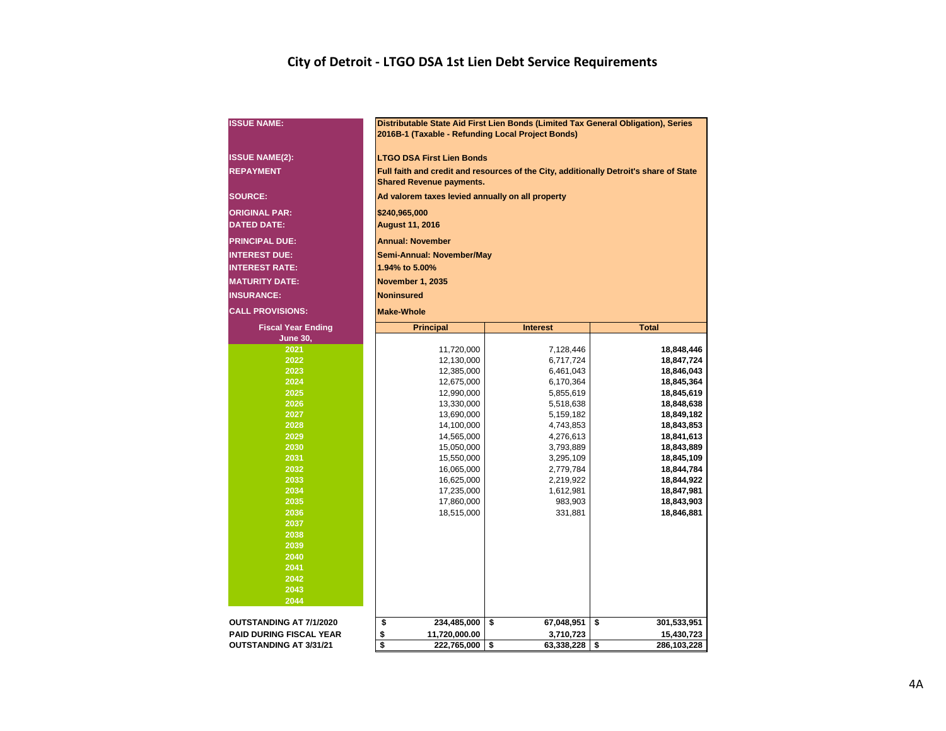## **City of Detroit - LTGO DSA 1st Lien Debt Service Requirements**

| <b>ISSUE NAME:</b>                         |                                                                          |                                             | Distributable State Aid First Lien Bonds (Limited Tax General Obligation), Series<br>2016B-1 (Taxable - Refunding Local Project Bonds) |                                                                                        |  |  |  |  |  |  |  |  |  |  |  |  |
|--------------------------------------------|--------------------------------------------------------------------------|---------------------------------------------|----------------------------------------------------------------------------------------------------------------------------------------|----------------------------------------------------------------------------------------|--|--|--|--|--|--|--|--|--|--|--|--|
| <b>ISSUE NAME(2):</b>                      |                                                                          | <b>LTGO DSA First Lien Bonds</b>            |                                                                                                                                        |                                                                                        |  |  |  |  |  |  |  |  |  |  |  |  |
| <b>REPAYMENT</b>                           |                                                                          | <b>Shared Revenue payments.</b>             |                                                                                                                                        | Full faith and credit and resources of the City, additionally Detroit's share of State |  |  |  |  |  |  |  |  |  |  |  |  |
| <b>SOURCE:</b>                             |                                                                          |                                             | Ad valorem taxes levied annually on all property                                                                                       |                                                                                        |  |  |  |  |  |  |  |  |  |  |  |  |
| <b>ORIGINAL PAR:</b><br><b>DATED DATE:</b> | \$240,965,000                                                            |                                             |                                                                                                                                        |                                                                                        |  |  |  |  |  |  |  |  |  |  |  |  |
|                                            | <b>August 11, 2016</b>                                                   |                                             |                                                                                                                                        |                                                                                        |  |  |  |  |  |  |  |  |  |  |  |  |
| <b>PRINCIPAL DUE:</b>                      |                                                                          | <b>Annual: November</b>                     |                                                                                                                                        |                                                                                        |  |  |  |  |  |  |  |  |  |  |  |  |
| <b>INTEREST DUE:</b>                       |                                                                          | Semi-Annual: November/May<br>1.94% to 5.00% |                                                                                                                                        |                                                                                        |  |  |  |  |  |  |  |  |  |  |  |  |
| <b>INTEREST RATE:</b>                      |                                                                          | <b>November 1, 2035</b>                     |                                                                                                                                        |                                                                                        |  |  |  |  |  |  |  |  |  |  |  |  |
| <b>MATURITY DATE:</b>                      |                                                                          | <b>Noninsured</b>                           |                                                                                                                                        |                                                                                        |  |  |  |  |  |  |  |  |  |  |  |  |
| <b>INSURANCE:</b>                          |                                                                          |                                             |                                                                                                                                        |                                                                                        |  |  |  |  |  |  |  |  |  |  |  |  |
| <b>CALL PROVISIONS:</b>                    | <b>Make-Whole</b><br><b>Total</b><br><b>Principal</b><br><b>Interest</b> |                                             |                                                                                                                                        |                                                                                        |  |  |  |  |  |  |  |  |  |  |  |  |
| <b>Fiscal Year Ending</b>                  |                                                                          |                                             |                                                                                                                                        |                                                                                        |  |  |  |  |  |  |  |  |  |  |  |  |
| <b>June 30,</b>                            |                                                                          |                                             |                                                                                                                                        |                                                                                        |  |  |  |  |  |  |  |  |  |  |  |  |
| 2021                                       |                                                                          | 11,720,000                                  | 7,128,446                                                                                                                              | 18,848,446                                                                             |  |  |  |  |  |  |  |  |  |  |  |  |
| 2022                                       |                                                                          | 12,130,000                                  | 6,717,724                                                                                                                              | 18,847,724                                                                             |  |  |  |  |  |  |  |  |  |  |  |  |
| 2023<br>2024                               |                                                                          | 12,385,000                                  | 6,461,043                                                                                                                              | 18,846,043                                                                             |  |  |  |  |  |  |  |  |  |  |  |  |
| 2025                                       |                                                                          | 12,675,000<br>12,990,000                    | 6,170,364<br>5,855,619                                                                                                                 | 18,845,364<br>18,845,619                                                               |  |  |  |  |  |  |  |  |  |  |  |  |
| 2026                                       |                                                                          | 13,330,000                                  | 5,518,638                                                                                                                              | 18,848,638                                                                             |  |  |  |  |  |  |  |  |  |  |  |  |
| 2027                                       |                                                                          | 13,690,000                                  | 5,159,182                                                                                                                              | 18,849,182                                                                             |  |  |  |  |  |  |  |  |  |  |  |  |
| 2028                                       |                                                                          | 14,100,000                                  | 4,743,853                                                                                                                              | 18,843,853                                                                             |  |  |  |  |  |  |  |  |  |  |  |  |
| 2029                                       |                                                                          | 14,565,000                                  | 4,276,613                                                                                                                              | 18,841,613                                                                             |  |  |  |  |  |  |  |  |  |  |  |  |
| 2030                                       |                                                                          | 15,050,000                                  | 3,793,889                                                                                                                              | 18,843,889                                                                             |  |  |  |  |  |  |  |  |  |  |  |  |
| 2031                                       |                                                                          | 15,550,000                                  | 3,295,109                                                                                                                              | 18,845,109                                                                             |  |  |  |  |  |  |  |  |  |  |  |  |
| 2032                                       |                                                                          | 16,065,000                                  | 2,779,784                                                                                                                              | 18,844,784                                                                             |  |  |  |  |  |  |  |  |  |  |  |  |
| 2033                                       |                                                                          | 16,625,000                                  | 2,219,922                                                                                                                              | 18,844,922                                                                             |  |  |  |  |  |  |  |  |  |  |  |  |
| 2034                                       |                                                                          | 17,235,000                                  | 1,612,981                                                                                                                              | 18,847,981                                                                             |  |  |  |  |  |  |  |  |  |  |  |  |
| 2035                                       |                                                                          | 17,860,000                                  | 983,903                                                                                                                                | 18,843,903                                                                             |  |  |  |  |  |  |  |  |  |  |  |  |
| 2036                                       |                                                                          | 18,515,000                                  | 331,881                                                                                                                                | 18,846,881                                                                             |  |  |  |  |  |  |  |  |  |  |  |  |
| 2037                                       |                                                                          |                                             |                                                                                                                                        |                                                                                        |  |  |  |  |  |  |  |  |  |  |  |  |
| 2038                                       |                                                                          |                                             |                                                                                                                                        |                                                                                        |  |  |  |  |  |  |  |  |  |  |  |  |
| 2039<br>2040                               |                                                                          |                                             |                                                                                                                                        |                                                                                        |  |  |  |  |  |  |  |  |  |  |  |  |
| 2041                                       |                                                                          |                                             |                                                                                                                                        |                                                                                        |  |  |  |  |  |  |  |  |  |  |  |  |
| 2042                                       |                                                                          |                                             |                                                                                                                                        |                                                                                        |  |  |  |  |  |  |  |  |  |  |  |  |
| 2043                                       |                                                                          |                                             |                                                                                                                                        |                                                                                        |  |  |  |  |  |  |  |  |  |  |  |  |
| 2044                                       |                                                                          |                                             |                                                                                                                                        |                                                                                        |  |  |  |  |  |  |  |  |  |  |  |  |
| <b>OUTSTANDING AT 7/1/2020</b>             | \$                                                                       | 234,485,000                                 | \$<br>67,048,951                                                                                                                       | \$<br>301,533,951                                                                      |  |  |  |  |  |  |  |  |  |  |  |  |
| <b>PAID DURING FISCAL YEAR</b>             | \$                                                                       | 11,720,000.00                               | 3,710,723                                                                                                                              | 15,430,723                                                                             |  |  |  |  |  |  |  |  |  |  |  |  |
| <b>OUTSTANDING AT 3/31/21</b>              | \$                                                                       | 222,765,000                                 | \$<br>63,338,228                                                                                                                       | \$<br>286,103,228                                                                      |  |  |  |  |  |  |  |  |  |  |  |  |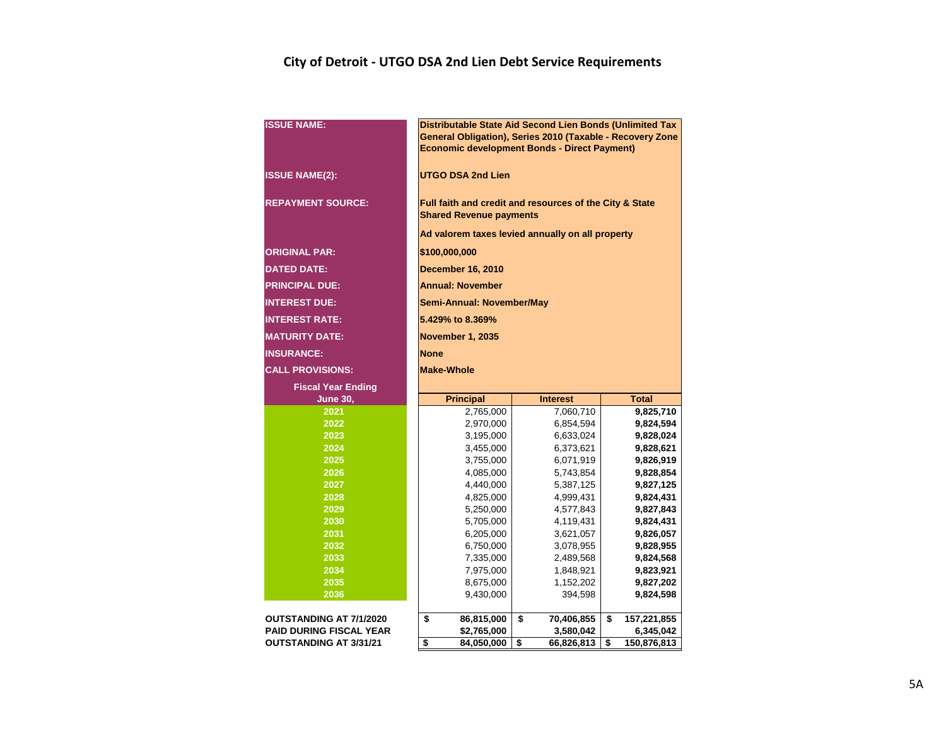## **City of Detroit - UTGO DSA 2nd Lien Debt Service Requirements**

| <b>ISSUE NAME:</b>                                              | Distributable State Aid Second Lien Bonds (Unlimited Tax<br>General Obligation), Series 2010 (Taxable - Recovery Zone<br><b>Economic development Bonds - Direct Payment)</b> |                               |                                |  |  |  |  |  |  |  |  |  |  |  |
|-----------------------------------------------------------------|------------------------------------------------------------------------------------------------------------------------------------------------------------------------------|-------------------------------|--------------------------------|--|--|--|--|--|--|--|--|--|--|--|
| <b>ISSUE NAME(2):</b>                                           | <b>UTGO DSA 2nd Lien</b>                                                                                                                                                     |                               |                                |  |  |  |  |  |  |  |  |  |  |  |
| <b>REPAYMENT SOURCE:</b>                                        | Full faith and credit and resources of the City & State<br><b>Shared Revenue payments</b>                                                                                    |                               |                                |  |  |  |  |  |  |  |  |  |  |  |
|                                                                 | Ad valorem taxes levied annually on all property                                                                                                                             |                               |                                |  |  |  |  |  |  |  |  |  |  |  |
| <b>ORIGINAL PAR:</b>                                            | \$100,000,000                                                                                                                                                                |                               |                                |  |  |  |  |  |  |  |  |  |  |  |
| <b>DATED DATE:</b>                                              | <b>December 16, 2010</b>                                                                                                                                                     |                               |                                |  |  |  |  |  |  |  |  |  |  |  |
|                                                                 |                                                                                                                                                                              |                               |                                |  |  |  |  |  |  |  |  |  |  |  |
| <b>PRINCIPAL DUE:</b>                                           | <b>Annual: November</b>                                                                                                                                                      |                               |                                |  |  |  |  |  |  |  |  |  |  |  |
| <b>INTEREST DUE:</b>                                            | <b>Semi-Annual: November/May</b>                                                                                                                                             |                               |                                |  |  |  |  |  |  |  |  |  |  |  |
| <b>INTEREST RATE:</b>                                           | 5.429% to 8.369%                                                                                                                                                             |                               |                                |  |  |  |  |  |  |  |  |  |  |  |
| <b>MATURITY DATE:</b>                                           | <b>November 1, 2035</b>                                                                                                                                                      |                               |                                |  |  |  |  |  |  |  |  |  |  |  |
| <b>INSURANCE:</b>                                               | <b>None</b>                                                                                                                                                                  |                               |                                |  |  |  |  |  |  |  |  |  |  |  |
| <b>CALL PROVISIONS:</b>                                         | <b>Make-Whole</b>                                                                                                                                                            |                               |                                |  |  |  |  |  |  |  |  |  |  |  |
| <b>Fiscal Year Ending</b>                                       |                                                                                                                                                                              |                               |                                |  |  |  |  |  |  |  |  |  |  |  |
| <b>June 30,</b>                                                 | <b>Principal</b>                                                                                                                                                             | <b>Interest</b>               | <b>Total</b>                   |  |  |  |  |  |  |  |  |  |  |  |
| 2021                                                            | 2,765,000                                                                                                                                                                    | 7,060,710                     | 9,825,710                      |  |  |  |  |  |  |  |  |  |  |  |
| 2022                                                            | 2,970,000                                                                                                                                                                    | 6,854,594                     | 9,824,594                      |  |  |  |  |  |  |  |  |  |  |  |
| 2023                                                            | 3,195,000                                                                                                                                                                    | 6,633,024                     | 9,828,024                      |  |  |  |  |  |  |  |  |  |  |  |
| 2024                                                            | 3,455,000                                                                                                                                                                    | 6,373,621                     | 9,828,621                      |  |  |  |  |  |  |  |  |  |  |  |
| 2025                                                            | 3,755,000                                                                                                                                                                    | 6,071,919                     | 9,826,919                      |  |  |  |  |  |  |  |  |  |  |  |
| 2026                                                            | 4,085,000                                                                                                                                                                    | 5,743,854                     | 9,828,854                      |  |  |  |  |  |  |  |  |  |  |  |
| 2027<br>2028                                                    | 4,440,000                                                                                                                                                                    | 5,387,125                     | 9,827,125<br>9,824,431         |  |  |  |  |  |  |  |  |  |  |  |
| 2029                                                            | 4,825,000<br>5,250,000                                                                                                                                                       | 4,999,431<br>4,577,843        | 9,827,843                      |  |  |  |  |  |  |  |  |  |  |  |
| 2030                                                            | 5,705,000                                                                                                                                                                    | 4,119,431                     | 9,824,431                      |  |  |  |  |  |  |  |  |  |  |  |
| 2031                                                            | 6,205,000                                                                                                                                                                    | 3,621,057                     | 9,826,057                      |  |  |  |  |  |  |  |  |  |  |  |
| 2032                                                            | 6,750,000                                                                                                                                                                    | 3,078,955                     | 9,828,955                      |  |  |  |  |  |  |  |  |  |  |  |
| 2033                                                            | 7,335,000                                                                                                                                                                    | 2,489,568                     | 9,824,568                      |  |  |  |  |  |  |  |  |  |  |  |
| 2034                                                            | 7,975,000                                                                                                                                                                    | 1,848,921                     | 9,823,921                      |  |  |  |  |  |  |  |  |  |  |  |
| 2035                                                            | 8,675,000                                                                                                                                                                    | 1,152,202                     | 9,827,202                      |  |  |  |  |  |  |  |  |  |  |  |
| 2036                                                            | 9,430,000                                                                                                                                                                    | 394,598                       | 9,824,598                      |  |  |  |  |  |  |  |  |  |  |  |
|                                                                 |                                                                                                                                                                              |                               |                                |  |  |  |  |  |  |  |  |  |  |  |
|                                                                 |                                                                                                                                                                              |                               |                                |  |  |  |  |  |  |  |  |  |  |  |
| <b>OUTSTANDING AT 7/1/2020</b>                                  | \$<br>86,815,000                                                                                                                                                             | \$<br>70,406,855              | \$<br>157,221,855              |  |  |  |  |  |  |  |  |  |  |  |
| <b>PAID DURING FISCAL YEAR</b><br><b>OUTSTANDING AT 3/31/21</b> | \$2,765,000<br>\$<br>84,050,000                                                                                                                                              | 3,580,042<br>\$<br>66,826,813 | 6,345,042<br>\$<br>150,876,813 |  |  |  |  |  |  |  |  |  |  |  |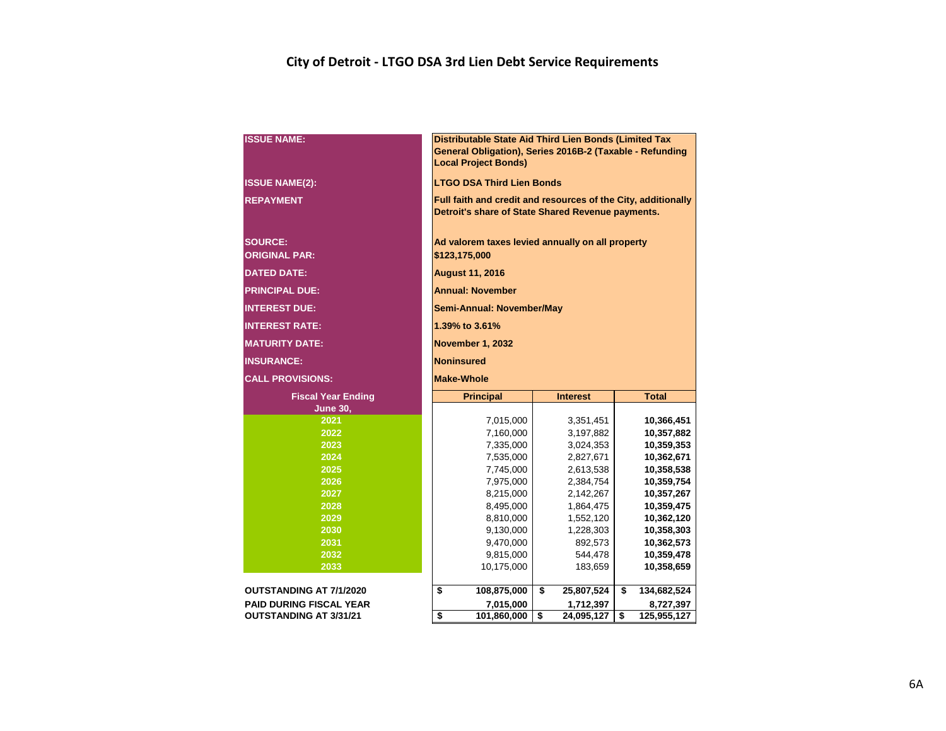## **City of Detroit - LTGO DSA 3rd Lien Debt Service Requirements**

| <b>ISSUE NAME:</b>                     |                                                            | Distributable State Aid Third Lien Bonds (Limited Tax<br>General Obligation), Series 2016B-2 (Taxable - Refunding<br><b>Local Project Bonds)</b> |    |                        |    |                          |  |  |  |  |  |  |  |  |
|----------------------------------------|------------------------------------------------------------|--------------------------------------------------------------------------------------------------------------------------------------------------|----|------------------------|----|--------------------------|--|--|--|--|--|--|--|--|
| <b>ISSUE NAME(2):</b>                  |                                                            | <b>LTGO DSA Third Lien Bonds</b>                                                                                                                 |    |                        |    |                          |  |  |  |  |  |  |  |  |
| <b>REPAYMENT</b>                       |                                                            | Full faith and credit and resources of the City, additionally<br>Detroit's share of State Shared Revenue payments.                               |    |                        |    |                          |  |  |  |  |  |  |  |  |
| <b>SOURCE:</b><br><b>ORIGINAL PAR:</b> |                                                            | Ad valorem taxes levied annually on all property<br>\$123,175,000                                                                                |    |                        |    |                          |  |  |  |  |  |  |  |  |
| <b>DATED DATE:</b>                     |                                                            | <b>August 11, 2016</b>                                                                                                                           |    |                        |    |                          |  |  |  |  |  |  |  |  |
| <b>PRINCIPAL DUE:</b>                  |                                                            | <b>Annual: November</b>                                                                                                                          |    |                        |    |                          |  |  |  |  |  |  |  |  |
| <b>INTEREST DUE:</b>                   |                                                            | Semi-Annual: November/May                                                                                                                        |    |                        |    |                          |  |  |  |  |  |  |  |  |
| <b>INTEREST RATE:</b>                  |                                                            | 1.39% to 3.61%                                                                                                                                   |    |                        |    |                          |  |  |  |  |  |  |  |  |
| <b>MATURITY DATE:</b>                  |                                                            | <b>November 1, 2032</b>                                                                                                                          |    |                        |    |                          |  |  |  |  |  |  |  |  |
| <b>INSURANCE:</b>                      | <b>Noninsured</b>                                          |                                                                                                                                                  |    |                        |    |                          |  |  |  |  |  |  |  |  |
| <b>CALL PROVISIONS:</b>                | <b>Make-Whole</b>                                          |                                                                                                                                                  |    |                        |    |                          |  |  |  |  |  |  |  |  |
| <b>Fiscal Year Ending</b>              |                                                            | <b>Principal</b>                                                                                                                                 |    | <b>Interest</b>        |    | <b>Total</b>             |  |  |  |  |  |  |  |  |
| <b>June 30,</b>                        |                                                            |                                                                                                                                                  |    |                        |    |                          |  |  |  |  |  |  |  |  |
| 2021                                   |                                                            | 7,015,000                                                                                                                                        |    | 3,351,451              |    | 10,366,451               |  |  |  |  |  |  |  |  |
| 2022                                   |                                                            | 7,160,000                                                                                                                                        |    | 3,197,882              |    | 10,357,882               |  |  |  |  |  |  |  |  |
| 2023<br>2024                           |                                                            | 7,335,000<br>7,535,000                                                                                                                           |    | 3,024,353<br>2,827,671 |    | 10,359,353<br>10,362,671 |  |  |  |  |  |  |  |  |
| 2025                                   |                                                            | 7,745,000                                                                                                                                        |    | 2,613,538              |    | 10,358,538               |  |  |  |  |  |  |  |  |
| 2026                                   |                                                            | 7,975,000                                                                                                                                        |    | 2,384,754              |    | 10,359,754               |  |  |  |  |  |  |  |  |
| 2027                                   |                                                            | 8,215,000                                                                                                                                        |    | 2,142,267              |    | 10,357,267               |  |  |  |  |  |  |  |  |
| 2028                                   |                                                            | 8,495,000                                                                                                                                        |    | 1,864,475              |    | 10,359,475               |  |  |  |  |  |  |  |  |
| 2029                                   |                                                            | 8,810,000                                                                                                                                        |    | 1,552,120              |    | 10,362,120               |  |  |  |  |  |  |  |  |
| 2030                                   |                                                            | 9,130,000                                                                                                                                        |    | 1,228,303              |    | 10,358,303               |  |  |  |  |  |  |  |  |
| 2031                                   |                                                            | 9,470,000                                                                                                                                        |    | 892,573                |    | 10,362,573               |  |  |  |  |  |  |  |  |
| 2032                                   |                                                            | 9,815,000                                                                                                                                        |    | 544,478                |    | 10,359,478               |  |  |  |  |  |  |  |  |
| 2033                                   |                                                            | 10,175,000                                                                                                                                       |    | 183,659                |    | 10,358,659               |  |  |  |  |  |  |  |  |
| <b>OUTSTANDING AT 7/1/2020</b>         | \$                                                         | 108,875,000                                                                                                                                      | \$ | 25,807,524             | \$ | 134,682,524              |  |  |  |  |  |  |  |  |
| <b>PAID DURING FISCAL YEAR</b>         |                                                            | 7,015,000                                                                                                                                        |    | 1,712,397              |    | 8,727,397                |  |  |  |  |  |  |  |  |
| <b>OUTSTANDING AT 3/31/21</b>          | \$<br>\$<br>\$<br>101,860,000<br>24,095,127<br>125,955,127 |                                                                                                                                                  |    |                        |    |                          |  |  |  |  |  |  |  |  |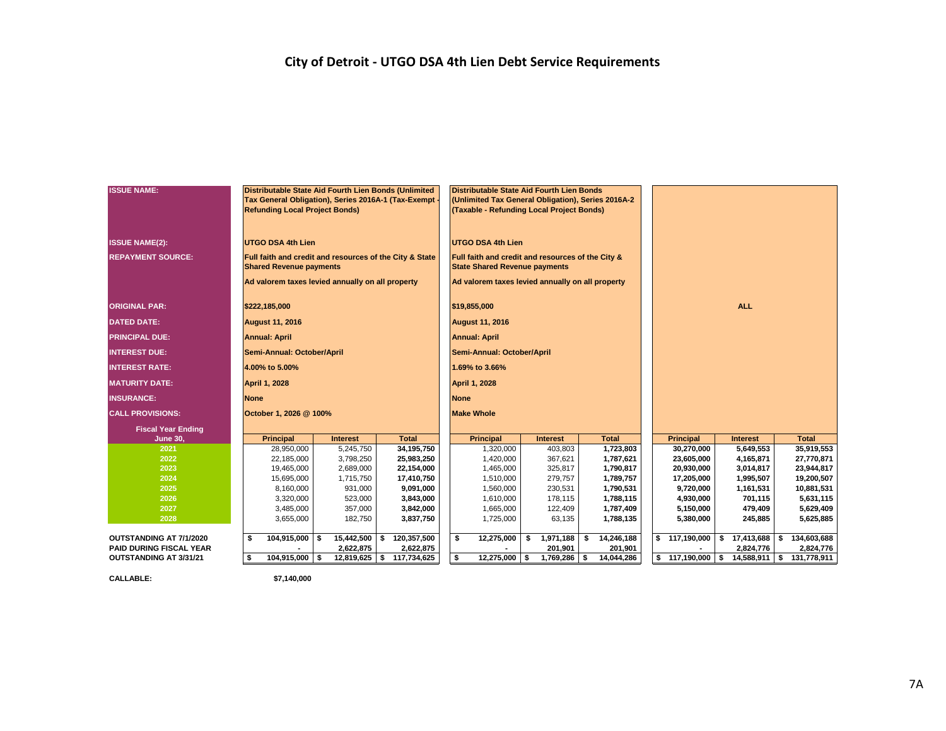## **City of Detroit - UTGO DSA 4th Lien Debt Service Requirements**

| <b>ISSUE NAME:</b>             | Distributable State Aid Fourth Lien Bonds (Unlimited<br>Tax General Obligation), Series 2016A-1 (Tax-Exempt<br><b>Refunding Local Project Bonds)</b> |                 |                             | Distributable State Aid Fourth Lien Bonds<br>(Unlimited Tax General Obligation), Series 2016A-2<br>(Taxable - Refunding Local Project Bonds) |                 |                  |  |                   |                  |    |              |  |  |  |  |  |
|--------------------------------|------------------------------------------------------------------------------------------------------------------------------------------------------|-----------------|-----------------------------|----------------------------------------------------------------------------------------------------------------------------------------------|-----------------|------------------|--|-------------------|------------------|----|--------------|--|--|--|--|--|
|                                |                                                                                                                                                      |                 |                             |                                                                                                                                              |                 |                  |  |                   |                  |    |              |  |  |  |  |  |
| <b>ISSUE NAME(2):</b>          | <b>UTGO DSA 4th Lien</b>                                                                                                                             |                 |                             | <b>UTGO DSA 4th Lien</b>                                                                                                                     |                 |                  |  |                   |                  |    |              |  |  |  |  |  |
| <b>REPAYMENT SOURCE:</b>       | Full faith and credit and resources of the City & State                                                                                              |                 |                             | Full faith and credit and resources of the City &                                                                                            |                 |                  |  |                   |                  |    |              |  |  |  |  |  |
|                                | <b>Shared Revenue payments</b>                                                                                                                       |                 |                             | <b>State Shared Revenue payments</b>                                                                                                         |                 |                  |  |                   |                  |    |              |  |  |  |  |  |
|                                | Ad valorem taxes levied annually on all property                                                                                                     |                 |                             | Ad valorem taxes levied annually on all property                                                                                             |                 |                  |  |                   |                  |    |              |  |  |  |  |  |
| <b>ORIGINAL PAR:</b>           | \$222,185,000                                                                                                                                        |                 |                             | \$19,855,000                                                                                                                                 |                 |                  |  |                   | <b>ALL</b>       |    |              |  |  |  |  |  |
| <b>DATED DATE:</b>             | <b>August 11, 2016</b>                                                                                                                               |                 |                             | <b>August 11, 2016</b>                                                                                                                       |                 |                  |  |                   |                  |    |              |  |  |  |  |  |
| <b>PRINCIPAL DUE:</b>          | <b>Annual: April</b>                                                                                                                                 |                 |                             | <b>Annual: April</b>                                                                                                                         |                 |                  |  |                   |                  |    |              |  |  |  |  |  |
| <b>INTEREST DUE:</b>           | Semi-Annual: October/April                                                                                                                           |                 |                             | Semi-Annual: October/April                                                                                                                   |                 |                  |  |                   |                  |    |              |  |  |  |  |  |
| <b>INTEREST RATE:</b>          | 4.00% to 5.00%                                                                                                                                       |                 |                             | 1.69% to 3.66%                                                                                                                               |                 |                  |  |                   |                  |    |              |  |  |  |  |  |
| <b>MATURITY DATE:</b>          | <b>April 1, 2028</b>                                                                                                                                 |                 |                             | <b>April 1, 2028</b>                                                                                                                         |                 |                  |  |                   |                  |    |              |  |  |  |  |  |
| <b>INSURANCE:</b>              | <b>None</b>                                                                                                                                          |                 |                             | <b>None</b>                                                                                                                                  |                 |                  |  |                   |                  |    |              |  |  |  |  |  |
| <b>CALL PROVISIONS:</b>        | October 1, 2026 @ 100%                                                                                                                               |                 |                             | <b>Make Whole</b>                                                                                                                            |                 |                  |  |                   |                  |    |              |  |  |  |  |  |
| <b>Fiscal Year Ending</b>      |                                                                                                                                                      |                 |                             |                                                                                                                                              |                 |                  |  |                   |                  |    |              |  |  |  |  |  |
| <b>June 30,</b>                | <b>Principal</b>                                                                                                                                     | <b>Interest</b> | <b>Total</b>                | <b>Principal</b>                                                                                                                             | <b>Interest</b> | <b>Total</b>     |  | <b>Principal</b>  | <b>Interest</b>  |    | <b>Total</b> |  |  |  |  |  |
| 2021                           | 28,950,000                                                                                                                                           | 5,245,750       | 34,195,750                  | 1,320,000                                                                                                                                    | 403,803         | 1,723,803        |  | 30,270,000        | 5,649,553        |    | 35,919,553   |  |  |  |  |  |
| 2022                           | 22,185,000                                                                                                                                           | 3,798,250       | 25,983,250                  | 1,420,000                                                                                                                                    | 367,621         | 1,787,621        |  | 23,605,000        | 4,165,871        |    | 27,770,871   |  |  |  |  |  |
| 2023                           | 19,465,000                                                                                                                                           | 2,689,000       | 22,154,000                  | 1,465,000                                                                                                                                    | 325,817         | 1,790,817        |  | 20,930,000        | 3,014,817        |    | 23,944,817   |  |  |  |  |  |
| 2024                           | 15,695,000                                                                                                                                           | 1,715,750       | 17,410,750                  | 1,510,000                                                                                                                                    | 279,757         | 1,789,757        |  | 17,205,000        | 1,995,507        |    | 19,200,507   |  |  |  |  |  |
| 2025                           | 8,160,000                                                                                                                                            | 931,000         | 9,091,000                   | 1,560,000                                                                                                                                    | 230,531         | 1,790,531        |  | 9,720,000         | 1,161,531        |    | 10,881,531   |  |  |  |  |  |
| 2026                           | 3,320,000                                                                                                                                            | 523,000         | 3,843,000                   | 1,610,000                                                                                                                                    | 178,115         | 1,788,115        |  | 4,930,000         | 701,115          |    | 5,631,115    |  |  |  |  |  |
| 2027                           | 3,485,000                                                                                                                                            | 357,000         | 3,842,000                   | 1,665,000                                                                                                                                    | 122,409         | 1,787,409        |  | 5,150,000         | 479,409          |    | 5,629,409    |  |  |  |  |  |
| 2028                           | 3,655,000                                                                                                                                            | 182,750         | 3,837,750                   | 1,725,000                                                                                                                                    | 63,135          | 1,788,135        |  | 5,380,000         | 245,885          |    | 5,625,885    |  |  |  |  |  |
| OUTSTANDING AT 7/1/2020        | 104,915,000 \$<br>\$                                                                                                                                 | 15,442,500      | 120,357,500<br>\$           | \$<br>12,275,000                                                                                                                             | \$<br>1,971,188 | \$<br>14,246,188 |  | \$117,190,000     | 17,413,688<br>\$ | s. | 134,603,688  |  |  |  |  |  |
| <b>PAID DURING FISCAL YEAR</b> |                                                                                                                                                      | 2,622,875       | 2,622,875                   |                                                                                                                                              | 201,901         | 201,901          |  |                   | 2,824,776        |    | 2,824,776    |  |  |  |  |  |
| OUTSTANDING AT 3/31/21         | 104,915,000 \$<br>-\$                                                                                                                                |                 | 12,819,625   \$ 117,734,625 | \$<br>$12,275,000$ \$                                                                                                                        | $1,769,286$ \$  | 14,044,286       |  | $$117,190,000$ \$ | 14,588,911 \$    |    | 131,778,911  |  |  |  |  |  |
|                                |                                                                                                                                                      |                 |                             |                                                                                                                                              |                 |                  |  |                   |                  |    |              |  |  |  |  |  |

**CALLABLE: \$7,140,000**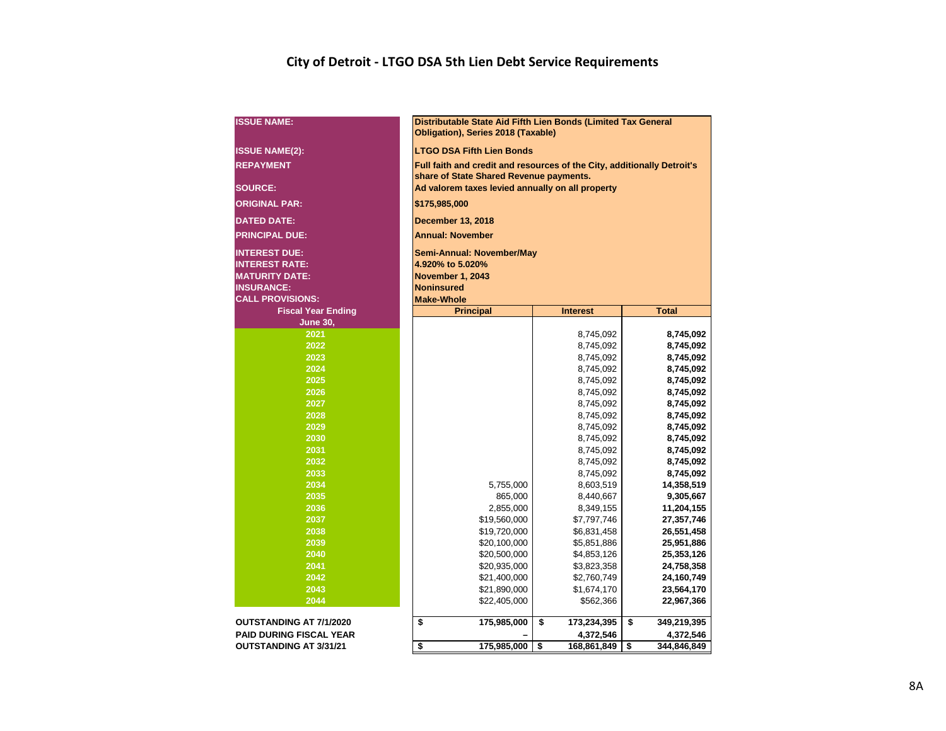## **City of Detroit - LTGO DSA 5th Lien Debt Service Requirements**

| <b>ISSUE NAME:</b>             | Distributable State Aid Fifth Lien Bonds (Limited Tax General<br>Obligation), Series 2018 (Taxable) |                            |                          |  |  |  |  |  |  |  |  |  |  |  |  |
|--------------------------------|-----------------------------------------------------------------------------------------------------|----------------------------|--------------------------|--|--|--|--|--|--|--|--|--|--|--|--|
| <b>ISSUE NAME(2):</b>          | <b>LTGO DSA Fifth Lien Bonds</b>                                                                    |                            |                          |  |  |  |  |  |  |  |  |  |  |  |  |
| <b>REPAYMENT</b>               | Full faith and credit and resources of the City, additionally Detroit's                             |                            |                          |  |  |  |  |  |  |  |  |  |  |  |  |
|                                | share of State Shared Revenue payments.                                                             |                            |                          |  |  |  |  |  |  |  |  |  |  |  |  |
| <b>SOURCE:</b>                 | Ad valorem taxes levied annually on all property                                                    |                            |                          |  |  |  |  |  |  |  |  |  |  |  |  |
| <b>ORIGINAL PAR:</b>           | \$175,985,000                                                                                       |                            |                          |  |  |  |  |  |  |  |  |  |  |  |  |
| <b>DATED DATE:</b>             | <b>December 13, 2018</b>                                                                            |                            |                          |  |  |  |  |  |  |  |  |  |  |  |  |
| <b>PRINCIPAL DUE:</b>          | <b>Annual: November</b>                                                                             |                            |                          |  |  |  |  |  |  |  |  |  |  |  |  |
| <b>INTEREST DUE:</b>           | <b>Semi-Annual: November/May</b>                                                                    |                            |                          |  |  |  |  |  |  |  |  |  |  |  |  |
| <b>INTEREST RATE:</b>          | 4.920% to 5.020%                                                                                    |                            |                          |  |  |  |  |  |  |  |  |  |  |  |  |
| <b>MATURITY DATE:</b>          | <b>November 1, 2043</b>                                                                             |                            |                          |  |  |  |  |  |  |  |  |  |  |  |  |
| <b>INSURANCE:</b>              | <b>Noninsured</b>                                                                                   |                            |                          |  |  |  |  |  |  |  |  |  |  |  |  |
| <b>CALL PROVISIONS:</b>        | <b>Make-Whole</b><br><b>Principal</b><br><b>Total</b><br><b>Interest</b>                            |                            |                          |  |  |  |  |  |  |  |  |  |  |  |  |
| <b>Fiscal Year Ending</b>      |                                                                                                     |                            |                          |  |  |  |  |  |  |  |  |  |  |  |  |
| <b>June 30,</b>                | 8,745,092                                                                                           |                            |                          |  |  |  |  |  |  |  |  |  |  |  |  |
| 2021                           | 8,745,092                                                                                           |                            |                          |  |  |  |  |  |  |  |  |  |  |  |  |
| 2022                           | 8,745,092<br>8,745,092                                                                              |                            |                          |  |  |  |  |  |  |  |  |  |  |  |  |
| 2023                           | 8,745,092<br>8,745,092                                                                              |                            |                          |  |  |  |  |  |  |  |  |  |  |  |  |
| 2024                           |                                                                                                     | 8,745,092                  | 8,745,092                |  |  |  |  |  |  |  |  |  |  |  |  |
| 2025                           |                                                                                                     | 8,745,092                  | 8,745,092                |  |  |  |  |  |  |  |  |  |  |  |  |
| 2026                           |                                                                                                     | 8,745,092                  | 8,745,092                |  |  |  |  |  |  |  |  |  |  |  |  |
| 2027                           |                                                                                                     | 8,745,092                  | 8,745,092                |  |  |  |  |  |  |  |  |  |  |  |  |
| 2028                           |                                                                                                     | 8,745,092                  | 8,745,092                |  |  |  |  |  |  |  |  |  |  |  |  |
| 2029                           |                                                                                                     | 8,745,092                  | 8,745,092                |  |  |  |  |  |  |  |  |  |  |  |  |
| 2030                           |                                                                                                     | 8,745,092                  | 8,745,092                |  |  |  |  |  |  |  |  |  |  |  |  |
| 2031                           |                                                                                                     | 8,745,092                  | 8,745,092                |  |  |  |  |  |  |  |  |  |  |  |  |
| 2032                           |                                                                                                     | 8,745,092                  | 8,745,092                |  |  |  |  |  |  |  |  |  |  |  |  |
| 2033                           |                                                                                                     | 8,745,092                  | 8,745,092                |  |  |  |  |  |  |  |  |  |  |  |  |
| 2034                           | 5,755,000                                                                                           | 8,603,519                  | 14,358,519               |  |  |  |  |  |  |  |  |  |  |  |  |
| 2035                           | 865,000                                                                                             | 8,440,667                  | 9,305,667                |  |  |  |  |  |  |  |  |  |  |  |  |
| 2036                           | 2,855,000                                                                                           | 8,349,155                  | 11,204,155               |  |  |  |  |  |  |  |  |  |  |  |  |
| 2037                           | \$19,560,000                                                                                        | \$7,797,746                | 27,357,746               |  |  |  |  |  |  |  |  |  |  |  |  |
| 2038<br>2039                   | \$19,720,000                                                                                        | \$6,831,458                | 26,551,458               |  |  |  |  |  |  |  |  |  |  |  |  |
| 2040                           | \$20,100,000<br>\$20,500,000                                                                        | \$5,851,886<br>\$4,853,126 | 25,951,886<br>25,353,126 |  |  |  |  |  |  |  |  |  |  |  |  |
| 2041                           | \$20,935,000                                                                                        | \$3,823,358                | 24,758,358               |  |  |  |  |  |  |  |  |  |  |  |  |
| 2042                           | \$21,400,000                                                                                        | \$2,760,749                | 24,160,749               |  |  |  |  |  |  |  |  |  |  |  |  |
| 2043                           | \$21,890,000                                                                                        | \$1,674,170                | 23,564,170               |  |  |  |  |  |  |  |  |  |  |  |  |
| 2044                           | \$22,405,000<br>\$562,366<br>22,967,366                                                             |                            |                          |  |  |  |  |  |  |  |  |  |  |  |  |
|                                |                                                                                                     |                            |                          |  |  |  |  |  |  |  |  |  |  |  |  |
| <b>OUTSTANDING AT 7/1/2020</b> | \$<br>175,985,000                                                                                   | \$<br>173,234,395          | \$<br>349,219,395        |  |  |  |  |  |  |  |  |  |  |  |  |
| <b>PAID DURING FISCAL YEAR</b> |                                                                                                     | 4,372,546                  | 4,372,546                |  |  |  |  |  |  |  |  |  |  |  |  |
| <b>OUTSTANDING AT 3/31/21</b>  | \$<br>175,985,000                                                                                   | \$<br>168,861,849          | \$<br>344,846,849        |  |  |  |  |  |  |  |  |  |  |  |  |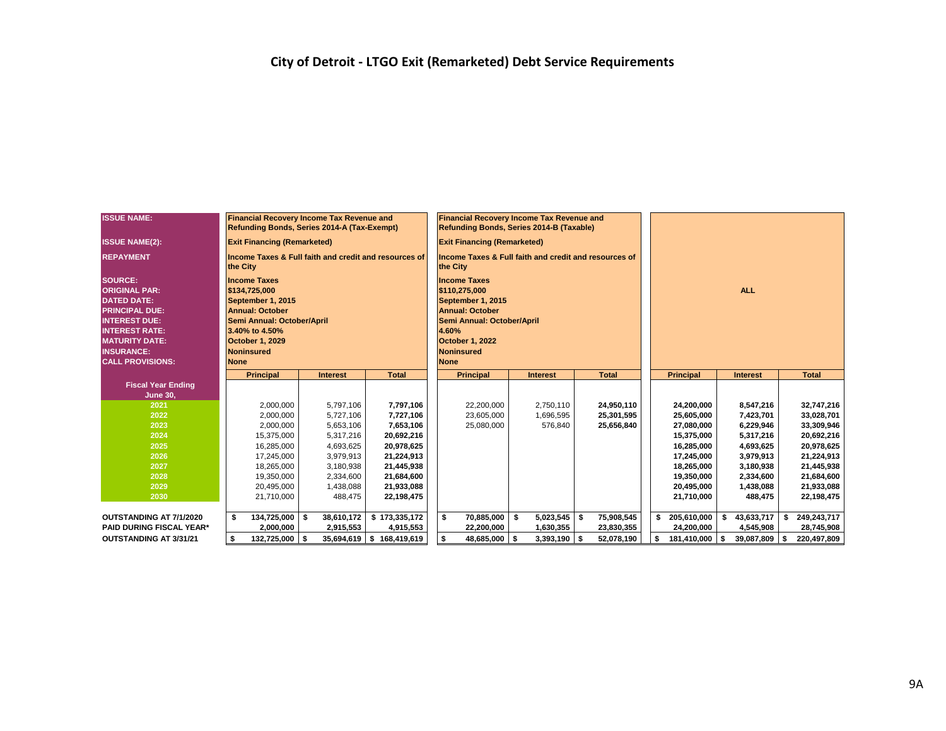| <b>ISSUE NAME:</b>                                                                                                                                                                                              | <b>Financial Recovery Income Tax Revenue and</b><br>Refunding Bonds, Series 2014-A (Tax-Exempt)                                                                                     |                 |                           | <b>Financial Recovery Income Tax Revenue and</b><br>Refunding Bonds, Series 2014-B (Taxable)                                                                                      |                 |                  |                     |                    |                     |  |  |  |  |  |
|-----------------------------------------------------------------------------------------------------------------------------------------------------------------------------------------------------------------|-------------------------------------------------------------------------------------------------------------------------------------------------------------------------------------|-----------------|---------------------------|-----------------------------------------------------------------------------------------------------------------------------------------------------------------------------------|-----------------|------------------|---------------------|--------------------|---------------------|--|--|--|--|--|
| <b>ISSUE NAME(2):</b>                                                                                                                                                                                           | <b>Exit Financing (Remarketed)</b>                                                                                                                                                  |                 |                           | <b>Exit Financing (Remarketed)</b>                                                                                                                                                |                 |                  |                     |                    |                     |  |  |  |  |  |
| <b>REPAYMENT</b>                                                                                                                                                                                                | Income Taxes & Full faith and credit and resources of<br>the City                                                                                                                   |                 |                           | Income Taxes & Full faith and credit and resources of<br>the City                                                                                                                 |                 |                  |                     |                    |                     |  |  |  |  |  |
| <b>SOURCE:</b><br><b>ORIGINAL PAR:</b><br><b>DATED DATE:</b><br><b>PRINCIPAL DUE:</b><br><b>INTEREST DUE:</b><br><b>INTEREST RATE:</b><br><b>MATURITY DATE:</b><br><b>INSURANCE:</b><br><b>CALL PROVISIONS:</b> | <b>Income Taxes</b><br>\$134,725,000<br>September 1, 2015<br><b>Annual: October</b><br>Semi Annual: October/April<br>3.40% to 4.50%<br>October 1, 2029<br>Noninsured<br><b>None</b> |                 |                           | <b>Income Taxes</b><br>\$110,275,000<br>September 1, 2015<br><b>Annual: October</b><br>Semi Annual: October/April<br>4.60%<br>October 1, 2022<br><b>Noninsured</b><br><b>None</b> |                 |                  |                     | <b>ALL</b>         |                     |  |  |  |  |  |
|                                                                                                                                                                                                                 | <b>Principal</b>                                                                                                                                                                    | <b>Interest</b> | <b>Total</b>              | <b>Principal</b>                                                                                                                                                                  | <b>Interest</b> | <b>Total</b>     | <b>Principal</b>    | <b>Interest</b>    | <b>Total</b>        |  |  |  |  |  |
| <b>Fiscal Year Ending</b>                                                                                                                                                                                       |                                                                                                                                                                                     |                 |                           |                                                                                                                                                                                   |                 |                  |                     |                    |                     |  |  |  |  |  |
| <b>June 30,</b>                                                                                                                                                                                                 |                                                                                                                                                                                     |                 |                           |                                                                                                                                                                                   |                 |                  |                     |                    |                     |  |  |  |  |  |
| 2021                                                                                                                                                                                                            | 2,000,000                                                                                                                                                                           | 5,797,106       | 7,797,106                 | 22,200,000                                                                                                                                                                        | 2,750,110       | 24,950,110       | 24,200,000          | 8,547,216          | 32,747,216          |  |  |  |  |  |
| 2022                                                                                                                                                                                                            | 2,000,000                                                                                                                                                                           | 5,727,106       | 7,727,106                 | 23,605,000                                                                                                                                                                        | 1,696,595       | 25,301,595       | 25,605,000          | 7,423,701          | 33,028,701          |  |  |  |  |  |
| 2023                                                                                                                                                                                                            | 2,000,000                                                                                                                                                                           | 5,653,106       | 7,653,106                 | 25,080,000                                                                                                                                                                        | 576,840         | 25,656,840       | 27,080,000          | 6,229,946          | 33,309,946          |  |  |  |  |  |
| 2024                                                                                                                                                                                                            | 15.375.000                                                                                                                                                                          | 5.317.216       | 20,692,216                |                                                                                                                                                                                   |                 |                  | 15,375,000          | 5,317,216          | 20,692,216          |  |  |  |  |  |
| 2025                                                                                                                                                                                                            | 16,285,000                                                                                                                                                                          | 4,693,625       | 20,978,625                |                                                                                                                                                                                   |                 |                  | 16,285,000          | 4,693,625          | 20,978,625          |  |  |  |  |  |
| 2026                                                                                                                                                                                                            | 17,245,000                                                                                                                                                                          | 3,979,913       | 21,224,913                |                                                                                                                                                                                   |                 |                  | 17,245,000          | 3,979,913          | 21,224,913          |  |  |  |  |  |
| 2027                                                                                                                                                                                                            | 18,265,000                                                                                                                                                                          | 3,180,938       | 21,445,938                |                                                                                                                                                                                   |                 |                  | 18,265,000          | 3,180,938          | 21,445,938          |  |  |  |  |  |
| 2028                                                                                                                                                                                                            | 19,350,000                                                                                                                                                                          | 2,334,600       | 21,684,600                |                                                                                                                                                                                   |                 |                  | 19,350,000          | 2,334,600          | 21,684,600          |  |  |  |  |  |
| 2029                                                                                                                                                                                                            | 20,495,000                                                                                                                                                                          | 1,438,088       | 21,933,088                |                                                                                                                                                                                   |                 |                  | 20,495,000          | 1,438,088          | 21,933,088          |  |  |  |  |  |
| 2030                                                                                                                                                                                                            | 21,710,000                                                                                                                                                                          | 488,475         | 22,198,475                |                                                                                                                                                                                   |                 |                  | 21,710,000          | 488,475            | 22,198,475          |  |  |  |  |  |
| OUTSTANDING AT 7/1/2020                                                                                                                                                                                         | \$<br>134,725,000 \$                                                                                                                                                                | 38,610,172      | \$173,335,172             | \$<br>70,885,000 \$                                                                                                                                                               | 5,023,545       | 75,908,545<br>\$ | 205,610,000         | 43,633,717<br>\$   | 249,243,717<br>S.   |  |  |  |  |  |
| <b>PAID DURING FISCAL YEAR*</b>                                                                                                                                                                                 | 2.000.000                                                                                                                                                                           | 2,915,553       | 4,915,553                 | 22,200,000                                                                                                                                                                        | 1,630,355       | 23,830,355       | 24,200,000          | 4,545,908          | 28,745,908          |  |  |  |  |  |
| <b>OUTSTANDING AT 3/31/21</b>                                                                                                                                                                                   | 132,725,000 \$<br>s.                                                                                                                                                                |                 | 35,694,619 \$ 168,419,619 | \$<br>48,685,000 \$                                                                                                                                                               | $3,393,190$ \$  | 52,078,190       | 181,410,000<br>- \$ | 39,087,809<br>l \$ | l \$<br>220,497,809 |  |  |  |  |  |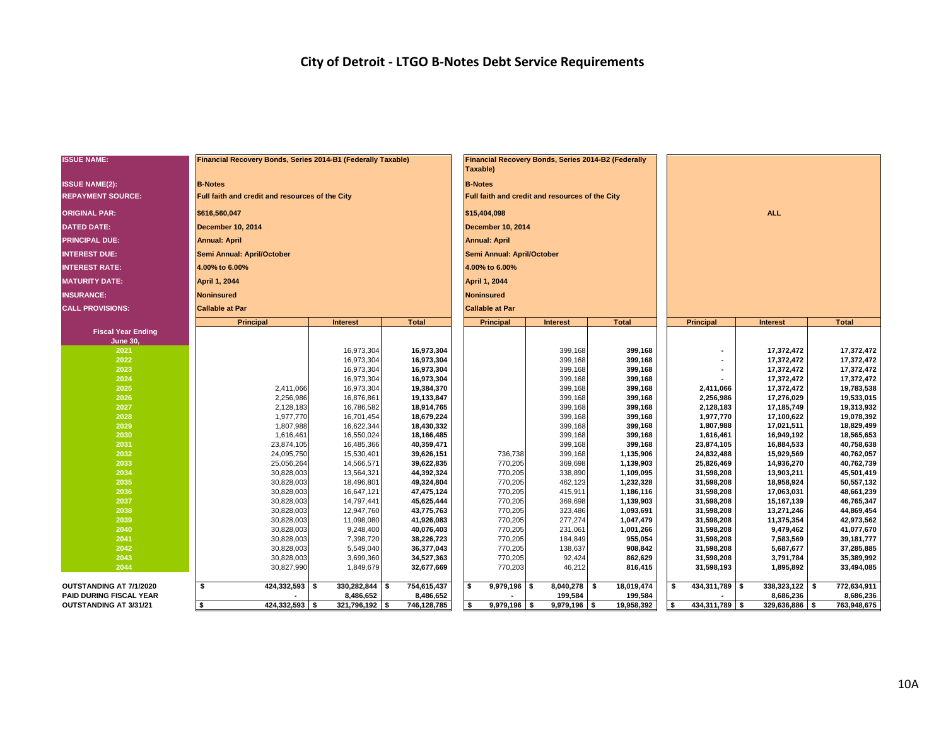| <b>ISSUE NAME:</b>                           | Financial Recovery Bonds, Series 2014-B1 (Federally Taxable) |                          |                          | Taxable)                   | Financial Recovery Bonds, Series 2014-B2 (Federally |                        |                          |                          |                          |
|----------------------------------------------|--------------------------------------------------------------|--------------------------|--------------------------|----------------------------|-----------------------------------------------------|------------------------|--------------------------|--------------------------|--------------------------|
| <b>ISSUE NAME(2):</b>                        | <b>B-Notes</b>                                               |                          |                          | <b>B-Notes</b>             |                                                     |                        |                          |                          |                          |
| <b>REPAYMENT SOURCE:</b>                     | Full faith and credit and resources of the City              |                          |                          |                            | Full faith and credit and resources of the City     |                        |                          |                          |                          |
| <b>ORIGINAL PAR:</b>                         | \$616,560,047                                                |                          |                          | \$15,404,098               |                                                     |                        |                          | <b>ALL</b>               |                          |
| <b>DATED DATE:</b>                           | <b>December 10, 2014</b>                                     |                          |                          | December 10, 2014          |                                                     |                        |                          |                          |                          |
| <b>PRINCIPAL DUE:</b>                        | <b>Annual: April</b>                                         |                          |                          | <b>Annual: April</b>       |                                                     |                        |                          |                          |                          |
| <b>INTEREST DUE:</b>                         | Semi Annual: April/October                                   |                          |                          | Semi Annual: April/October |                                                     |                        |                          |                          |                          |
| <b>INTEREST RATE:</b>                        | 4.00% to 6.00%                                               |                          |                          | 4.00% to 6.00%             |                                                     |                        |                          |                          |                          |
| <b>MATURITY DATE:</b>                        | April 1, 2044                                                |                          |                          | April 1, 2044              |                                                     |                        |                          |                          |                          |
| <b>INSURANCE:</b>                            | <b>Noninsured</b>                                            |                          |                          | <b>Noninsured</b>          |                                                     |                        |                          |                          |                          |
| <b>CALL PROVISIONS:</b>                      | <b>Callable at Par</b>                                       |                          |                          | <b>Callable at Par</b>     |                                                     |                        |                          |                          |                          |
|                                              | <b>Principal</b>                                             | <b>Interest</b>          | <b>Total</b>             | <b>Principal</b>           | <b>Interest</b>                                     | <b>Total</b>           | <b>Principal</b>         | <b>Interest</b>          | <b>Total</b>             |
| <b>Fiscal Year Ending</b><br><b>June 30,</b> |                                                              |                          |                          |                            |                                                     |                        |                          |                          |                          |
| 2021                                         |                                                              | 16,973,304               | 16,973,304               |                            | 399,168                                             | 399,168                | ٠                        | 17,372,472               | 17,372,472               |
| 2022                                         |                                                              | 16,973,304               | 16,973,304               |                            | 399,168                                             | 399,168                |                          | 17,372,472               | 17,372,472               |
| 2023                                         |                                                              | 16,973,304               | 16,973,304               |                            | 399,168                                             | 399,168                |                          | 17,372,472               | 17,372,472               |
| 2024<br>2025                                 |                                                              | 16,973,304               | 16,973,304               |                            | 399,168                                             | 399,168                |                          | 17,372,472               | 17,372,472               |
| 2026                                         | 2,411,066<br>2,256,986                                       | 16,973,304<br>16,876,861 | 19,384,370<br>19,133,847 |                            | 399,168<br>399,168                                  | 399,168<br>399,168     | 2,411,066<br>2,256,986   | 17,372,472<br>17,276,029 | 19,783,538<br>19,533,015 |
| 2027                                         | 2,128,183                                                    | 16,786,582               | 18,914,765               |                            | 399,168                                             | 399,168                | 2,128,183                | 17,185,749               | 19,313,932               |
| 2028                                         | 1,977,770                                                    | 16,701,454               | 18,679,224               |                            | 399,168                                             | 399,168                | 1,977,770                | 17,100,622               | 19,078,392               |
| 2029                                         | 1,807,988                                                    | 16,622,344               | 18,430,332               |                            | 399,168                                             | 399,168                | 1,807,988                | 17,021,511               | 18,829,499               |
| 2030                                         | 1,616,461                                                    | 16,550,024               | 18,166,485               |                            | 399,168                                             | 399,168                | 1,616,461                | 16,949,192               | 18,565,653               |
| 2031                                         | 23,874,105                                                   | 16,485,366               | 40,359,471               |                            | 399,168                                             | 399,168                | 23,874,105               | 16,884,533               | 40,758,638               |
| 2032                                         | 24,095,750                                                   | 15,530,401               | 39,626,151               | 736,738                    | 399,168                                             | 1,135,906              | 24,832,488               | 15,929,569               | 40,762,057               |
| 2033                                         | 25,056,264                                                   | 14,566,571               | 39,622,835               | 770,205                    | 369,698                                             | 1,139,903              | 25,826,469               | 14,936,270               | 40,762,739               |
| 2034                                         | 30,828,003                                                   | 13,564,321               | 44,392,324               | 770,205                    | 338,890                                             | 1,109,095              | 31,598,208               | 13,903,211               | 45,501,419               |
| 2035                                         | 30,828,003                                                   | 18,496,801               | 49,324,804               | 770,205                    | 462,123                                             | 1,232,328              | 31,598,208               | 18,958,924               | 50,557,132               |
| 2036                                         | 30,828,003                                                   | 16,647,121               | 47,475,124               | 770,205                    | 415,911                                             | 1,186,116              | 31,598,208               | 17,063,031               | 48,661,239               |
| 2037                                         | 30,828,003                                                   | 14,797,441               | 45,625,444               | 770,205                    | 369,698                                             | 1,139,903              | 31,598,208               | 15,167,139               | 46,765,347               |
| 2038<br>2039                                 | 30,828,003                                                   | 12,947,760               | 43,775,763               | 770,205                    | 323,486                                             | 1,093,691              | 31,598,208               | 13,271,246               | 44,869,454               |
| 2040                                         | 30,828,003<br>30,828,003                                     | 11,098,080<br>9,248,400  | 41,926,083<br>40,076,403 | 770,205<br>770,205         | 277,274<br>231,061                                  | 1,047,479<br>1,001,266 | 31,598,208<br>31,598,208 | 11,375,354<br>9,479,462  | 42,973,562<br>41,077,670 |
| 2041                                         | 30,828,003                                                   | 7,398,720                | 38,226,723               | 770,205                    | 184,849                                             | 955,054                | 31,598,208               | 7,583,569                | 39,181,777               |
| 2042                                         | 30,828,003                                                   | 5,549,040                | 36,377,043               | 770,205                    | 138,637                                             | 908,842                | 31,598,208               | 5,687,677                | 37,285,885               |
| 2043                                         | 30,828,003                                                   | 3,699,360                | 34,527,363               | 770,205                    | 92,424                                              | 862,629                | 31,598,208               | 3,791,784                | 35,389,992               |
| 2044                                         | 30,827,990                                                   | 1,849,679                | 32,677,669               | 770,203                    | 46,212                                              | 816,415                | 31,598,193               | 1,895,892                | 33,494,085               |
| OUTSTANDING AT 7/1/2020                      | \$<br>$424,332,593$ \$                                       | 330,282,844 \$           | 754,615,437              | \$<br>$9,979,196$ \$       | 8,040,278 \$                                        | 18,019,474             | 434,311,789 \$<br>- \$   | $338,323,122$ \$         | 772,634,911              |
| <b>PAID DURING FISCAL YEAR</b>               |                                                              | 8,486,652                | 8,486,652                |                            | 199,584                                             | 199,584                |                          | 8,686,236                | 8,686,236                |
| OUTSTANDING AT 3/31/21                       | $\overline{\bullet}$<br>$424,332,593$ \$                     | $321,796,192$ \$         | 746,128,785              | $9,979,196$ \$<br><b>S</b> | $9,979,196$ \$                                      | 19,958,392             | 434,311,789 \$<br>\$     | $329,636,886$ \$         | 763,948,675              |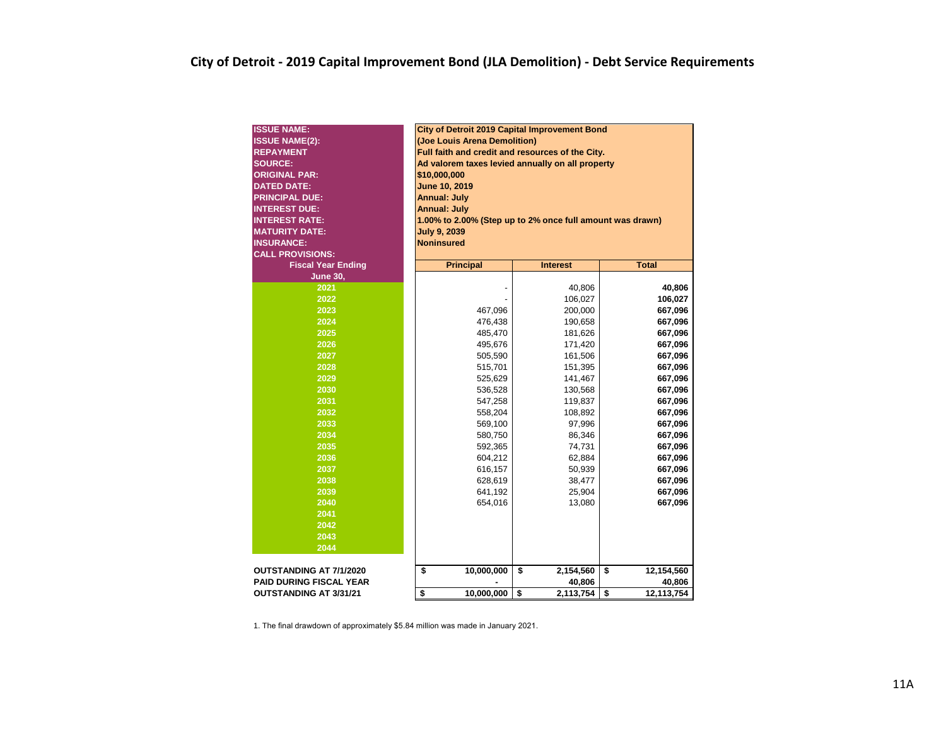| <b>ISSUE NAME:</b>             | City of Detroit 2019 Capital Improvement Bond             |                 |                  |  |  |  |  |  |  |  |  |  |  |  |
|--------------------------------|-----------------------------------------------------------|-----------------|------------------|--|--|--|--|--|--|--|--|--|--|--|
| <b>ISSUE NAME(2):</b>          | (Joe Louis Arena Demolition)                              |                 |                  |  |  |  |  |  |  |  |  |  |  |  |
| <b>REPAYMENT</b>               | Full faith and credit and resources of the City.          |                 |                  |  |  |  |  |  |  |  |  |  |  |  |
| <b>SOURCE:</b>                 | Ad valorem taxes levied annually on all property          |                 |                  |  |  |  |  |  |  |  |  |  |  |  |
| <b>ORIGINAL PAR:</b>           | \$10,000,000                                              |                 |                  |  |  |  |  |  |  |  |  |  |  |  |
| <b>DATED DATE:</b>             | <b>June 10, 2019</b>                                      |                 |                  |  |  |  |  |  |  |  |  |  |  |  |
| <b>PRINCIPAL DUE:</b>          | <b>Annual: July</b>                                       |                 |                  |  |  |  |  |  |  |  |  |  |  |  |
| <b>INTEREST DUE:</b>           | <b>Annual: July</b>                                       |                 |                  |  |  |  |  |  |  |  |  |  |  |  |
| <b>INTEREST RATE:</b>          | 1.00% to 2.00% (Step up to 2% once full amount was drawn) |                 |                  |  |  |  |  |  |  |  |  |  |  |  |
| <b>MATURITY DATE:</b>          | <b>July 9, 2039</b>                                       |                 |                  |  |  |  |  |  |  |  |  |  |  |  |
| <b>INSURANCE:</b>              | <b>Noninsured</b>                                         |                 |                  |  |  |  |  |  |  |  |  |  |  |  |
| <b>CALL PROVISIONS:</b>        |                                                           |                 |                  |  |  |  |  |  |  |  |  |  |  |  |
| <b>Fiscal Year Ending</b>      | <b>Principal</b>                                          | <b>Interest</b> | <b>Total</b>     |  |  |  |  |  |  |  |  |  |  |  |
| <b>June 30,</b>                |                                                           |                 |                  |  |  |  |  |  |  |  |  |  |  |  |
| 2021                           |                                                           | 40,806          | 40,806           |  |  |  |  |  |  |  |  |  |  |  |
| 2022                           | 106,027<br>106,027                                        |                 |                  |  |  |  |  |  |  |  |  |  |  |  |
| 2023                           | 667,096<br>467,096<br>200,000                             |                 |                  |  |  |  |  |  |  |  |  |  |  |  |
| 2024                           | 476,438<br>667,096<br>190,658                             |                 |                  |  |  |  |  |  |  |  |  |  |  |  |
| 2025                           | 667,096<br>485,470<br>181,626                             |                 |                  |  |  |  |  |  |  |  |  |  |  |  |
| 2026                           | 495,676<br>171,420<br>667,096                             |                 |                  |  |  |  |  |  |  |  |  |  |  |  |
| 2027                           | 667,096<br>505,590<br>161,506                             |                 |                  |  |  |  |  |  |  |  |  |  |  |  |
| 2028                           | 515,701<br>151,395<br>667,096                             |                 |                  |  |  |  |  |  |  |  |  |  |  |  |
| 2029                           | 525,629                                                   | 141,467         | 667,096          |  |  |  |  |  |  |  |  |  |  |  |
| 2030                           | 536,528                                                   | 130,568         | 667,096          |  |  |  |  |  |  |  |  |  |  |  |
| 2031                           | 547,258                                                   | 119,837         | 667,096          |  |  |  |  |  |  |  |  |  |  |  |
| 2032                           | 558,204                                                   | 108,892         | 667,096          |  |  |  |  |  |  |  |  |  |  |  |
| 2033                           | 569,100                                                   | 97,996          | 667,096          |  |  |  |  |  |  |  |  |  |  |  |
| 2034                           | 580,750                                                   | 86,346          | 667,096          |  |  |  |  |  |  |  |  |  |  |  |
| 2035                           | 592,365                                                   | 74,731          | 667,096          |  |  |  |  |  |  |  |  |  |  |  |
| 2036                           | 604,212                                                   | 62,884          | 667,096          |  |  |  |  |  |  |  |  |  |  |  |
| 2037                           | 616,157                                                   | 50,939          | 667,096          |  |  |  |  |  |  |  |  |  |  |  |
| 2038                           | 628,619                                                   | 38,477          | 667,096          |  |  |  |  |  |  |  |  |  |  |  |
| 2039                           | 641,192                                                   | 25,904          | 667,096          |  |  |  |  |  |  |  |  |  |  |  |
| 2040                           | 654,016                                                   | 13,080          | 667,096          |  |  |  |  |  |  |  |  |  |  |  |
| 2041                           |                                                           |                 |                  |  |  |  |  |  |  |  |  |  |  |  |
| 2042                           |                                                           |                 |                  |  |  |  |  |  |  |  |  |  |  |  |
| 2043                           |                                                           |                 |                  |  |  |  |  |  |  |  |  |  |  |  |
| 2044                           |                                                           |                 |                  |  |  |  |  |  |  |  |  |  |  |  |
|                                |                                                           |                 |                  |  |  |  |  |  |  |  |  |  |  |  |
| <b>OUTSTANDING AT 7/1/2020</b> | \$<br>10,000,000                                          | \$<br>2,154,560 | \$<br>12,154,560 |  |  |  |  |  |  |  |  |  |  |  |
| <b>PAID DURING FISCAL YEAR</b> |                                                           | 40,806          | 40,806           |  |  |  |  |  |  |  |  |  |  |  |
| <b>OUTSTANDING AT 3/31/21</b>  | \$<br>10,000,000                                          | \$<br>2,113,754 | \$<br>12,113,754 |  |  |  |  |  |  |  |  |  |  |  |

1. The final drawdown of approximately \$5.84 million was made in January 2021.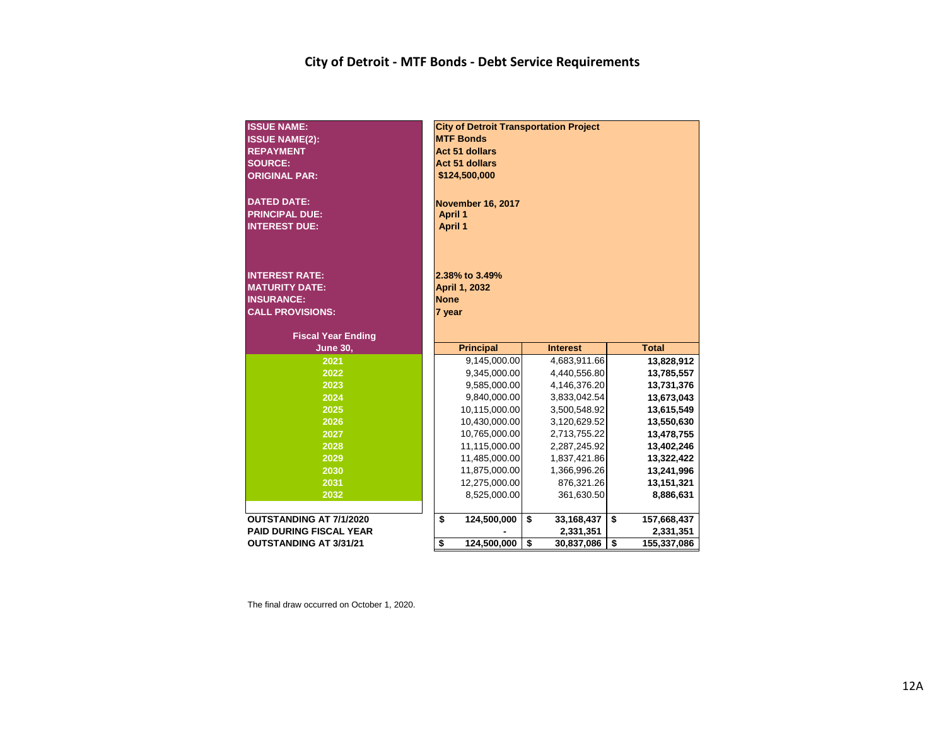## **City of Detroit - MTF Bonds - Debt Service Requirements**

| <b>ISSUE NAME:</b><br><b>ISSUE NAME(2):</b><br><b>REPAYMENT</b><br><b>SOURCE:</b><br><b>ORIGINAL PAR:</b><br><b>DATED DATE:</b><br><b>PRINCIPAL DUE:</b><br><b>INTEREST DUE:</b> | <b>City of Detroit Transportation Project</b><br><b>MTF Bonds</b><br><b>Act 51 dollars</b><br><b>Act 51 dollars</b><br>\$124,500,000<br><b>November 16, 2017</b><br><b>April 1</b><br><b>April 1</b> |                  |                   |
|----------------------------------------------------------------------------------------------------------------------------------------------------------------------------------|------------------------------------------------------------------------------------------------------------------------------------------------------------------------------------------------------|------------------|-------------------|
| <b>INTEREST RATE:</b><br><b>MATURITY DATE:</b><br><b>INSURANCE:</b><br><b>CALL PROVISIONS:</b><br><b>Fiscal Year Ending</b>                                                      | 2.38% to 3.49%<br>April 1, 2032<br><b>None</b><br>7 year                                                                                                                                             |                  |                   |
| <b>June 30,</b>                                                                                                                                                                  | <b>Principal</b>                                                                                                                                                                                     | <b>Interest</b>  | <b>Total</b>      |
| 2021                                                                                                                                                                             | 9,145,000.00                                                                                                                                                                                         | 4,683,911.66     | 13,828,912        |
| 2022                                                                                                                                                                             | 9,345,000.00                                                                                                                                                                                         | 4,440,556.80     | 13,785,557        |
| 2023                                                                                                                                                                             | 9,585,000.00                                                                                                                                                                                         | 4,146,376.20     | 13,731,376        |
| 2024                                                                                                                                                                             | 9,840,000.00                                                                                                                                                                                         | 3,833,042.54     | 13,673,043        |
| 2025                                                                                                                                                                             | 10,115,000.00                                                                                                                                                                                        | 3,500,548.92     | 13,615,549        |
| 2026                                                                                                                                                                             | 10,430,000.00                                                                                                                                                                                        | 3,120,629.52     | 13,550,630        |
| 2027                                                                                                                                                                             | 10,765,000.00                                                                                                                                                                                        | 2,713,755.22     | 13,478,755        |
| 2028                                                                                                                                                                             | 11,115,000.00                                                                                                                                                                                        | 2,287,245.92     | 13,402,246        |
| 2029                                                                                                                                                                             | 11,485,000.00                                                                                                                                                                                        | 1,837,421.86     | 13,322,422        |
| 2030                                                                                                                                                                             | 11,875,000.00                                                                                                                                                                                        | 1,366,996.26     | 13,241,996        |
| 2031                                                                                                                                                                             | 12,275,000.00                                                                                                                                                                                        | 876,321.26       | 13,151,321        |
| 2032                                                                                                                                                                             | 8,525,000.00                                                                                                                                                                                         | 361,630.50       | 8,886,631         |
|                                                                                                                                                                                  |                                                                                                                                                                                                      |                  |                   |
| <b>OUTSTANDING AT 7/1/2020</b>                                                                                                                                                   | 124,500,000<br>\$                                                                                                                                                                                    | \$<br>33,168,437 | \$<br>157,668,437 |
| <b>PAID DURING FISCAL YEAR</b><br><b>OUTSTANDING AT 3/31/21</b>                                                                                                                  | \$<br>124,500,000                                                                                                                                                                                    | 2,331,351<br>\$  | 2,331,351<br>\$   |
|                                                                                                                                                                                  |                                                                                                                                                                                                      | 30,837,086       | 155,337,086       |

The final draw occurred on October 1, 2020.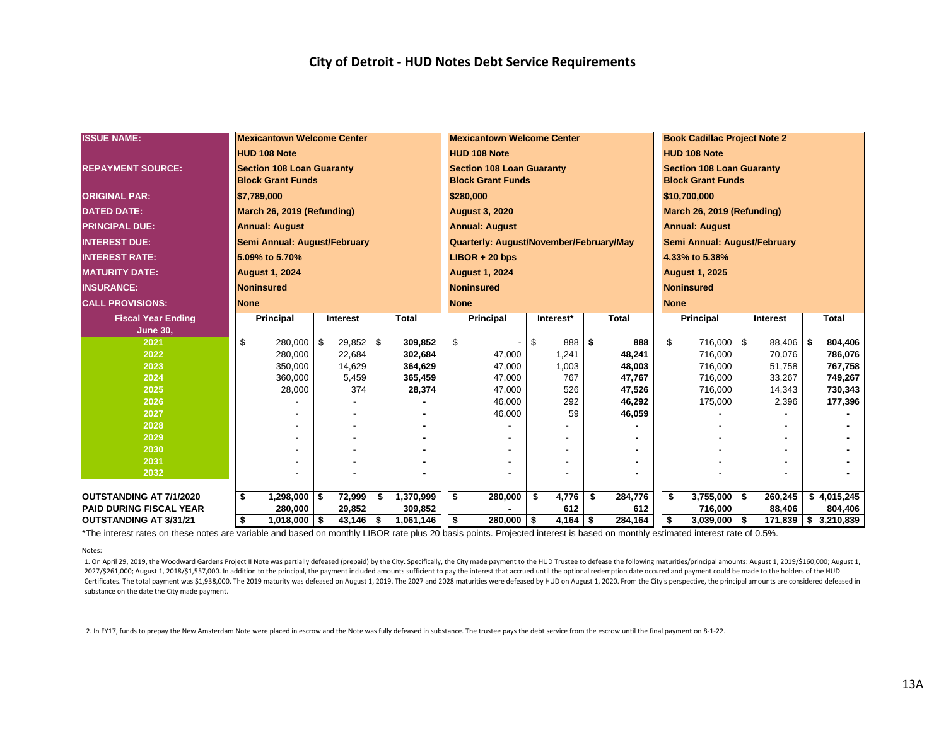| <b>ISSUE NAME:</b>             |             | <b>Mexicantown Welcome Center</b> |    |             |    |              |                                                    | <b>Mexicantown Welcome Center</b> |    |              |     |         | <b>Book Cadillac Project Note 2</b> |                              |     |                 |     |                      |  |  |  |
|--------------------------------|-------------|-----------------------------------|----|-------------|----|--------------|----------------------------------------------------|-----------------------------------|----|--------------|-----|---------|-------------------------------------|------------------------------|-----|-----------------|-----|----------------------|--|--|--|
|                                |             | <b>HUD 108 Note</b>               |    |             |    |              |                                                    | <b>HUD 108 Note</b>               |    |              |     |         | <b>HUD 108 Note</b>                 |                              |     |                 |     |                      |  |  |  |
| <b>REPAYMENT SOURCE:</b>       |             | <b>Section 108 Loan Guaranty</b>  |    |             |    |              |                                                    | <b>Section 108 Loan Guaranty</b>  |    |              |     |         | <b>Section 108 Loan Guaranty</b>    |                              |     |                 |     |                      |  |  |  |
|                                |             | <b>Block Grant Funds</b>          |    |             |    |              |                                                    | <b>Block Grant Funds</b>          |    |              |     |         | <b>Block Grant Funds</b>            |                              |     |                 |     |                      |  |  |  |
| <b>ORIGINAL PAR:</b>           |             | \$7,789,000                       |    |             |    |              |                                                    | \$280,000                         |    |              |     |         | \$10,700,000                        |                              |     |                 |     |                      |  |  |  |
| <b>DATED DATE:</b>             |             | March 26, 2019 (Refunding)        |    |             |    |              |                                                    | <b>August 3, 2020</b>             |    |              |     |         | March 26, 2019 (Refunding)          |                              |     |                 |     |                      |  |  |  |
| <b>PRINCIPAL DUE:</b>          |             | <b>Annual: August</b>             |    |             |    |              | <b>Annual: August</b>                              |                                   |    |              |     |         |                                     | <b>Annual: August</b>        |     |                 |     |                      |  |  |  |
|                                |             |                                   |    |             |    |              |                                                    |                                   |    |              |     |         |                                     |                              |     |                 |     |                      |  |  |  |
| <b>INTEREST DUE:</b>           |             | Semi Annual: August/February      |    |             |    |              | Quarterly: August/November/February/May            |                                   |    |              |     |         |                                     | Semi Annual: August/February |     |                 |     |                      |  |  |  |
| <b>INTEREST RATE:</b>          |             | 5.09% to 5.70%                    |    |             |    |              | $LIBOR + 20$ bps                                   |                                   |    |              |     |         |                                     | 4.33% to 5.38%               |     |                 |     |                      |  |  |  |
| <b>MATURITY DATE:</b>          |             | <b>August 1, 2024</b>             |    |             |    |              |                                                    | <b>August 1, 2024</b>             |    |              |     |         | <b>August 1, 2025</b>               |                              |     |                 |     |                      |  |  |  |
| <b>INSURANCE:</b>              |             | <b>Noninsured</b>                 |    |             |    |              |                                                    | <b>Noninsured</b>                 |    |              |     |         | Noninsured                          |                              |     |                 |     |                      |  |  |  |
| <b>CALL PROVISIONS:</b>        | <b>None</b> |                                   |    |             |    |              |                                                    | <b>None</b>                       |    |              |     |         | <b>None</b>                         |                              |     |                 |     |                      |  |  |  |
| <b>Fiscal Year Ending</b>      |             | <b>Principal</b>                  |    | Interest    |    | <b>Total</b> | Principal<br>Interest*<br><b>Total</b>             |                                   |    |              |     |         |                                     | <b>Principal</b>             |     | <b>Interest</b> |     | <b>Total</b>         |  |  |  |
| <b>June 30,</b>                |             |                                   |    |             |    |              |                                                    |                                   |    |              |     |         |                                     |                              |     |                 |     |                      |  |  |  |
| 2021                           | \$          | 280.000                           | \$ | $29,852$ \$ |    | 309,852      | - \$                                               |                                   | \$ | 888 \$       |     | 888     | \$                                  | 716,000                      | -\$ | 88,406          | -\$ | 804,406              |  |  |  |
| 2022                           |             | 280,000                           |    | 22,684      |    | 302,684      |                                                    | 47,000                            |    | 1,241        |     | 48,241  |                                     | 716,000                      |     | 70,076          |     | 786,076              |  |  |  |
| 2023                           |             | 350,000                           |    | 14,629      |    | 364,629      |                                                    | 47,000                            |    | 1,003        |     | 48,003  |                                     | 716,000                      |     | 51,758          |     | 767,758              |  |  |  |
| 2024                           |             | 360,000                           |    | 5,459       |    | 365,459      |                                                    | 47,000                            |    | 767          |     | 47,767  |                                     | 716,000                      |     | 33,267          |     | 749,267              |  |  |  |
| 2025                           |             | 28,000                            |    | 374         |    | 28,374       |                                                    | 47,000                            |    | 526          |     | 47,526  |                                     | 716,000                      |     | 14,343          |     | 730,343              |  |  |  |
| 2026                           |             |                                   |    |             |    |              |                                                    | 46,000                            |    | 292          |     | 46,292  |                                     | 175,000                      |     | 2,396           |     | 177,396              |  |  |  |
| 2027<br>2028                   |             |                                   |    |             |    |              |                                                    | 46,000                            |    | 59           |     | 46,059  |                                     |                              |     |                 |     |                      |  |  |  |
| 2029                           |             |                                   |    |             |    |              |                                                    |                                   |    |              |     |         |                                     |                              |     |                 |     |                      |  |  |  |
| 2030                           |             |                                   |    |             |    |              |                                                    |                                   |    |              |     |         |                                     |                              |     |                 |     |                      |  |  |  |
| 2031                           |             |                                   |    | ٠           |    |              |                                                    |                                   |    |              |     |         |                                     |                              |     |                 |     |                      |  |  |  |
| 2032                           |             |                                   |    |             |    |              |                                                    |                                   |    |              |     |         |                                     |                              |     |                 |     |                      |  |  |  |
|                                |             |                                   |    |             |    |              |                                                    |                                   |    |              |     |         |                                     |                              |     |                 |     |                      |  |  |  |
| <b>OUTSTANDING AT 7/1/2020</b> | \$          | $1,298,000$ \ \$                  |    | 72,999      | \$ | 1,370,999    | -\$                                                | 280,000                           |    | 4,776<br>-\$ | -\$ | 284,776 | \$                                  | 3,755,000                    | -\$ | 260,245         |     | \$4,015,245          |  |  |  |
| <b>PAID DURING FISCAL YEAR</b> |             | 280,000                           |    | 29,852      |    | 309,852      |                                                    |                                   |    | 612          |     | 612     |                                     | 716,000                      |     | 88,406          |     | 804,406              |  |  |  |
| <b>OUTSTANDING AT 3/31/21</b>  | \$          | $1,018,000$ \ \$                  |    | $43,146$ \$ |    | 1,061,146    | 284,164<br><b>S</b><br>280,000<br>$4,164$ \$<br>\$ |                                   |    |              |     |         | \$                                  | $3,039,000$ \$               |     |                 |     | 171,839 \$ 3,210,839 |  |  |  |

\*The interest rates on these notes are variable and based on monthly LIBOR rate plus 20 basis points. Projected interest is based on monthly estimated interest rate of 0.5%.

Notes:

1. On April 29, 2019, the Woodward Gardens Project II Note was partially defeased (prepaid) by the City. Specifically, the City made payment to the HUD Trustee to defease the following maturities/principal amounts: August 2027/\$261,000; August 1, 2018/\$1,557,000. In addition to the principal, the payment included amounts sufficient to pay the interest that accrued until the optional redemption date occured and payment could be made to the h Certificates. The total payment was \$1,938,000. The 2019 maturity was defeased on August 1, 2019. The 2027 and 2028 maturities were defeased by HUD on August 1, 2020. From the City's perspective, the principal amounts are substance on the date the City made payment.

2. In FY17, funds to prepay the New Amsterdam Note were placed in escrow and the Note was fully defeased in substance. The trustee pays the debt service from the escrow until the final payment on 8-1-22.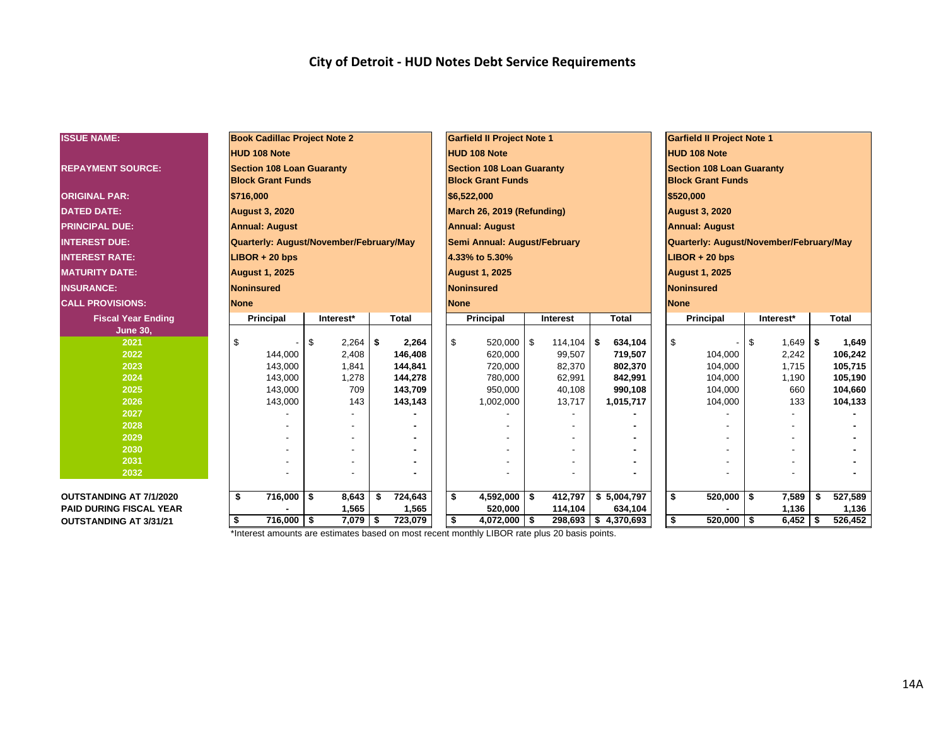| <b>ISSUE NAME:</b>             | <b>Book Cadillac Project Note 2</b>     |             |               |                                             | <b>Garfield II Project Note 1</b> |            |          |              |                                         | <b>Garfield II Project Note 1</b> |                          |           |             |              |         |  |  |
|--------------------------------|-----------------------------------------|-------------|---------------|---------------------------------------------|-----------------------------------|------------|----------|--------------|-----------------------------------------|-----------------------------------|--------------------------|-----------|-------------|--------------|---------|--|--|
|                                | <b>HUD 108 Note</b>                     |             |               |                                             | <b>HUD 108 Note</b>               |            |          |              |                                         |                                   | <b>HUD 108 Note</b>      |           |             |              |         |  |  |
| <b>REPAYMENT SOURCE:</b>       | <b>Section 108 Loan Guaranty</b>        |             |               |                                             | <b>Section 108 Loan Guaranty</b>  |            |          |              |                                         | <b>Section 108 Loan Guaranty</b>  |                          |           |             |              |         |  |  |
|                                | <b>Block Grant Funds</b>                |             |               |                                             | <b>Block Grant Funds</b>          |            |          |              |                                         |                                   | <b>Block Grant Funds</b> |           |             |              |         |  |  |
| <b>ORIGINAL PAR:</b>           | \$716,000                               |             |               |                                             | \$6,522,000                       |            |          |              |                                         |                                   | \$520,000                |           |             |              |         |  |  |
| <b>DATED DATE:</b>             | <b>August 3, 2020</b>                   |             |               |                                             | March 26, 2019 (Refunding)        |            |          |              |                                         | <b>August 3, 2020</b>             |                          |           |             |              |         |  |  |
| <b>PRINCIPAL DUE:</b>          | <b>Annual: August</b>                   |             |               |                                             | <b>Annual: August</b>             |            |          |              | <b>Annual: August</b>                   |                                   |                          |           |             |              |         |  |  |
| <b>INTEREST DUE:</b>           | Quarterly: August/November/February/May |             |               |                                             | Semi Annual: August/February      |            |          |              | Quarterly: August/November/February/May |                                   |                          |           |             |              |         |  |  |
| <b>INTEREST RATE:</b>          | $LIBOR + 20$ bps                        |             |               |                                             | 4.33% to 5.30%                    |            |          |              | $LIBOR + 20$ bps                        |                                   |                          |           |             |              |         |  |  |
| <b>MATURITY DATE:</b>          | <b>August 1, 2025</b>                   |             |               |                                             | <b>August 1, 2025</b>             |            |          |              |                                         |                                   | <b>August 1, 2025</b>    |           |             |              |         |  |  |
| <b>INSURANCE:</b>              | <b>Noninsured</b>                       |             |               |                                             | <b>Noninsured</b>                 |            |          |              |                                         |                                   | Noninsured               |           |             |              |         |  |  |
| <b>CALL PROVISIONS:</b>        | <b>None</b>                             |             |               |                                             | <b>None</b>                       |            |          |              |                                         |                                   | <b>None</b>              |           |             |              |         |  |  |
| <b>Fiscal Year Ending</b>      | Principal                               | Interest*   | <b>Total</b>  |                                             | Principal                         |            | Interest | <b>Total</b> |                                         |                                   | <b>Principal</b>         | Interest* |             | <b>Total</b> |         |  |  |
| <b>June 30,</b>                |                                         |             |               |                                             |                                   |            |          |              |                                         |                                   |                          |           |             |              |         |  |  |
| 2021                           | \$                                      | \$<br>2,264 | \$<br>2,264   |                                             | \$<br>520,000                     | $\sqrt{3}$ | 114,104  | - \$         | 634,104                                 | \$                                |                          | \$        | $1,649$ \\$ |              | 1,649   |  |  |
| 2022                           | 144.000                                 | 2,408       | 146,408       |                                             | 620,000                           |            | 99,507   |              | 719,507                                 |                                   | 104,000                  |           | 2,242       |              | 106,242 |  |  |
| 2023                           | 143,000                                 | 1,841       | 144.841       |                                             | 720,000                           |            | 82,370   |              | 802,370                                 |                                   | 104,000                  |           | 1.715       |              | 105,715 |  |  |
| 2024                           | 143,000                                 | 1,278       | 144,278       |                                             | 780,000                           |            | 62,991   |              | 842,991                                 |                                   | 104,000                  |           | 1,190       |              | 105,190 |  |  |
| 2025                           | 143,000                                 | 709         | 143,709       |                                             | 950,000                           |            | 40,108   |              | 990,108                                 |                                   | 104,000                  |           | 660         |              | 104,660 |  |  |
| 2026                           | 143,000                                 | 143         | 143,143       |                                             | 1,002,000                         |            | 13,717   |              | 1,015,717                               |                                   | 104,000                  |           | 133         |              | 104,133 |  |  |
| 2027                           |                                         |             |               |                                             |                                   |            |          |              |                                         |                                   |                          |           |             |              |         |  |  |
| 2028                           |                                         |             |               |                                             |                                   |            |          |              |                                         |                                   |                          |           |             |              |         |  |  |
| 2029                           |                                         |             |               |                                             |                                   |            |          |              |                                         |                                   |                          |           |             |              |         |  |  |
| 2030                           |                                         |             |               |                                             |                                   |            |          |              |                                         |                                   |                          |           |             |              |         |  |  |
| 2031                           |                                         |             |               |                                             |                                   |            |          |              |                                         |                                   |                          |           |             |              |         |  |  |
| 2032                           |                                         |             |               |                                             |                                   |            |          |              |                                         |                                   |                          |           |             |              |         |  |  |
|                                |                                         |             |               |                                             |                                   |            |          |              |                                         |                                   |                          |           |             |              |         |  |  |
| <b>OUTSTANDING AT 7/1/2020</b> | \$<br>$716,000$ \$                      | 8,643       | 724,643<br>\$ |                                             | \$<br>$4,592,000$ \$              |            | 412,797  | \$5,004,797  |                                         | \$                                | $520,000$ \$             |           | 7,589       |              | 527,589 |  |  |
| <b>PAID DURING FISCAL YEAR</b> |                                         | 1,565       | 1,565         | 520,000<br>114,104<br>634,104               |                                   |            |          |              |                                         |                                   |                          |           | 1,136       |              | 1,136   |  |  |
| <b>OUTSTANDING AT 3/31/21</b>  | $716,000$ \$<br>\$                      | $7,079$ \$  | 723,079       | 298,693 \$4,370,693<br>$4,072,000$ \$<br>\$ |                                   |            |          |              |                                         |                                   | \$<br>$520,000$ \$       |           | $6,452$ \$  |              | 526,452 |  |  |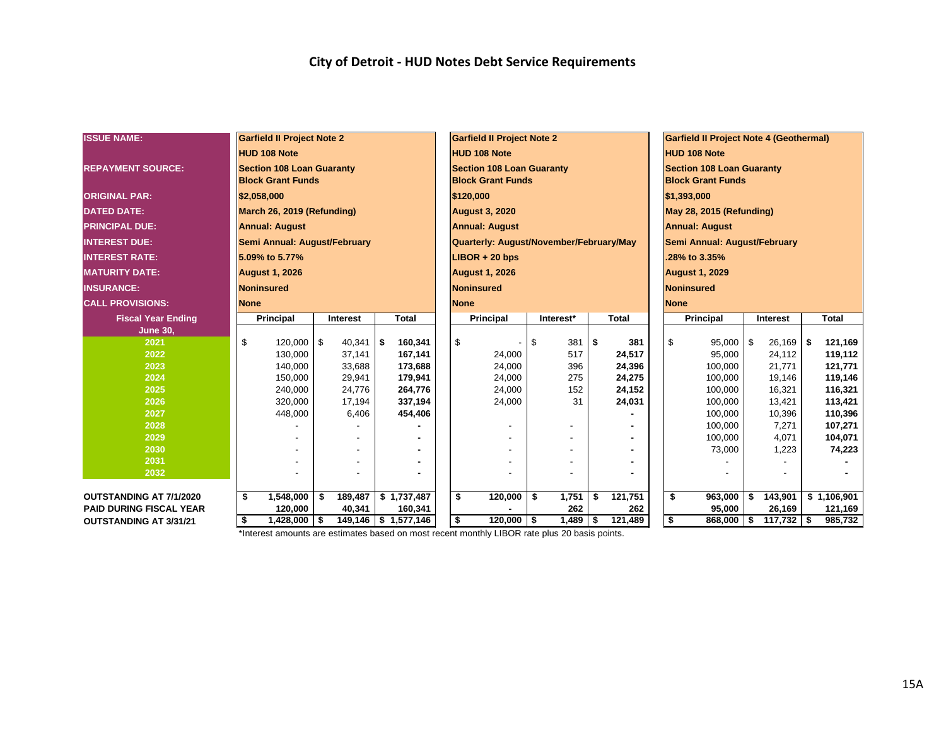| <b>ISSUE NAME:</b>             |             | <b>Garfield II Project Note 2</b> |          |          |     |                     |                                              |                                  | <b>Garfield II Project Note 2</b>       |    |           | <b>Garfield II Project Note 4 (Geothermal)</b> |                                                 |                              |                                  |                       |    |             |  |              |  |  |  |
|--------------------------------|-------------|-----------------------------------|----------|----------|-----|---------------------|----------------------------------------------|----------------------------------|-----------------------------------------|----|-----------|------------------------------------------------|-------------------------------------------------|------------------------------|----------------------------------|-----------------------|----|-------------|--|--------------|--|--|--|
|                                |             | <b>HUD 108 Note</b>               |          |          |     |                     |                                              |                                  | <b>HUD 108 Note</b>                     |    |           |                                                |                                                 |                              | <b>HUD 108 Note</b>              |                       |    |             |  |              |  |  |  |
| <b>REPAYMENT SOURCE:</b>       |             | <b>Section 108 Loan Guaranty</b>  |          |          |     |                     |                                              | <b>Section 108 Loan Guaranty</b> |                                         |    |           |                                                |                                                 |                              | <b>Section 108 Loan Guaranty</b> |                       |    |             |  |              |  |  |  |
|                                |             | <b>Block Grant Funds</b>          |          |          |     |                     |                                              |                                  | <b>Block Grant Funds</b>                |    |           |                                                | <b>Block Grant Funds</b>                        |                              |                                  |                       |    |             |  |              |  |  |  |
| <b>ORIGINAL PAR:</b>           |             | \$2,058,000                       |          |          |     |                     |                                              |                                  | \$120,000                               |    |           |                                                |                                                 |                              | \$1,393,000                      |                       |    |             |  |              |  |  |  |
| <b>DATED DATE:</b>             |             | March 26, 2019 (Refunding)        |          |          |     |                     |                                              |                                  | <b>August 3, 2020</b>                   |    |           |                                                |                                                 |                              | May 28, 2015 (Refunding)         |                       |    |             |  |              |  |  |  |
| <b>PRINCIPAL DUE:</b>          |             | <b>Annual: August</b>             |          |          |     |                     |                                              |                                  | <b>Annual: August</b>                   |    |           |                                                |                                                 |                              |                                  | <b>Annual: August</b> |    |             |  |              |  |  |  |
| <b>INTEREST DUE:</b>           |             | Semi Annual: August/February      |          |          |     |                     |                                              |                                  | Quarterly: August/November/February/May |    |           |                                                |                                                 | Semi Annual: August/February |                                  |                       |    |             |  |              |  |  |  |
| <b>INTEREST RATE:</b>          |             | 5.09% to 5.77%                    |          |          |     |                     |                                              |                                  | $LIBOR + 20$ bps                        |    |           |                                                |                                                 | .28% to 3.35%                |                                  |                       |    |             |  |              |  |  |  |
| <b>MATURITY DATE:</b>          |             |                                   |          |          |     |                     |                                              |                                  |                                         |    |           |                                                |                                                 |                              |                                  |                       |    |             |  |              |  |  |  |
|                                |             | <b>August 1, 2026</b>             |          |          |     |                     |                                              |                                  | <b>August 1, 2026</b>                   |    |           |                                                |                                                 |                              |                                  | <b>August 1, 2029</b> |    |             |  |              |  |  |  |
| <b>INSURANCE:</b>              |             | <b>Noninsured</b>                 |          |          |     |                     |                                              |                                  | <b>Noninsured</b>                       |    |           |                                                |                                                 |                              | <b>Noninsured</b>                |                       |    |             |  |              |  |  |  |
| <b>CALL PROVISIONS:</b>        | <b>None</b> |                                   |          |          |     |                     |                                              | <b>None</b>                      |                                         |    |           |                                                |                                                 |                              | <b>None</b>                      |                       |    |             |  |              |  |  |  |
| <b>Fiscal Year Ending</b>      |             | Principal                         |          | Interest |     | <b>Total</b>        |                                              |                                  | <b>Principal</b>                        |    | Interest* |                                                | <b>Total</b>                                    |                              | <b>Principal</b>                 |                       |    | Interest    |  | <b>Total</b> |  |  |  |
| <b>June 30,</b><br>2021        | \$          | 120,000                           | <b>S</b> | 40,341   |     | 160,341             |                                              | \$                               |                                         | \$ | 381       | \$                                             | 381                                             |                              | \$                               | 95,000                | \$ | $26,169$ \$ |  | 121,169      |  |  |  |
| 2022                           |             | 130,000                           |          | 37,141   | -\$ | 167,141             |                                              |                                  | $\overline{\phantom{a}}$<br>24,000      |    | 517       |                                                | 24,517                                          |                              |                                  | 95,000                |    | 24,112      |  | 119,112      |  |  |  |
| 2023                           |             | 140.000                           |          | 33,688   |     | 173,688             |                                              |                                  | 24,000                                  |    | 396       |                                                | 24,396                                          |                              |                                  | 100,000               |    | 21,771      |  | 121,771      |  |  |  |
| 2024                           |             | 150,000                           |          | 29,941   |     | 179,941             |                                              |                                  | 24,000                                  |    | 275       |                                                | 24,275                                          |                              |                                  | 100,000               |    | 19,146      |  | 119,146      |  |  |  |
| 2025                           |             | 240,000                           |          | 24,776   |     | 264,776             |                                              |                                  | 24,000                                  |    | 152       |                                                | 24,152                                          |                              |                                  | 100,000               |    | 16,321      |  | 116,321      |  |  |  |
| 2026                           |             | 320,000                           |          | 17,194   |     | 337,194             |                                              |                                  | 24,000                                  |    | 31        |                                                | 24,031                                          |                              |                                  | 100,000               |    | 13,421      |  | 113,421      |  |  |  |
| 2027                           |             | 448,000                           |          | 6,406    |     | 454,406             |                                              |                                  |                                         |    |           |                                                |                                                 |                              |                                  | 100,000               |    | 10,396      |  | 110,396      |  |  |  |
| 2028                           |             |                                   |          |          |     |                     |                                              |                                  |                                         |    |           |                                                |                                                 |                              |                                  | 100,000               |    | 7,271       |  | 107,271      |  |  |  |
| 2029                           |             |                                   |          |          |     |                     |                                              |                                  |                                         |    |           |                                                |                                                 |                              |                                  | 100,000               |    | 4,071       |  | 104,071      |  |  |  |
| 2030                           |             |                                   |          |          |     |                     |                                              |                                  |                                         |    |           |                                                |                                                 |                              |                                  | 73,000                |    | 1,223       |  | 74,223       |  |  |  |
| 2031<br>2032                   |             |                                   |          |          |     |                     |                                              |                                  |                                         |    |           |                                                |                                                 |                              |                                  |                       |    |             |  |              |  |  |  |
|                                |             |                                   |          |          |     |                     |                                              |                                  |                                         |    |           |                                                |                                                 |                              |                                  |                       |    |             |  |              |  |  |  |
| <b>OUTSTANDING AT 7/1/2020</b> | \$          | 1,548,000                         | \$       | 189,487  |     | \$1,737,487         |                                              | \$                               | 120,000                                 | \$ | 1,751     | \$                                             | 121,751                                         |                              | \$                               | 963,000               | \$ | 143,901     |  | \$1,106,901  |  |  |  |
| <b>PAID DURING FISCAL YEAR</b> |             | 120,000                           |          | 40,341   |     | 160,341             |                                              |                                  |                                         |    | 262       |                                                | 262                                             |                              |                                  | 95,000                |    | 26,169      |  | 121,169      |  |  |  |
| <b>OUTSTANDING AT 3/31/21</b>  | -\$         | $1,428,000$ \ \$                  |          |          |     | 149,146 \$1,577,146 | \$<br>$120,000$ \$<br>1,489<br>\$<br>121,489 |                                  |                                         |    |           |                                                | \$<br>$117,732$ \$<br>868,000<br>-\$<br>985,732 |                              |                                  |                       |    |             |  |              |  |  |  |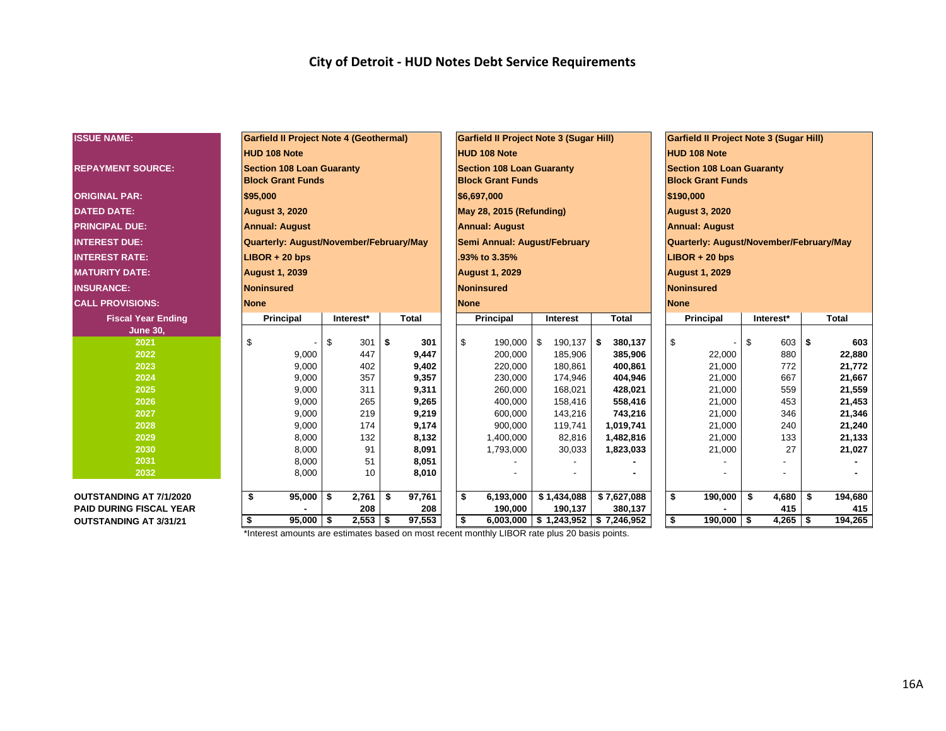| <b>ISSUE NAME:</b>             | <b>Garfield II Project Note 4 (Geothermal)</b> |              |               | <b>Garfield II Project Note 3 (Sugar Hill)</b> |                                       |                                  | <b>Garfield II Project Note 3 (Sugar Hill)</b> |                    |     |            |     |              |  |  |  |
|--------------------------------|------------------------------------------------|--------------|---------------|------------------------------------------------|---------------------------------------|----------------------------------|------------------------------------------------|--------------------|-----|------------|-----|--------------|--|--|--|
|                                |                                                |              |               |                                                |                                       |                                  |                                                |                    |     |            |     |              |  |  |  |
|                                | <b>HUD 108 Note</b>                            |              |               | <b>HUD 108 Note</b>                            |                                       |                                  | <b>HUD 108 Note</b>                            |                    |     |            |     |              |  |  |  |
| <b>REPAYMENT SOURCE:</b>       | <b>Section 108 Loan Guaranty</b>               |              |               | <b>Section 108 Loan Guaranty</b>               |                                       | <b>Section 108 Loan Guaranty</b> |                                                |                    |     |            |     |              |  |  |  |
|                                | <b>Block Grant Funds</b>                       |              |               | <b>Block Grant Funds</b>                       |                                       |                                  | <b>Block Grant Funds</b>                       |                    |     |            |     |              |  |  |  |
| <b>ORIGINAL PAR:</b>           | \$95,000                                       |              |               | \$6,697,000                                    |                                       |                                  | \$190,000                                      |                    |     |            |     |              |  |  |  |
| <b>DATED DATE:</b>             | <b>August 3, 2020</b>                          |              |               | May 28, 2015 (Refunding)                       |                                       |                                  | <b>August 3, 2020</b>                          |                    |     |            |     |              |  |  |  |
| <b>PRINCIPAL DUE:</b>          | <b>Annual: August</b>                          |              |               | <b>Annual: August</b>                          |                                       | <b>Annual: August</b>            |                                                |                    |     |            |     |              |  |  |  |
| <b>INTEREST DUE:</b>           | Quarterly: August/November/February/May        |              |               | Semi Annual: August/February                   |                                       |                                  | Quarterly: August/November/February/May        |                    |     |            |     |              |  |  |  |
| <b>INTEREST RATE:</b>          | $LIBOR + 20$ bps                               |              |               | .93% to 3.35%                                  |                                       |                                  |                                                | $LIBOR + 20$ bps   |     |            |     |              |  |  |  |
| <b>MATURITY DATE:</b>          | <b>August 1, 2039</b>                          |              |               | <b>August 1, 2029</b>                          |                                       |                                  | <b>August 1, 2029</b>                          |                    |     |            |     |              |  |  |  |
| <b>INSURANCE:</b>              | <b>Noninsured</b>                              |              |               | <b>Noninsured</b>                              |                                       |                                  | <b>Noninsured</b>                              |                    |     |            |     |              |  |  |  |
| <b>CALL PROVISIONS:</b>        | <b>None</b>                                    |              |               | <b>None</b>                                    |                                       |                                  |                                                | <b>None</b>        |     |            |     |              |  |  |  |
| <b>Fiscal Year Ending</b>      | Principal                                      | Interest*    | <b>Total</b>  | Principal                                      | <b>Interest</b>                       | <b>Total</b>                     |                                                | <b>Principal</b>   |     | Interest*  |     | <b>Total</b> |  |  |  |
| <b>June 30,</b>                |                                                |              |               |                                                |                                       |                                  |                                                |                    |     |            |     |              |  |  |  |
| 2021                           | \$                                             | \$<br>301    | \$<br>301     | \$<br>190,000 \$                               | 190,137                               | $$^{\circ}$<br>380,137           |                                                | \$                 | \$  | 603 \$     |     | 603          |  |  |  |
| 2022                           | 9,000                                          | 447          | 9,447         | 200,000                                        | 185,906                               | 385,906                          |                                                | 22,000             |     | 880        |     | 22,880       |  |  |  |
| 2023                           | 9,000                                          | 402          | 9,402         | 220,000                                        | 180,861                               | 400,861                          |                                                | 21,000             |     | 772        |     | 21,772       |  |  |  |
| 2024                           | 9,000                                          | 357          | 9,357         | 230,000                                        | 174,946                               | 404,946                          |                                                | 21,000             |     | 667        |     | 21,667       |  |  |  |
| 2025                           | 9,000                                          | 311          | 9,311         | 260,000                                        | 168,021                               | 428,021                          |                                                | 21,000             |     | 559        |     | 21,559       |  |  |  |
| 2026                           | 9.000                                          | 265          | 9,265         | 400,000                                        | 158,416                               | 558,416                          |                                                | 21,000             |     | 453        |     | 21,453       |  |  |  |
| 2027                           | 9,000                                          | 219          | 9,219         | 600,000                                        | 143,216                               | 743,216                          |                                                | 21,000             |     | 346        |     | 21,346       |  |  |  |
| 2028                           | 9,000                                          | 174          | 9,174         | 900,000                                        | 119,741                               | 1,019,741                        |                                                | 21,000             |     | 240        |     | 21,240       |  |  |  |
| 2029                           | 8,000                                          | 132          | 8,132         | 1,400,000                                      | 82,816                                | 1,482,816                        |                                                | 21,000             |     | 133        |     | 21,133       |  |  |  |
| 2030                           | 8,000                                          | 91           | 8,091         | 1,793,000                                      | 30,033                                | 1,823,033                        |                                                | 21,000             |     | 27         |     | 21,027       |  |  |  |
| 2031                           | 8,000                                          | 51           | 8,051         |                                                |                                       |                                  |                                                |                    |     |            |     |              |  |  |  |
| 2032                           | 8,000                                          | 10           | 8,010         |                                                |                                       |                                  |                                                |                    |     |            |     |              |  |  |  |
| <b>OUTSTANDING AT 7/1/2020</b> | \$<br>95,000                                   | 2,761<br>-\$ | -\$<br>97,761 | \$<br>6,193,000                                | \$1,434,088                           | \$7,627,088                      |                                                | \$<br>190,000      | \$  | 4,680      | s.  | 194,680      |  |  |  |
| <b>PAID DURING FISCAL YEAR</b> |                                                | 208          | 208           | 190,000                                        | 190,137                               |                                  |                                                |                    | 415 |            | 415 |              |  |  |  |
| <b>OUTSTANDING AT 3/31/21</b>  | \$<br>$95,000$ \$                              | $2,553$ \$   | 97,553        | \$                                             | $6,003,000$ \$ 1,243,952 \$ 7,246,952 |                                  |                                                | \$<br>$190,000$ \$ |     | $4,265$ \$ |     | 194,265      |  |  |  |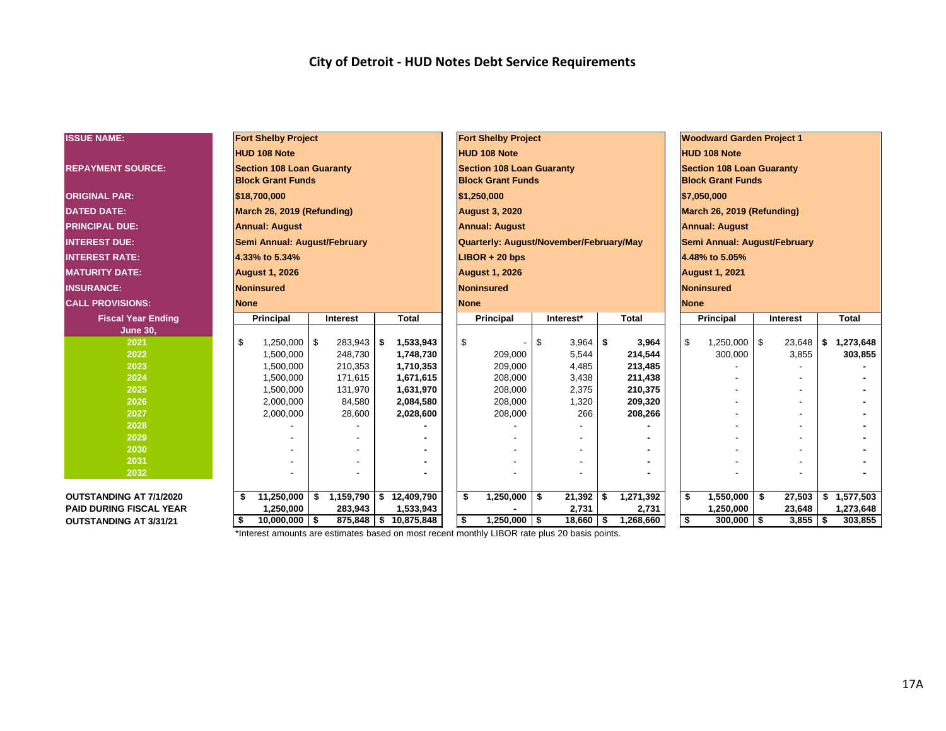| <b>ISSUE NAME:</b>             |                                                     | <b>Fort Shelby Project</b>       |                 |         |    | <b>Fort Shelby Project</b> |  |                                                    |                                            |            | <b>Woodward Garden Project 1</b> |              |                                  |                              |                      |                 |   |              |  |  |
|--------------------------------|-----------------------------------------------------|----------------------------------|-----------------|---------|----|----------------------------|--|----------------------------------------------------|--------------------------------------------|------------|----------------------------------|--------------|----------------------------------|------------------------------|----------------------|-----------------|---|--------------|--|--|
|                                |                                                     | <b>HUD 108 Note</b>              |                 |         |    |                            |  | <b>HUD 108 Note</b>                                |                                            |            |                                  |              | <b>HUD 108 Note</b>              |                              |                      |                 |   |              |  |  |
| <b>REPAYMENT SOURCE:</b>       |                                                     | <b>Section 108 Loan Guaranty</b> |                 |         |    |                            |  | <b>Section 108 Loan Guaranty</b>                   |                                            |            |                                  |              | <b>Section 108 Loan Guaranty</b> |                              |                      |                 |   |              |  |  |
|                                |                                                     | <b>Block Grant Funds</b>         |                 |         |    |                            |  | <b>Block Grant Funds</b>                           |                                            |            |                                  |              | <b>Block Grant Funds</b>         |                              |                      |                 |   |              |  |  |
| <b>ORIGINAL PAR:</b>           |                                                     | \$18,700,000                     |                 |         |    |                            |  | \$1,250,000                                        |                                            |            |                                  | \$7,050,000  |                                  |                              |                      |                 |   |              |  |  |
|                                | March 26, 2019 (Refunding)                          |                                  |                 |         |    |                            |  |                                                    |                                            |            |                                  |              |                                  |                              |                      |                 |   |              |  |  |
| <b>DATED DATE:</b>             |                                                     |                                  |                 |         |    |                            |  | <b>August 3, 2020</b>                              |                                            |            | March 26, 2019 (Refunding)       |              |                                  |                              |                      |                 |   |              |  |  |
| <b>PRINCIPAL DUE:</b>          |                                                     | <b>Annual: August</b>            |                 |         |    |                            |  | <b>Annual: August</b>                              |                                            |            |                                  |              | <b>Annual: August</b>            |                              |                      |                 |   |              |  |  |
| <b>INTEREST DUE:</b>           |                                                     | Semi Annual: August/February     |                 |         |    |                            |  | Quarterly: August/November/February/May            |                                            |            |                                  |              |                                  | Semi Annual: August/February |                      |                 |   |              |  |  |
| <b>INTEREST RATE:</b>          |                                                     | 4.33% to 5.34%                   |                 |         |    |                            |  | $LIBOR + 20$ bps                                   |                                            |            |                                  |              | 4.48% to 5.05%                   |                              |                      |                 |   |              |  |  |
| <b>MATURITY DATE:</b>          |                                                     | <b>August 1, 2026</b>            |                 |         |    |                            |  | <b>August 1, 2026</b>                              |                                            |            |                                  |              | <b>August 1, 2021</b>            |                              |                      |                 |   |              |  |  |
| <b>INSURANCE:</b>              | Noninsured                                          |                                  |                 |         |    |                            |  | <b>Noninsured</b>                                  |                                            |            |                                  |              | Noninsured                       |                              |                      |                 |   |              |  |  |
| <b>CALL PROVISIONS:</b>        | <b>None</b>                                         |                                  |                 |         |    |                            |  | <b>None</b>                                        |                                            |            |                                  |              |                                  | <b>None</b>                  |                      |                 |   |              |  |  |
| <b>Fiscal Year Ending</b>      |                                                     | <b>Principal</b>                 | <b>Interest</b> |         |    | <b>Total</b>               |  | Principal                                          |                                            | Interest*  |                                  | <b>Total</b> |                                  | <b>Principal</b>             |                      | <b>Interest</b> |   | <b>Total</b> |  |  |
| <b>June 30,</b>                |                                                     |                                  |                 |         |    |                            |  |                                                    |                                            |            |                                  |              |                                  |                              |                      |                 |   |              |  |  |
| 2021                           | \$                                                  | 1,250,000                        | -\$             | 283,943 | \$ | 1,533,943                  |  | \$                                                 | \$                                         | $3,964$ \$ |                                  | 3,964        |                                  | $1,250,000$ \ \$<br>\$       |                      | 23,648          | S | 1,273,648    |  |  |
| 2022                           |                                                     | 1,500,000                        |                 | 248,730 |    | 1,748,730                  |  | 209,000                                            |                                            | 5,544      |                                  | 214,544      |                                  | 300,000                      |                      | 3,855           |   | 303,855      |  |  |
| 2023                           |                                                     | 1,500,000                        |                 | 210,353 |    | 1,710,353                  |  | 209,000                                            |                                            | 4,485      |                                  | 213,485      |                                  |                              |                      |                 |   |              |  |  |
| 2024                           |                                                     | 1,500,000                        |                 | 171,615 |    | 1,671,615                  |  | 208,000                                            |                                            | 3,438      |                                  | 211,438      |                                  |                              |                      |                 |   |              |  |  |
| 2025                           |                                                     | 1,500,000                        |                 | 131,970 |    | 1,631,970                  |  |                                                    | 208,000<br>2,375<br>210,375                |            |                                  |              |                                  |                              |                      |                 |   |              |  |  |
| 2026                           |                                                     | 2,000,000                        |                 | 84,580  |    | 2,084,580                  |  | 208,000                                            |                                            | 1,320      |                                  | 209,320      |                                  |                              |                      |                 |   |              |  |  |
| 2027                           |                                                     | 2,000,000                        |                 | 28,600  |    | 2,028,600                  |  | 208,000                                            |                                            | 266        |                                  | 208,266      |                                  |                              |                      |                 |   |              |  |  |
| 2028                           |                                                     |                                  |                 |         |    |                            |  |                                                    |                                            |            |                                  |              |                                  |                              |                      |                 |   |              |  |  |
| 2029                           |                                                     |                                  |                 |         |    |                            |  |                                                    |                                            |            |                                  |              |                                  |                              |                      |                 |   |              |  |  |
| 2030                           |                                                     |                                  |                 |         |    |                            |  |                                                    |                                            |            |                                  |              |                                  |                              |                      |                 |   |              |  |  |
| 2031                           |                                                     |                                  |                 |         |    |                            |  |                                                    |                                            |            |                                  |              |                                  |                              |                      |                 |   |              |  |  |
| 2032                           |                                                     |                                  |                 |         |    |                            |  |                                                    |                                            |            |                                  |              |                                  |                              |                      |                 |   |              |  |  |
| <b>OUTSTANDING AT 7/1/2020</b> | 1,159,790<br>\$12,409,790<br>11,250,000<br>\$<br>\$ |                                  |                 |         |    |                            |  | \$                                                 | $1,250,000$ \$<br>1,271,392<br>$21,392$ \$ |            |                                  |              |                                  | \$<br>1,550,000              | 27,503<br>- \$<br>\$ |                 |   | 1,577,503    |  |  |
| <b>PAID DURING FISCAL YEAR</b> | 1,250,000<br>283,943<br>1,533,943                   |                                  |                 |         |    |                            |  |                                                    |                                            | 2,731      |                                  | 2,731        |                                  | 1,250,000                    |                      | 23,648          |   | 1,273,648    |  |  |
| <b>OUTSTANDING AT 3/31/21</b>  | \$                                                  | 10,000,000                       | 5               |         |    |                            |  | \$<br>$1,250,000$ \ \$<br>$18,660$ \$<br>1,268,660 |                                            |            |                                  |              |                                  | \$<br>$300,000$   \$         |                      | $3,855$ \$      |   | 303,855      |  |  |
|                                |                                                     | 875,848 \$10,875,848             |                 |         |    |                            |  |                                                    |                                            |            |                                  |              |                                  |                              |                      |                 |   |              |  |  |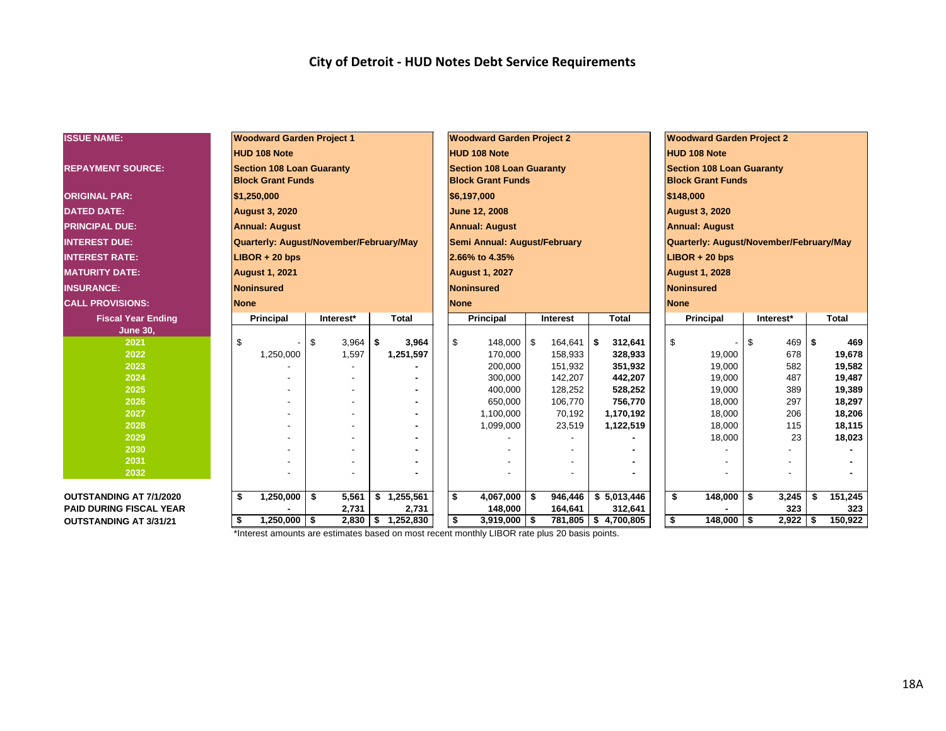| <b>ISSUE NAME:</b>             | <b>Woodward Garden Project 1</b>        |                  |                      | <b>Woodward Garden Project 2</b> |                       |                  | <b>Woodward Garden Project 2</b>           |            |            |         |                  |  |  |  |  |
|--------------------------------|-----------------------------------------|------------------|----------------------|----------------------------------|-----------------------|------------------|--------------------------------------------|------------|------------|---------|------------------|--|--|--|--|
|                                | <b>HUD 108 Note</b>                     |                  |                      | <b>HUD 108 Note</b>              |                       |                  | <b>HUD 108 Note</b>                        |            |            |         |                  |  |  |  |  |
|                                | <b>Section 108 Loan Guaranty</b>        |                  |                      | <b>Section 108 Loan Guaranty</b> |                       |                  | <b>Section 108 Loan Guaranty</b>           |            |            |         |                  |  |  |  |  |
| <b>REPAYMENT SOURCE:</b>       | <b>Block Grant Funds</b>                |                  |                      | <b>Block Grant Funds</b>         |                       |                  | <b>Block Grant Funds</b>                   |            |            |         |                  |  |  |  |  |
|                                |                                         |                  |                      |                                  |                       |                  |                                            |            |            |         |                  |  |  |  |  |
| <b>ORIGINAL PAR:</b>           | \$1,250,000                             |                  |                      | \$6,197,000                      |                       |                  | \$148,000                                  |            |            |         |                  |  |  |  |  |
| <b>DATED DATE:</b>             | <b>August 3, 2020</b>                   |                  |                      | June 12, 2008                    |                       |                  | <b>August 3, 2020</b>                      |            |            |         |                  |  |  |  |  |
| <b>PRINCIPAL DUE:</b>          | <b>Annual: August</b>                   |                  |                      | <b>Annual: August</b>            |                       |                  | <b>Annual: August</b>                      |            |            |         |                  |  |  |  |  |
| <b>INTEREST DUE:</b>           | Quarterly: August/November/February/May |                  |                      | Semi Annual: August/February     |                       |                  | Quarterly: August/November/February/May    |            |            |         |                  |  |  |  |  |
| <b>INTEREST RATE:</b>          | $LIBOR + 20$ bps                        |                  |                      | 2.66% to 4.35%                   |                       |                  | $LIBOR + 20$ bps                           |            |            |         |                  |  |  |  |  |
| <b>MATURITY DATE:</b>          | <b>August 1, 2021</b>                   |                  |                      | <b>August 1, 2027</b>            |                       |                  | <b>August 1, 2028</b>                      |            |            |         |                  |  |  |  |  |
| <b>INSURANCE:</b>              | Noninsured                              |                  |                      | <b>Noninsured</b>                |                       |                  | <b>Noninsured</b>                          |            |            |         |                  |  |  |  |  |
| <b>CALL PROVISIONS:</b>        | <b>None</b>                             |                  |                      | <b>None</b>                      |                       |                  | <b>None</b>                                |            |            |         |                  |  |  |  |  |
| <b>Fiscal Year Ending</b>      | Principal                               | Interest*        | Total                | <b>Principal</b>                 | Interest              | <b>Total</b>     | <b>Principal</b>                           |            | Interest*  |         | <b>Total</b>     |  |  |  |  |
| <b>June 30,</b>                |                                         |                  |                      |                                  |                       |                  |                                            |            |            |         |                  |  |  |  |  |
| 2021                           | \$                                      | \$<br>$3,964$ \$ | 3,964                | \$<br>148,000 \$                 | 164,641               | 312,641<br>-\$   | $\mathfrak{S}$<br>$\overline{\phantom{a}}$ | -S         | $469$ \$   |         | 469              |  |  |  |  |
| 2022                           | 1,250,000                               | 1,597            | 1,251,597            | 170,000                          | 158,933               | 328,933          | 19,000                                     |            | 678        |         | 19,678           |  |  |  |  |
| 2023                           |                                         |                  |                      | 200,000                          | 151,932               | 351,932          | 19,000                                     |            | 582        |         | 19,582           |  |  |  |  |
| 2024                           |                                         |                  |                      | 300,000                          | 142,207               | 442,207          | 19,000                                     |            | 487        |         | 19,487           |  |  |  |  |
| 2025                           |                                         |                  |                      | 400,000                          | 128,252               | 528,252          | 19,000                                     |            | 389        |         | 19,389           |  |  |  |  |
| 2026                           |                                         |                  |                      | 650,000                          | 106,770               | 756,770          | 18,000                                     |            | 297        |         | 18,297           |  |  |  |  |
| 2027<br>2028                   |                                         |                  |                      | 1,100,000                        | 70,192                | 1,170,192        | 18,000<br>18,000                           |            | 206<br>115 |         | 18,206<br>18,115 |  |  |  |  |
| 2029                           |                                         |                  |                      | 1,099,000                        | 23,519                | 1,122,519        | 18,000                                     |            | 23         |         | 18,023           |  |  |  |  |
| 2030                           |                                         |                  |                      |                                  |                       |                  |                                            |            |            |         |                  |  |  |  |  |
| 2031                           |                                         |                  |                      |                                  |                       |                  |                                            |            |            |         |                  |  |  |  |  |
| 2032                           |                                         |                  |                      |                                  |                       |                  |                                            |            |            |         |                  |  |  |  |  |
|                                |                                         |                  |                      |                                  |                       |                  |                                            |            |            |         |                  |  |  |  |  |
| <b>OUTSTANDING AT 7/1/2020</b> | \$<br>1,250,000                         | \$<br>5,561      | 1,255,561<br>\$      | \$<br>$4,067,000$ \$             | 946,446               | \$5,013,446      | \$<br>148,000                              | \$         | 3,245      | \$      | 151,245          |  |  |  |  |
| <b>PAID DURING FISCAL YEAR</b> |                                         | 148,000          | 164,641              | 312,641                          |                       |                  | 323                                        |            | 323        |         |                  |  |  |  |  |
| <b>OUTSTANDING AT 3/31/21</b>  | \$<br>$1,250,000$ \$                    | 2,830            | $\sqrt{8}$ 1,252,830 | \$<br>$3,919,000$ \$             | 781,805   \$4,700,805 | \$<br>148,000 \$ |                                            | $2,922$ \$ |            | 150,922 |                  |  |  |  |  |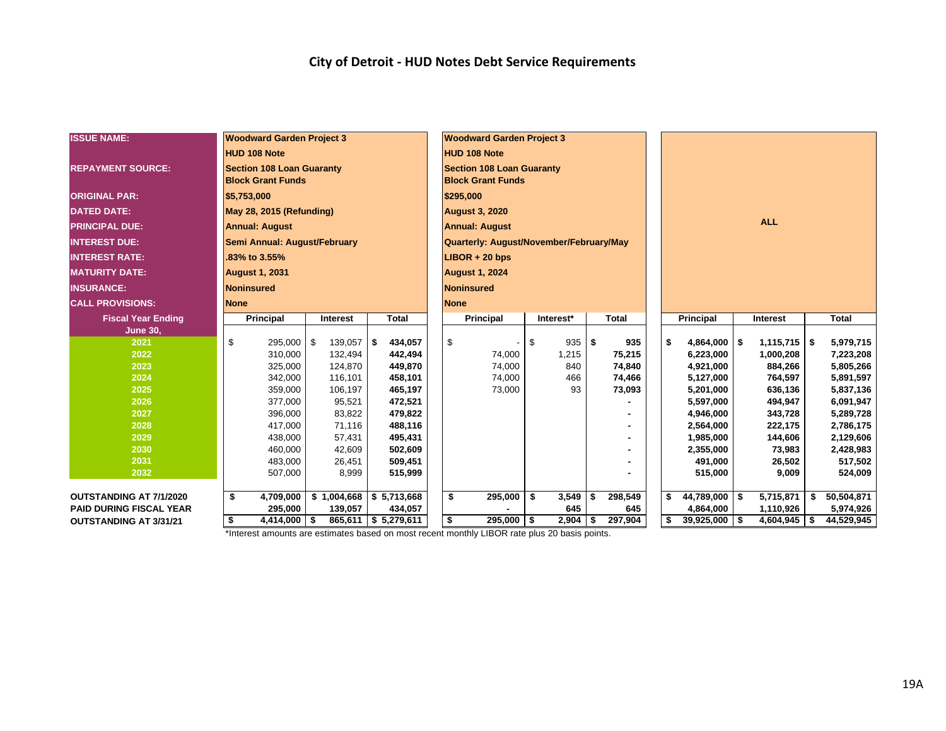| <b>ISSUE NAME:</b>             | <b>Woodward Garden Project 3</b> |                                  |    |                  |  |                        |                          | <b>Woodward Garden Project 3</b>        |    |            |     |              |  |                        |      |                    |    |                        |  |  |
|--------------------------------|----------------------------------|----------------------------------|----|------------------|--|------------------------|--------------------------|-----------------------------------------|----|------------|-----|--------------|--|------------------------|------|--------------------|----|------------------------|--|--|
|                                |                                  | <b>HUD 108 Note</b>              |    |                  |  |                        |                          | <b>HUD 108 Note</b>                     |    |            |     |              |  |                        |      |                    |    |                        |  |  |
| <b>REPAYMENT SOURCE:</b>       |                                  | <b>Section 108 Loan Guaranty</b> |    |                  |  |                        |                          | <b>Section 108 Loan Guaranty</b>        |    |            |     |              |  |                        |      |                    |    |                        |  |  |
|                                |                                  | <b>Block Grant Funds</b>         |    |                  |  |                        | <b>Block Grant Funds</b> |                                         |    |            |     |              |  |                        |      |                    |    |                        |  |  |
| <b>ORIGINAL PAR:</b>           | \$5,753,000                      |                                  |    |                  |  |                        |                          | \$295,000                               |    |            |     |              |  |                        |      |                    |    |                        |  |  |
| <b>DATED DATE:</b>             | May 28, 2015 (Refunding)         |                                  |    |                  |  |                        |                          | <b>August 3, 2020</b>                   |    |            |     |              |  |                        |      |                    |    |                        |  |  |
| <b>PRINCIPAL DUE:</b>          |                                  |                                  |    |                  |  |                        |                          |                                         |    |            |     |              |  | <b>ALL</b>             |      |                    |    |                        |  |  |
|                                |                                  | <b>Annual: August</b>            |    |                  |  |                        |                          | <b>Annual: August</b>                   |    |            |     |              |  |                        |      |                    |    |                        |  |  |
| <b>INTEREST DUE:</b>           |                                  | Semi Annual: August/February     |    |                  |  |                        |                          | Quarterly: August/November/February/May |    |            |     |              |  |                        |      |                    |    |                        |  |  |
| <b>INTEREST RATE:</b>          |                                  | .83% to 3.55%                    |    |                  |  |                        |                          | $LIBOR + 20$ bps                        |    |            |     |              |  |                        |      |                    |    |                        |  |  |
| <b>MATURITY DATE:</b>          |                                  | <b>August 1, 2031</b>            |    |                  |  |                        |                          | <b>August 1, 2024</b>                   |    |            |     |              |  |                        |      |                    |    |                        |  |  |
| <b>INSURANCE:</b>              |                                  | <b>Noninsured</b>                |    |                  |  |                        |                          | <b>Noninsured</b>                       |    |            |     |              |  |                        |      |                    |    |                        |  |  |
| <b>CALL PROVISIONS:</b>        | <b>None</b>                      |                                  |    |                  |  |                        | <b>None</b>              |                                         |    |            |     |              |  |                        |      |                    |    |                        |  |  |
| <b>Fiscal Year Ending</b>      |                                  | Principal                        |    | Interest         |  | <b>Total</b>           |                          | Principal                               |    | Interest*  |     | <b>Total</b> |  | Principal              |      | Interest           |    | <b>Total</b>           |  |  |
| June 30,                       |                                  |                                  |    |                  |  |                        |                          |                                         |    |            |     |              |  |                        |      |                    |    |                        |  |  |
| 2021                           | \$                               | 295,000                          | -S | $139,057$ \$     |  | 434,057                | \$                       |                                         | \$ | $935$ \$   |     | 935          |  | \$<br>4,864,000        | - \$ | $1,115,715$ \$     |    | 5,979,715              |  |  |
| 2022                           |                                  | 310,000                          |    | 132,494          |  | 442,494                |                          | 74,000                                  |    | 1,215      |     | 75,215       |  | 6,223,000              |      | 1,000,208          |    | 7,223,208              |  |  |
| 2023                           |                                  | 325,000                          |    | 124,870          |  | 449,870                |                          | 74,000                                  |    | 840        |     | 74,840       |  | 4,921,000              |      | 884,266            |    | 5,805,266              |  |  |
| 2024                           |                                  | 342,000                          |    | 116.101          |  | 458,101                |                          | 74,000                                  |    | 466        |     | 74,466       |  | 5,127,000              |      | 764,597            |    | 5,891,597              |  |  |
| 2025                           |                                  | 359,000                          |    | 106,197          |  | 465,197                |                          | 73,000                                  |    | 93         |     | 73,093       |  | 5,201,000              |      | 636,136            |    | 5,837,136              |  |  |
| 2026<br>2027                   |                                  | 377,000<br>396,000               |    | 95,521<br>83,822 |  | 472,521<br>479,822     |                          |                                         |    |            |     |              |  | 5,597,000<br>4,946,000 |      | 494,947<br>343,728 |    | 6,091,947<br>5,289,728 |  |  |
| 2028                           |                                  | 417,000                          |    | 71,116           |  | 488,116                |                          |                                         |    |            |     |              |  | 2,564,000              |      | 222,175            |    | 2,786,175              |  |  |
| 2029                           |                                  | 438,000                          |    | 57,431           |  | 495,431                |                          |                                         |    |            |     |              |  | 1,985,000              |      | 144,606            |    | 2,129,606              |  |  |
| 2030                           |                                  | 460,000                          |    | 42,609           |  | 502,609                |                          |                                         |    |            |     |              |  | 2,355,000              |      | 73,983             |    | 2,428,983              |  |  |
| 2031                           |                                  | 483,000                          |    | 26,451           |  | 509,451                |                          |                                         |    |            |     |              |  | 491,000                |      | 26,502             |    | 517,502                |  |  |
| 2032                           |                                  | 507,000                          |    | 8,999            |  | 515,999                |                          |                                         |    |            |     |              |  | 515,000                |      | 9,009              |    | 524,009                |  |  |
|                                |                                  |                                  |    |                  |  |                        |                          |                                         |    |            |     |              |  |                        |      |                    |    |                        |  |  |
| <b>OUTSTANDING AT 7/1/2020</b> | \$                               | 4,709,000                        |    | \$1,004,668      |  | \$5,713,668            | \$                       | 295,000                                 | \$ | $3,549$ \$ |     | 298,549      |  | $44,789,000$ \$<br>\$  |      | 5,715,871          | \$ | 50,504,871             |  |  |
| <b>PAID DURING FISCAL YEAR</b> |                                  | 295,000                          |    | 139,057          |  | 434,057                |                          |                                         |    | 645        |     | 645          |  | 4,864,000              |      | 1,110,926          |    | 5,974,926              |  |  |
| <b>OUTSTANDING AT 3/31/21</b>  | \$                               | $4,414,000$ \ \$                 |    |                  |  | $865,611$ \$ 5,279,611 | \$                       | $295,000$ \$                            |    | 2,904      | -\$ | 297,904      |  | \$<br>$39,925,000$ \$  |      | $4,604,945$ \$     |    | 44,529,945             |  |  |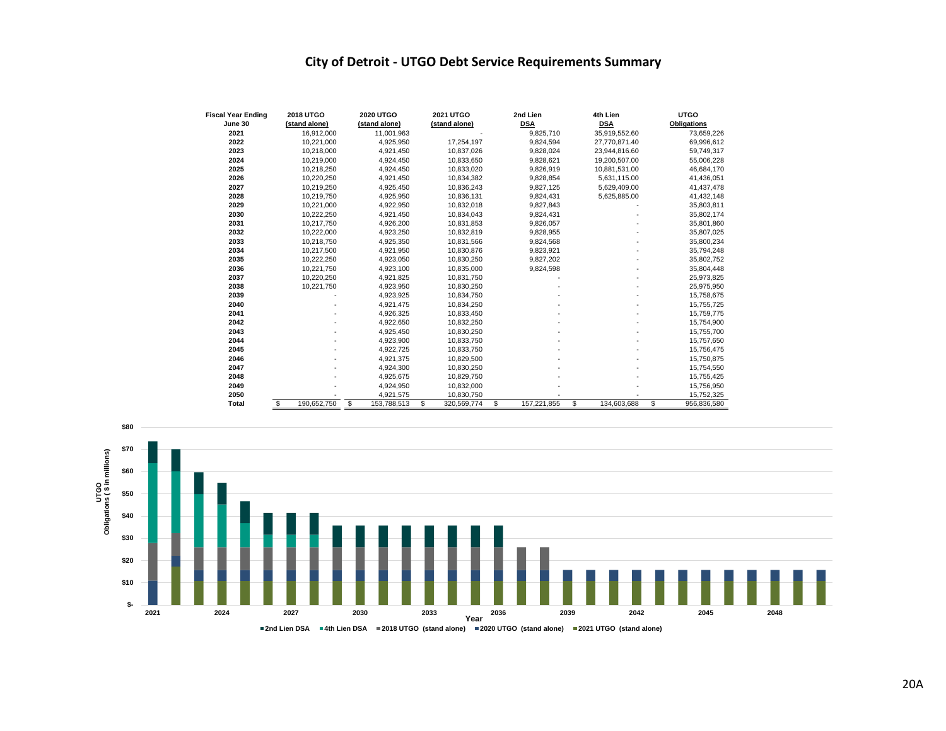## **City of Detroit - UTGO Debt Service Requirements Summary**

| <b>Fiscal Year Ending</b> | <b>2018 UTGO</b>  | <b>2020 UTGO</b>  | <b>2021 UTGO</b>  | 2nd Lien          | 4th Lien                 | <b>UTGO</b>        |
|---------------------------|-------------------|-------------------|-------------------|-------------------|--------------------------|--------------------|
| June 30                   | (stand alone)     | (stand alone)     | (stand alone)     | <b>DSA</b>        | <b>DSA</b>               | <b>Obligations</b> |
| 2021                      | 16,912,000        | 11,001,963        |                   | 9,825,710         | 35,919,552.60            | 73,659,226         |
| 2022                      | 10,221,000        | 4,925,950         | 17,254,197        | 9,824,594         | 27,770,871.40            | 69,996,612         |
| 2023                      | 10,218,000        | 4,921,450         | 10,837,026        | 9,828,024         | 23,944,816.60            | 59,749,317         |
| 2024                      | 10.219.000        | 4.924.450         | 10.833.650        | 9.828.621         | 19.200.507.00            | 55.006.228         |
| 2025                      | 10,218,250        | 4,924,450         | 10.833.020        | 9,826,919         | 10.881.531.00            | 46,684,170         |
| 2026                      | 10,220,250        | 4,921,450         | 10,834,382        | 9,828,854         | 5,631,115.00             | 41,436,051         |
| 2027                      | 10,219,250        | 4,925,450         | 10,836,243        | 9,827,125         | 5,629,409.00             | 41,437,478         |
| 2028                      | 10,219,750        | 4,925,950         | 10,836,131        | 9,824,431         | 5,625,885.00             | 41,432,148         |
| 2029                      | 10,221,000        | 4,922,950         | 10,832,018        | 9,827,843         |                          | 35,803,811         |
| 2030                      | 10.222.250        | 4,921,450         | 10,834,043        | 9,824,431         |                          | 35,802,174         |
| 2031                      | 10,217,750        | 4,926,200         | 10,831,853        | 9,826,057         |                          | 35,801,860         |
| 2032                      | 10,222,000        | 4,923,250         | 10,832,819        | 9,828,955         |                          | 35,807,025         |
| 2033                      | 10.218.750        | 4,925,350         | 10,831,566        | 9,824,568         |                          | 35,800,234         |
| 2034                      | 10,217,500        | 4,921,950         | 10,830,876        | 9,823,921         |                          | 35,794,248         |
| 2035                      | 10,222,250        | 4,923,050         | 10,830,250        | 9.827.202         |                          | 35,802,752         |
| 2036                      | 10,221,750        | 4,923,100         | 10,835,000        | 9,824,598         |                          | 35,804,448         |
| 2037                      | 10,220,250        | 4,921,825         | 10,831,750        |                   |                          | 25,973,825         |
| 2038                      | 10,221,750        | 4,923,950         | 10,830,250        |                   | $\overline{\phantom{a}}$ | 25,975,950         |
| 2039                      |                   | 4,923,925         | 10,834,750        |                   |                          | 15,758,675         |
| 2040                      |                   | 4,921,475         | 10,834,250        |                   | ٠                        | 15,755,725         |
| 2041                      |                   | 4,926,325         | 10,833,450        |                   |                          | 15,759,775         |
| 2042                      |                   | 4,922,650         | 10,832,250        |                   |                          | 15,754,900         |
| 2043                      |                   | 4.925.450         | 10.830.250        |                   |                          | 15.755.700         |
| 2044                      |                   | 4,923,900         | 10.833.750        |                   |                          | 15,757,650         |
| 2045                      |                   | 4.922.725         | 10,833,750        |                   |                          | 15,756,475         |
| 2046                      |                   | 4,921,375         | 10,829,500        |                   |                          | 15,750,875         |
| 2047                      |                   | 4,924,300         | 10,830,250        |                   |                          | 15,754,550         |
| 2048                      |                   | 4,925,675         | 10,829,750        |                   |                          | 15,755,425         |
| 2049                      |                   | 4,924,950         | 10,832,000        |                   |                          | 15,756,950         |
| 2050                      |                   | 4,921,575         | 10,830,750        |                   |                          | 15,752,325         |
| Total                     | \$<br>190.652.750 | \$<br>153,788,513 | \$<br>320.569.774 | \$<br>157.221.855 | \$<br>134.603.688        | \$<br>956,836,580  |